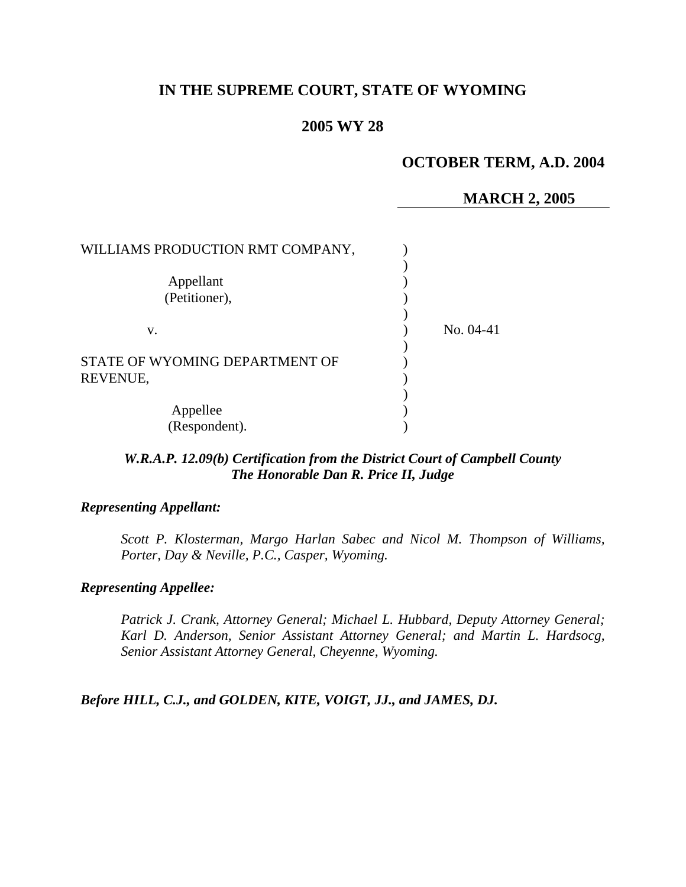## **IN THE SUPREME COURT, STATE OF WYOMING**

### **2005 WY 28**

## **OCTOBER TERM, A.D. 2004**

#### **MARCH 2, 2005**

| WILLIAMS PRODUCTION RMT COMPANY, |             |
|----------------------------------|-------------|
|                                  |             |
| Appellant                        |             |
| (Petitioner),                    |             |
|                                  |             |
| V.                               | No. $04-41$ |
|                                  |             |
| STATE OF WYOMING DEPARTMENT OF   |             |
| REVENUE,                         |             |
|                                  |             |
| Appellee                         |             |
| (Respondent).                    |             |

### *W.R.A.P. 12.09(b) Certification from the District Court of Campbell County The Honorable Dan R. Price II, Judge*

#### *Representing Appellant:*

*Scott P. Klosterman, Margo Harlan Sabec and Nicol M. Thompson of Williams, Porter, Day & Neville, P.C., Casper, Wyoming.* 

#### *Representing Appellee:*

*Patrick J. Crank, Attorney General; Michael L. Hubbard, Deputy Attorney General; Karl D. Anderson, Senior Assistant Attorney General; and Martin L. Hardsocg, Senior Assistant Attorney General, Cheyenne, Wyoming.* 

*Before HILL, C.J., and GOLDEN, KITE, VOIGT, JJ., and JAMES, DJ.*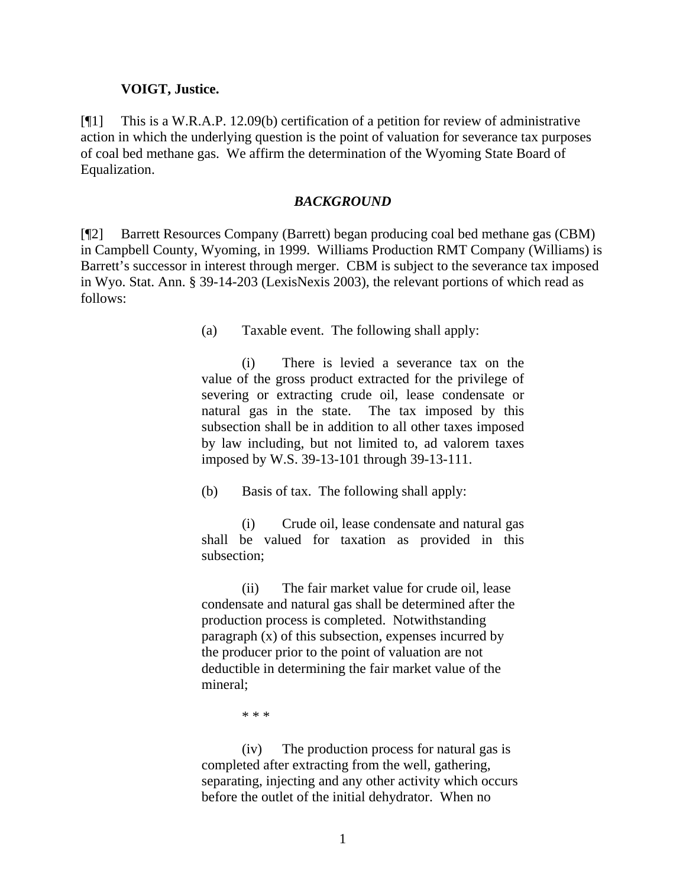#### **VOIGT, Justice.**

[¶1] This is a W.R.A.P. 12.09(b) certification of a petition for review of administrative action in which the underlying question is the point of valuation for severance tax purposes of coal bed methane gas. We affirm the determination of the Wyoming State Board of Equalization.

#### *BACKGROUND*

[¶2] Barrett Resources Company (Barrett) began producing coal bed methane gas (CBM) in Campbell County, Wyoming, in 1999. Williams Production RMT Company (Williams) is Barrett's successor in interest through merger. CBM is subject to the severance tax imposed in Wyo. Stat. Ann. § 39-14-203 (LexisNexis 2003), the relevant portions of which read as follows:

(a) Taxable event. The following shall apply:

(i) There is levied a severance tax on the value of the gross product extracted for the privilege of severing or extracting crude oil, lease condensate or natural gas in the state. The tax imposed by this subsection shall be in addition to all other taxes imposed by law including, but not limited to, ad valorem taxes imposed by W.S. 39-13-101 through 39-13-111.

(b) Basis of tax. The following shall apply:

(i) Crude oil, lease condensate and natural gas shall be valued for taxation as provided in this subsection;

(ii) The fair market value for crude oil, lease condensate and natural gas shall be determined after the production process is completed. Notwithstanding paragraph (x) of this subsection, expenses incurred by the producer prior to the point of valuation are not deductible in determining the fair market value of the mineral;

\* \* \*

(iv) The production process for natural gas is completed after extracting from the well, gathering, separating, injecting and any other activity which occurs before the outlet of the initial dehydrator. When no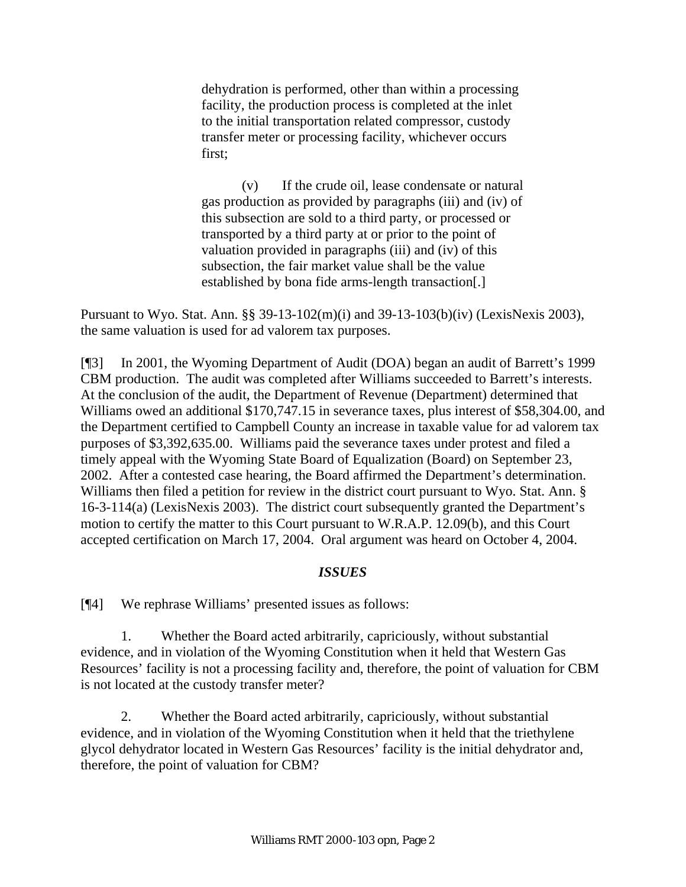dehydration is performed, other than within a processing facility, the production process is completed at the inlet to the initial transportation related compressor, custody transfer meter or processing facility, whichever occurs first;

(v) If the crude oil, lease condensate or natural gas production as provided by paragraphs (iii) and (iv) of this subsection are sold to a third party, or processed or transported by a third party at or prior to the point of valuation provided in paragraphs (iii) and (iv) of this subsection, the fair market value shall be the value established by bona fide arms-length transaction[.]

Pursuant to Wyo. Stat. Ann. §§ 39-13-102(m)(i) and 39-13-103(b)(iv) (LexisNexis 2003), the same valuation is used for ad valorem tax purposes.

[¶3] In 2001, the Wyoming Department of Audit (DOA) began an audit of Barrett's 1999 CBM production. The audit was completed after Williams succeeded to Barrett's interests. At the conclusion of the audit, the Department of Revenue (Department) determined that Williams owed an additional \$170,747.15 in severance taxes, plus interest of \$58,304.00, and the Department certified to Campbell County an increase in taxable value for ad valorem tax purposes of \$3,392,635.00. Williams paid the severance taxes under protest and filed a timely appeal with the Wyoming State Board of Equalization (Board) on September 23, 2002. After a contested case hearing, the Board affirmed the Department's determination. Williams then filed a petition for review in the district court pursuant to Wyo. Stat. Ann. § 16-3-114(a) (LexisNexis 2003). The district court subsequently granted the Department's motion to certify the matter to this Court pursuant to W.R.A.P. 12.09(b), and this Court accepted certification on March 17, 2004. Oral argument was heard on October 4, 2004.

## *ISSUES*

[¶4] We rephrase Williams' presented issues as follows:

1. Whether the Board acted arbitrarily, capriciously, without substantial evidence, and in violation of the Wyoming Constitution when it held that Western Gas Resources' facility is not a processing facility and, therefore, the point of valuation for CBM is not located at the custody transfer meter?

2. Whether the Board acted arbitrarily, capriciously, without substantial evidence, and in violation of the Wyoming Constitution when it held that the triethylene glycol dehydrator located in Western Gas Resources' facility is the initial dehydrator and, therefore, the point of valuation for CBM?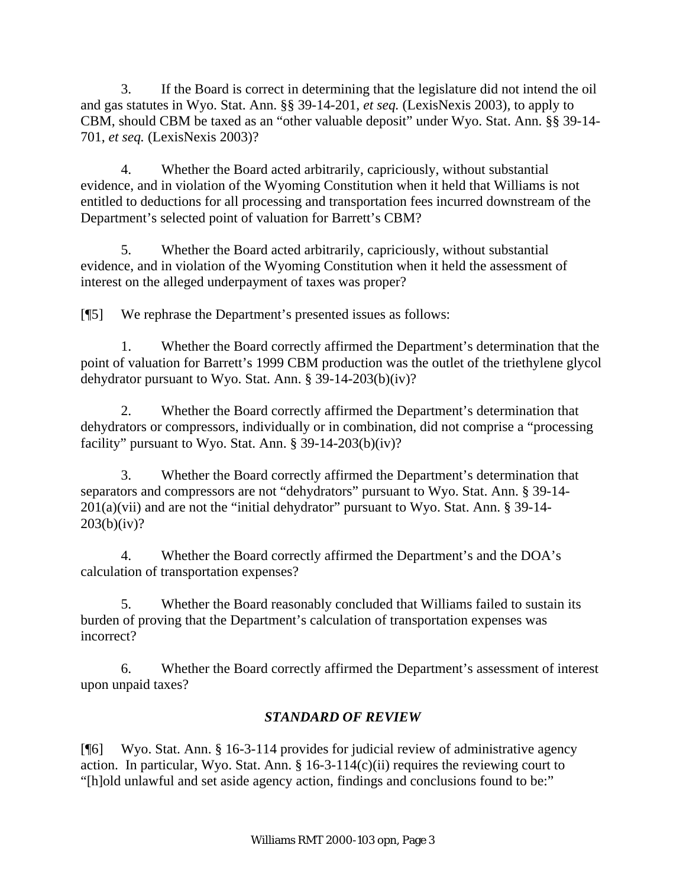3. If the Board is correct in determining that the legislature did not intend the oil and gas statutes in Wyo. Stat. Ann. §§ 39-14-201, *et seq.* (LexisNexis 2003)*,* to apply to CBM, should CBM be taxed as an "other valuable deposit" under Wyo. Stat. Ann. §§ 39-14- 701, *et seq.* (LexisNexis 2003)?

4. Whether the Board acted arbitrarily, capriciously, without substantial evidence, and in violation of the Wyoming Constitution when it held that Williams is not entitled to deductions for all processing and transportation fees incurred downstream of the Department's selected point of valuation for Barrett's CBM?

5. Whether the Board acted arbitrarily, capriciously, without substantial evidence, and in violation of the Wyoming Constitution when it held the assessment of interest on the alleged underpayment of taxes was proper?

[¶5] We rephrase the Department's presented issues as follows:

1. Whether the Board correctly affirmed the Department's determination that the point of valuation for Barrett's 1999 CBM production was the outlet of the triethylene glycol dehydrator pursuant to Wyo. Stat. Ann. § 39-14-203(b)(iv)?

2. Whether the Board correctly affirmed the Department's determination that dehydrators or compressors, individually or in combination, did not comprise a "processing facility" pursuant to Wyo. Stat. Ann. § 39-14-203(b)(iv)?

3. Whether the Board correctly affirmed the Department's determination that separators and compressors are not "dehydrators" pursuant to Wyo. Stat. Ann. § 39-14- 201(a)(vii) and are not the "initial dehydrator" pursuant to Wyo. Stat. Ann. § 39-14-  $203(b)(iv)?$ 

4. Whether the Board correctly affirmed the Department's and the DOA's calculation of transportation expenses?

5. Whether the Board reasonably concluded that Williams failed to sustain its burden of proving that the Department's calculation of transportation expenses was incorrect?

6. Whether the Board correctly affirmed the Department's assessment of interest upon unpaid taxes?

# *STANDARD OF REVIEW*

[¶6] Wyo. Stat. Ann. § 16-3-114 provides for judicial review of administrative agency action. In particular, Wyo. Stat. Ann. § 16-3-114(c)(ii) requires the reviewing court to "[h]old unlawful and set aside agency action, findings and conclusions found to be:"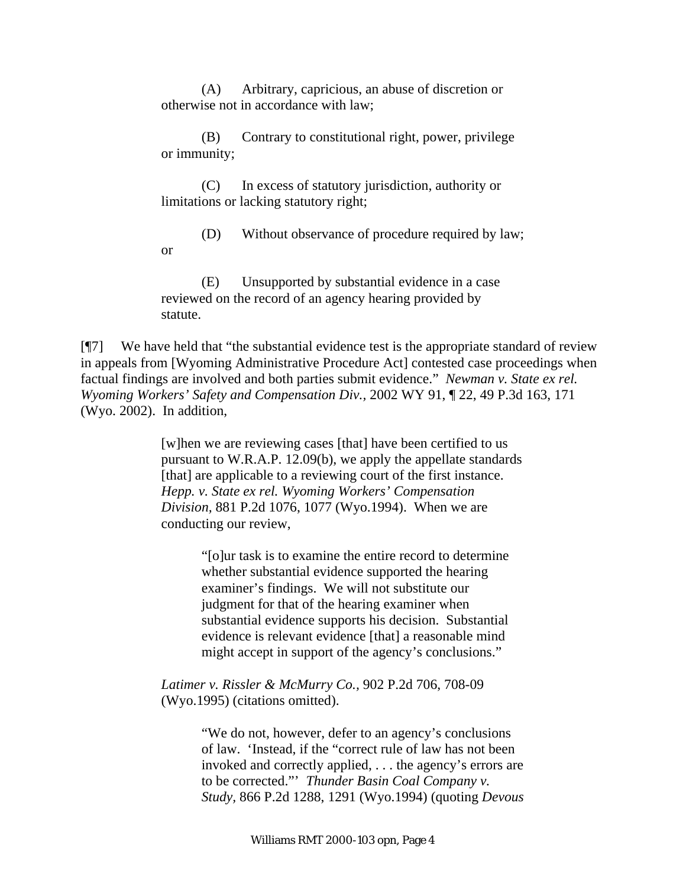(A) Arbitrary, capricious, an abuse of discretion or otherwise not in accordance with law;

 (B) Contrary to constitutional right, power, privilege or immunity;

(C) In excess of statutory jurisdiction, authority or limitations or lacking statutory right;

(D) Without observance of procedure required by law; or

(E) Unsupported by substantial evidence in a case reviewed on the record of an agency hearing provided by statute.

[¶7] We have held that "the substantial evidence test is the appropriate standard of review in appeals from [Wyoming Administrative Procedure Act] contested case proceedings when factual findings are involved and both parties submit evidence." *Newman v. State ex rel. Wyoming Workers' Safety and Compensation Div.,* 2002 WY 91, ¶ 22, 49 P.3d 163, 171 (Wyo. 2002). In addition,

> [w]hen we are reviewing cases [that] have been certified to us pursuant to W.R.A.P. 12.09(b), we apply the appellate standards [that] are applicable to a reviewing court of the first instance. *Hepp. v. State ex rel. Wyoming Workers' Compensation Division,* 881 P.2d 1076, 1077 (Wyo.1994). When we are conducting our review,

> > "[o]ur task is to examine the entire record to determine whether substantial evidence supported the hearing examiner's findings. We will not substitute our judgment for that of the hearing examiner when substantial evidence supports his decision. Substantial evidence is relevant evidence [that] a reasonable mind might accept in support of the agency's conclusions."

*Latimer v. Rissler & McMurry Co.,* 902 P.2d 706, 708-09 (Wyo.1995) (citations omitted).

> "We do not, however, defer to an agency's conclusions of law. 'Instead, if the "correct rule of law has not been invoked and correctly applied, . . . the agency's errors are to be corrected."' *Thunder Basin Coal Company v. Study,* 866 P.2d 1288, 1291 (Wyo.1994) (quoting *Devous*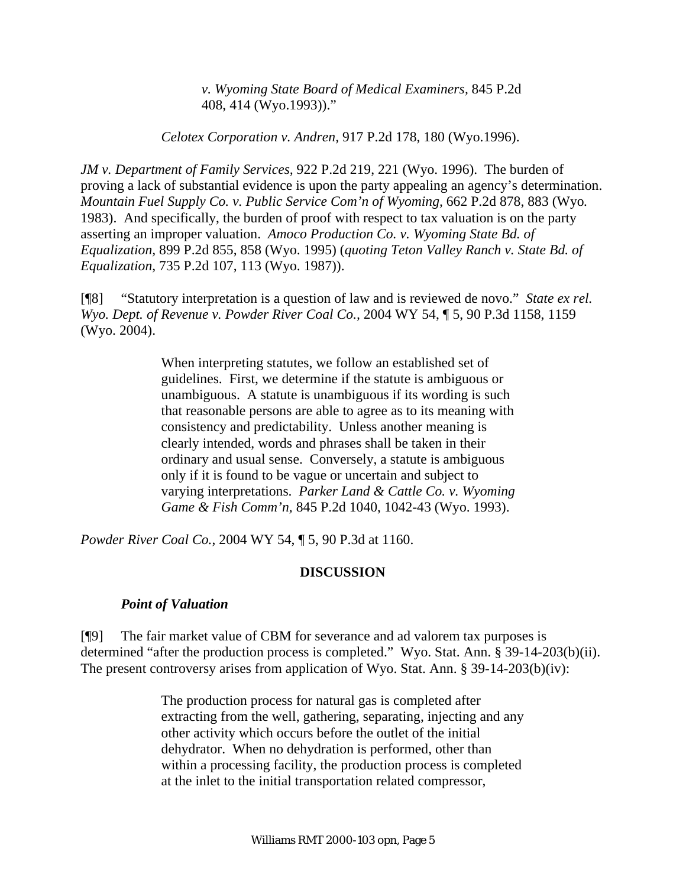*v. Wyoming State Board of Medical Examiners,* 845 P.2d 408, 414 (Wyo.1993))."

*Celotex Corporation v. Andren,* 917 P.2d 178, 180 (Wyo.1996).

*JM v. Department of Family Services,* 922 P.2d 219, 221 (Wyo. 1996). The burden of proving a lack of substantial evidence is upon the party appealing an agency's determination. *Mountain Fuel Supply Co. v. Public Service Com'n of Wyoming,* 662 P.2d 878, 883 (Wyo*.*  1983). And specifically, the burden of proof with respect to tax valuation is on the party asserting an improper valuation. *Amoco Production Co. v. Wyoming State Bd. of Equalization,* 899 P.2d 855, 858 (Wyo. 1995) (*quoting Teton Valley Ranch v. State Bd. of Equalization*, 735 P.2d 107, 113 (Wyo. 1987)).

[¶8] "Statutory interpretation is a question of law and is reviewed de novo." *State ex rel. Wyo. Dept. of Revenue v. Powder River Coal Co.,* 2004 WY 54, ¶ 5, 90 P.3d 1158, 1159 (Wyo. 2004).

> When interpreting statutes, we follow an established set of guidelines. First, we determine if the statute is ambiguous or unambiguous. A statute is unambiguous if its wording is such that reasonable persons are able to agree as to its meaning with consistency and predictability. Unless another meaning is clearly intended, words and phrases shall be taken in their ordinary and usual sense. Conversely, a statute is ambiguous only if it is found to be vague or uncertain and subject to varying interpretations. *Parker Land & Cattle Co. v. Wyoming Game & Fish Comm'n,* 845 P.2d 1040, 1042-43 (Wyo. 1993).

*Powder River Coal Co.*, 2004 WY 54, ¶ 5, 90 P.3d at 1160.

### **DISCUSSION**

### *Point of Valuation*

[¶9] The fair market value of CBM for severance and ad valorem tax purposes is determined "after the production process is completed." Wyo. Stat. Ann. § 39-14-203(b)(ii). The present controversy arises from application of Wyo. Stat. Ann. § 39-14-203(b)(iv):

> The production process for natural gas is completed after extracting from the well, gathering, separating, injecting and any other activity which occurs before the outlet of the initial dehydrator. When no dehydration is performed, other than within a processing facility, the production process is completed at the inlet to the initial transportation related compressor,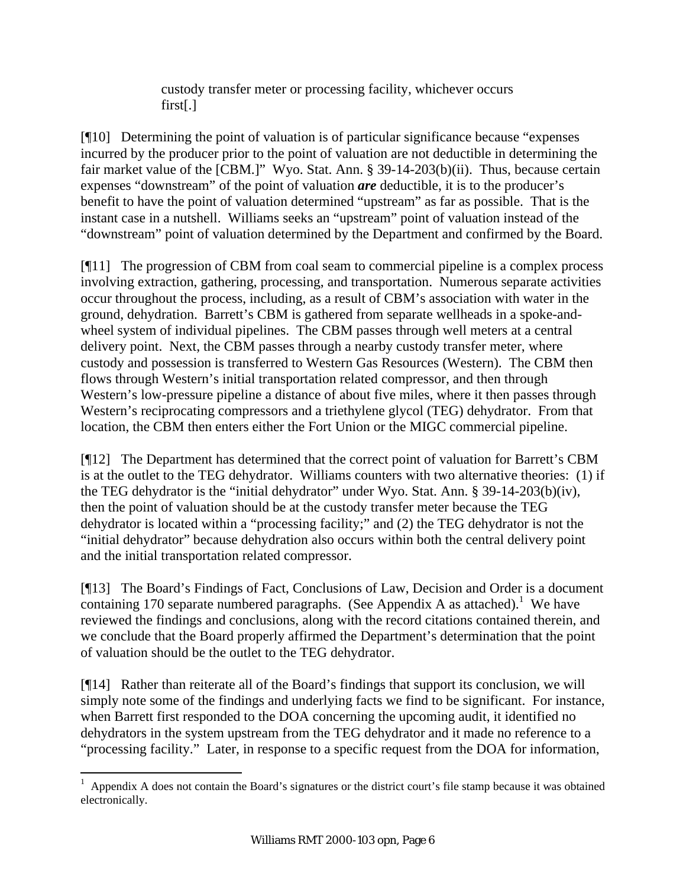custody transfer meter or processing facility, whichever occurs first[.]

[¶10] Determining the point of valuation is of particular significance because "expenses incurred by the producer prior to the point of valuation are not deductible in determining the fair market value of the [CBM.]" Wyo. Stat. Ann. § 39-14-203(b)(ii). Thus, because certain expenses "downstream" of the point of valuation *are* deductible, it is to the producer's benefit to have the point of valuation determined "upstream" as far as possible. That is the instant case in a nutshell. Williams seeks an "upstream" point of valuation instead of the "downstream" point of valuation determined by the Department and confirmed by the Board.

[¶11] The progression of CBM from coal seam to commercial pipeline is a complex process involving extraction, gathering, processing, and transportation. Numerous separate activities occur throughout the process, including, as a result of CBM's association with water in the ground, dehydration. Barrett's CBM is gathered from separate wellheads in a spoke-andwheel system of individual pipelines. The CBM passes through well meters at a central delivery point. Next, the CBM passes through a nearby custody transfer meter, where custody and possession is transferred to Western Gas Resources (Western). The CBM then flows through Western's initial transportation related compressor, and then through Western's low-pressure pipeline a distance of about five miles, where it then passes through Western's reciprocating compressors and a triethylene glycol (TEG) dehydrator. From that location, the CBM then enters either the Fort Union or the MIGC commercial pipeline.

[¶12] The Department has determined that the correct point of valuation for Barrett's CBM is at the outlet to the TEG dehydrator. Williams counters with two alternative theories: (1) if the TEG dehydrator is the "initial dehydrator" under Wyo. Stat. Ann. § 39-14-203(b)(iv), then the point of valuation should be at the custody transfer meter because the TEG dehydrator is located within a "processing facility;" and (2) the TEG dehydrator is not the "initial dehydrator" because dehydration also occurs within both the central delivery point and the initial transportation related compressor.

[¶13] The Board's Findings of Fact, Conclusions of Law, Decision and Order is a document containing 170 separate numbered paragraphs. (See Appendix A as attached).<sup>1</sup> We have reviewed the findings and conclusions, along with the record citations contained therein, and we conclude that the Board properly affirmed the Department's determination that the point of valuation should be the outlet to the TEG dehydrator.

[¶14] Rather than reiterate all of the Board's findings that support its conclusion, we will simply note some of the findings and underlying facts we find to be significant. For instance, when Barrett first responded to the DOA concerning the upcoming audit, it identified no dehydrators in the system upstream from the TEG dehydrator and it made no reference to a "processing facility." Later, in response to a specific request from the DOA for information,

 $\overline{a}$ 

<sup>1</sup> Appendix A does not contain the Board's signatures or the district court's file stamp because it was obtained electronically.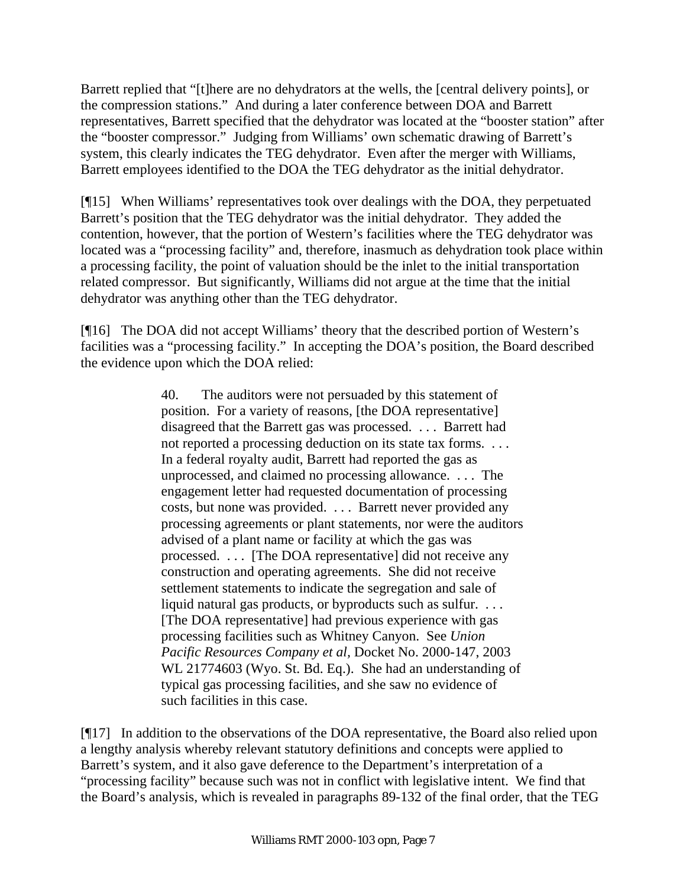Barrett replied that "[t]here are no dehydrators at the wells, the [central delivery points], or the compression stations." And during a later conference between DOA and Barrett representatives, Barrett specified that the dehydrator was located at the "booster station" after the "booster compressor." Judging from Williams' own schematic drawing of Barrett's system, this clearly indicates the TEG dehydrator. Even after the merger with Williams, Barrett employees identified to the DOA the TEG dehydrator as the initial dehydrator.

[¶15] When Williams' representatives took over dealings with the DOA, they perpetuated Barrett's position that the TEG dehydrator was the initial dehydrator. They added the contention, however, that the portion of Western's facilities where the TEG dehydrator was located was a "processing facility" and, therefore, inasmuch as dehydration took place within a processing facility, the point of valuation should be the inlet to the initial transportation related compressor. But significantly, Williams did not argue at the time that the initial dehydrator was anything other than the TEG dehydrator.

[¶16] The DOA did not accept Williams' theory that the described portion of Western's facilities was a "processing facility." In accepting the DOA's position, the Board described the evidence upon which the DOA relied:

> 40. The auditors were not persuaded by this statement of position. For a variety of reasons, [the DOA representative] disagreed that the Barrett gas was processed. . . . Barrett had not reported a processing deduction on its state tax forms. . . . In a federal royalty audit, Barrett had reported the gas as unprocessed, and claimed no processing allowance. . . . The engagement letter had requested documentation of processing costs, but none was provided. . . . Barrett never provided any processing agreements or plant statements, nor were the auditors advised of a plant name or facility at which the gas was processed. . . . [The DOA representative] did not receive any construction and operating agreements. She did not receive settlement statements to indicate the segregation and sale of liquid natural gas products, or byproducts such as sulfur. . . . . [The DOA representative] had previous experience with gas processing facilities such as Whitney Canyon. See *Union Pacific Resources Company et al,* Docket No. 2000-147, 2003 WL 21774603 (Wyo. St. Bd. Eq.). She had an understanding of typical gas processing facilities, and she saw no evidence of such facilities in this case.

[¶17] In addition to the observations of the DOA representative, the Board also relied upon a lengthy analysis whereby relevant statutory definitions and concepts were applied to Barrett's system, and it also gave deference to the Department's interpretation of a "processing facility" because such was not in conflict with legislative intent. We find that the Board's analysis, which is revealed in paragraphs 89-132 of the final order, that the TEG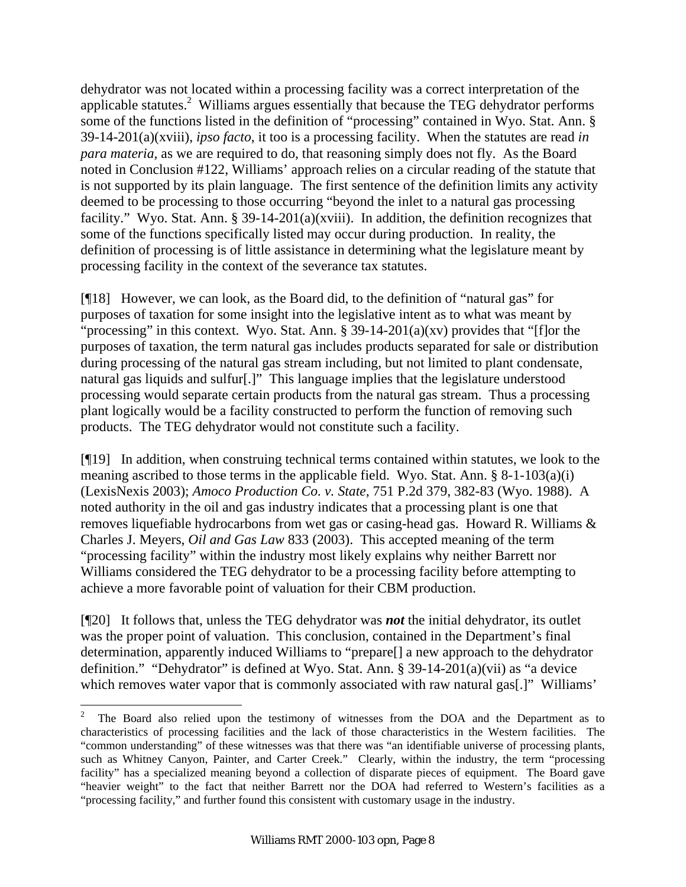dehydrator was not located within a processing facility was a correct interpretation of the applicable statutes.<sup>2</sup> Williams argues essentially that because the TEG dehydrator performs some of the functions listed in the definition of "processing" contained in Wyo. Stat. Ann. § 39-14-201(a)(xviii), *ipso facto*, it too is a processing facility. When the statutes are read *in para materia,* as we are required to do, that reasoning simply does not fly. As the Board noted in Conclusion #122, Williams' approach relies on a circular reading of the statute that is not supported by its plain language. The first sentence of the definition limits any activity deemed to be processing to those occurring "beyond the inlet to a natural gas processing facility." Wyo. Stat. Ann. § 39-14-201(a)(xviii). In addition, the definition recognizes that some of the functions specifically listed may occur during production. In reality, the definition of processing is of little assistance in determining what the legislature meant by processing facility in the context of the severance tax statutes.

[¶18] However, we can look, as the Board did, to the definition of "natural gas" for purposes of taxation for some insight into the legislative intent as to what was meant by "processing" in this context. Wyo. Stat. Ann.  $\S$  39-14-201(a)(xv) provides that "[f]or the purposes of taxation, the term natural gas includes products separated for sale or distribution during processing of the natural gas stream including, but not limited to plant condensate, natural gas liquids and sulfur[.]" This language implies that the legislature understood processing would separate certain products from the natural gas stream. Thus a processing plant logically would be a facility constructed to perform the function of removing such products. The TEG dehydrator would not constitute such a facility.

[¶19] In addition, when construing technical terms contained within statutes, we look to the meaning ascribed to those terms in the applicable field. Wyo. Stat. Ann. § 8-1-103(a)(i) (LexisNexis 2003); *Amoco Production Co. v. State,* 751 P.2d 379, 382-83 (Wyo. 1988). A noted authority in the oil and gas industry indicates that a processing plant is one that removes liquefiable hydrocarbons from wet gas or casing-head gas. Howard R. Williams & Charles J. Meyers, *Oil and Gas Law* 833 (2003). This accepted meaning of the term "processing facility" within the industry most likely explains why neither Barrett nor Williams considered the TEG dehydrator to be a processing facility before attempting to achieve a more favorable point of valuation for their CBM production.

[¶20] It follows that, unless the TEG dehydrator was *not* the initial dehydrator, its outlet was the proper point of valuation. This conclusion, contained in the Department's final determination, apparently induced Williams to "prepare[] a new approach to the dehydrator definition." "Dehydrator" is defined at Wyo. Stat. Ann. § 39-14-201(a)(vii) as "a device which removes water vapor that is commonly associated with raw natural gas[.]" Williams'

 $\frac{1}{2}$  The Board also relied upon the testimony of witnesses from the DOA and the Department as to characteristics of processing facilities and the lack of those characteristics in the Western facilities. The "common understanding" of these witnesses was that there was "an identifiable universe of processing plants, such as Whitney Canyon, Painter, and Carter Creek." Clearly, within the industry, the term "processing facility" has a specialized meaning beyond a collection of disparate pieces of equipment. The Board gave "heavier weight" to the fact that neither Barrett nor the DOA had referred to Western's facilities as a "processing facility," and further found this consistent with customary usage in the industry.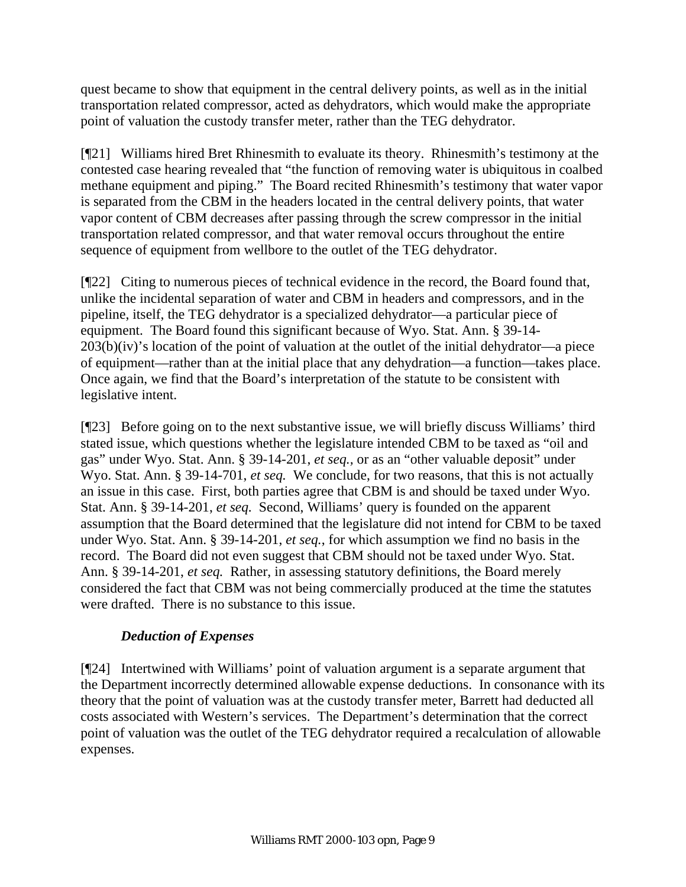quest became to show that equipment in the central delivery points, as well as in the initial transportation related compressor, acted as dehydrators, which would make the appropriate point of valuation the custody transfer meter, rather than the TEG dehydrator.

[¶21] Williams hired Bret Rhinesmith to evaluate its theory. Rhinesmith's testimony at the contested case hearing revealed that "the function of removing water is ubiquitous in coalbed methane equipment and piping." The Board recited Rhinesmith's testimony that water vapor is separated from the CBM in the headers located in the central delivery points, that water vapor content of CBM decreases after passing through the screw compressor in the initial transportation related compressor, and that water removal occurs throughout the entire sequence of equipment from wellbore to the outlet of the TEG dehydrator.

[¶22] Citing to numerous pieces of technical evidence in the record, the Board found that, unlike the incidental separation of water and CBM in headers and compressors, and in the pipeline, itself, the TEG dehydrator is a specialized dehydrator—a particular piece of equipment. The Board found this significant because of Wyo. Stat. Ann. § 39-14-  $203(b)(iv)$ 's location of the point of valuation at the outlet of the initial dehydrator—a piece of equipment—rather than at the initial place that any dehydration—a function—takes place. Once again, we find that the Board's interpretation of the statute to be consistent with legislative intent.

[¶23] Before going on to the next substantive issue, we will briefly discuss Williams' third stated issue, which questions whether the legislature intended CBM to be taxed as "oil and gas" under Wyo. Stat. Ann. § 39-14-201, *et seq.,* or as an "other valuable deposit" under Wyo. Stat. Ann. § 39-14-701, *et seq.* We conclude, for two reasons, that this is not actually an issue in this case. First, both parties agree that CBM is and should be taxed under Wyo. Stat. Ann. § 39-14-201, *et seq.* Second, Williams' query is founded on the apparent assumption that the Board determined that the legislature did not intend for CBM to be taxed under Wyo. Stat. Ann. § 39-14-201, *et seq.*, for which assumption we find no basis in the record. The Board did not even suggest that CBM should not be taxed under Wyo. Stat. Ann. § 39-14-201, *et seq.* Rather, in assessing statutory definitions, the Board merely considered the fact that CBM was not being commercially produced at the time the statutes were drafted. There is no substance to this issue.

## *Deduction of Expenses*

[¶24] Intertwined with Williams' point of valuation argument is a separate argument that the Department incorrectly determined allowable expense deductions. In consonance with its theory that the point of valuation was at the custody transfer meter, Barrett had deducted all costs associated with Western's services. The Department's determination that the correct point of valuation was the outlet of the TEG dehydrator required a recalculation of allowable expenses.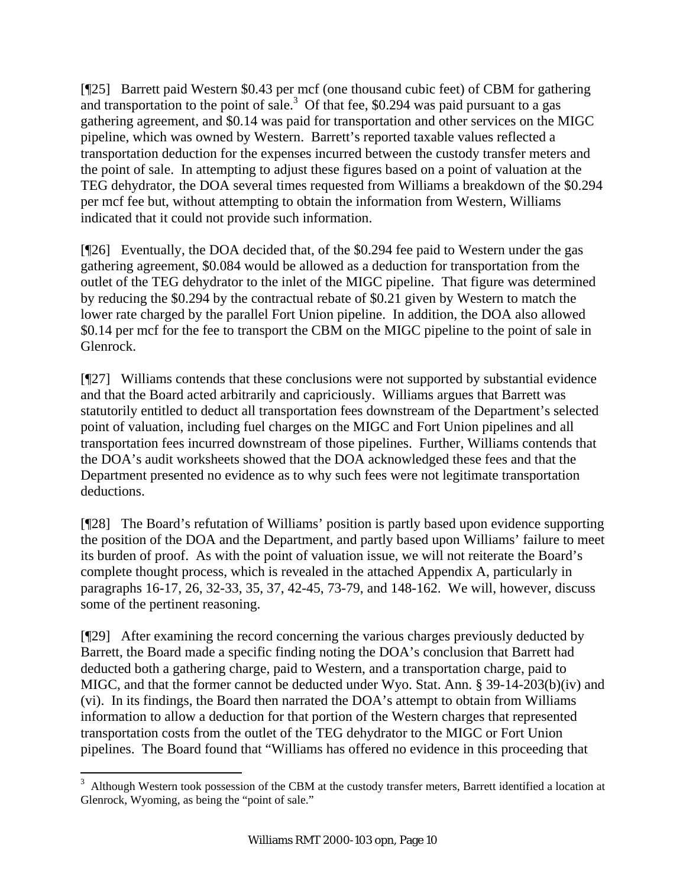[¶25] Barrett paid Western \$0.43 per mcf (one thousand cubic feet) of CBM for gathering and transportation to the point of sale.<sup>3</sup> Of that fee, \$0.294 was paid pursuant to a gas gathering agreement, and \$0.14 was paid for transportation and other services on the MIGC pipeline, which was owned by Western. Barrett's reported taxable values reflected a transportation deduction for the expenses incurred between the custody transfer meters and the point of sale. In attempting to adjust these figures based on a point of valuation at the TEG dehydrator, the DOA several times requested from Williams a breakdown of the \$0.294 per mcf fee but, without attempting to obtain the information from Western, Williams indicated that it could not provide such information.

[¶26] Eventually, the DOA decided that, of the \$0.294 fee paid to Western under the gas gathering agreement, \$0.084 would be allowed as a deduction for transportation from the outlet of the TEG dehydrator to the inlet of the MIGC pipeline. That figure was determined by reducing the \$0.294 by the contractual rebate of \$0.21 given by Western to match the lower rate charged by the parallel Fort Union pipeline. In addition, the DOA also allowed \$0.14 per mcf for the fee to transport the CBM on the MIGC pipeline to the point of sale in Glenrock.

[¶27] Williams contends that these conclusions were not supported by substantial evidence and that the Board acted arbitrarily and capriciously. Williams argues that Barrett was statutorily entitled to deduct all transportation fees downstream of the Department's selected point of valuation, including fuel charges on the MIGC and Fort Union pipelines and all transportation fees incurred downstream of those pipelines. Further, Williams contends that the DOA's audit worksheets showed that the DOA acknowledged these fees and that the Department presented no evidence as to why such fees were not legitimate transportation deductions.

[¶28] The Board's refutation of Williams' position is partly based upon evidence supporting the position of the DOA and the Department, and partly based upon Williams' failure to meet its burden of proof. As with the point of valuation issue, we will not reiterate the Board's complete thought process, which is revealed in the attached Appendix A, particularly in paragraphs 16-17, 26, 32-33, 35, 37, 42-45, 73-79, and 148-162. We will, however, discuss some of the pertinent reasoning.

[¶29] After examining the record concerning the various charges previously deducted by Barrett, the Board made a specific finding noting the DOA's conclusion that Barrett had deducted both a gathering charge, paid to Western, and a transportation charge, paid to MIGC, and that the former cannot be deducted under Wyo. Stat. Ann. § 39-14-203(b)(iv) and (vi). In its findings, the Board then narrated the DOA's attempt to obtain from Williams information to allow a deduction for that portion of the Western charges that represented transportation costs from the outlet of the TEG dehydrator to the MIGC or Fort Union pipelines. The Board found that "Williams has offered no evidence in this proceeding that

 $3$  Although Western took possession of the CBM at the custody transfer meters, Barrett identified a location at Glenrock, Wyoming, as being the "point of sale."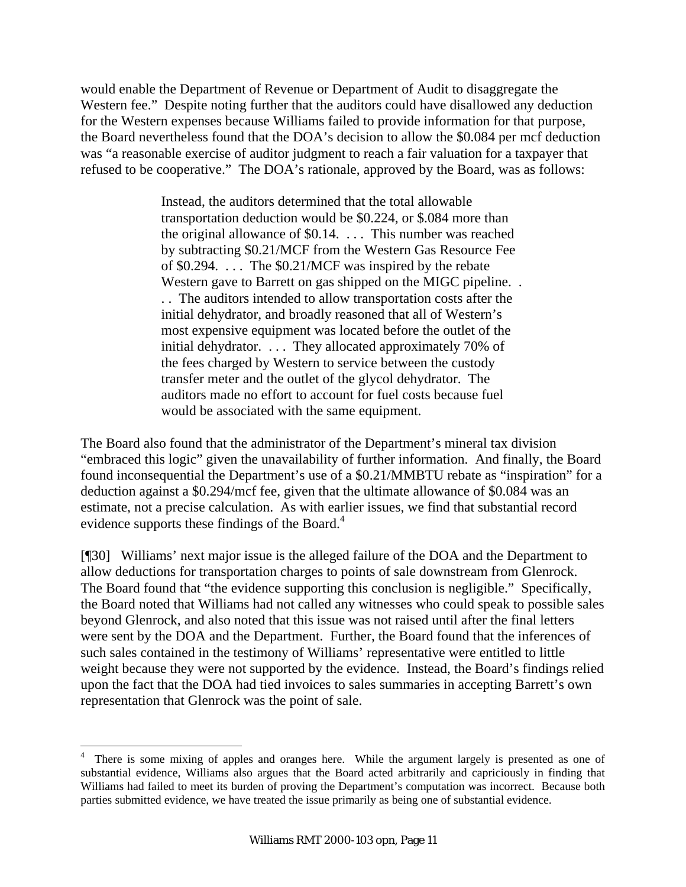would enable the Department of Revenue or Department of Audit to disaggregate the Western fee." Despite noting further that the auditors could have disallowed any deduction for the Western expenses because Williams failed to provide information for that purpose, the Board nevertheless found that the DOA's decision to allow the \$0.084 per mcf deduction was "a reasonable exercise of auditor judgment to reach a fair valuation for a taxpayer that refused to be cooperative." The DOA's rationale, approved by the Board, was as follows:

> Instead, the auditors determined that the total allowable transportation deduction would be \$0.224, or \$.084 more than the original allowance of \$0.14. . . . This number was reached by subtracting \$0.21/MCF from the Western Gas Resource Fee of \$0.294. . . . The \$0.21/MCF was inspired by the rebate Western gave to Barrett on gas shipped on the MIGC pipeline... . . The auditors intended to allow transportation costs after the initial dehydrator, and broadly reasoned that all of Western's most expensive equipment was located before the outlet of the initial dehydrator. . . . They allocated approximately 70% of the fees charged by Western to service between the custody transfer meter and the outlet of the glycol dehydrator. The auditors made no effort to account for fuel costs because fuel would be associated with the same equipment.

The Board also found that the administrator of the Department's mineral tax division "embraced this logic" given the unavailability of further information. And finally, the Board found inconsequential the Department's use of a \$0.21/MMBTU rebate as "inspiration" for a deduction against a \$0.294/mcf fee, given that the ultimate allowance of \$0.084 was an estimate, not a precise calculation. As with earlier issues, we find that substantial record evidence supports these findings of the Board.<sup>4</sup>

[¶30] Williams' next major issue is the alleged failure of the DOA and the Department to allow deductions for transportation charges to points of sale downstream from Glenrock. The Board found that "the evidence supporting this conclusion is negligible." Specifically, the Board noted that Williams had not called any witnesses who could speak to possible sales beyond Glenrock, and also noted that this issue was not raised until after the final letters were sent by the DOA and the Department. Further, the Board found that the inferences of such sales contained in the testimony of Williams' representative were entitled to little weight because they were not supported by the evidence. Instead, the Board's findings relied upon the fact that the DOA had tied invoices to sales summaries in accepting Barrett's own representation that Glenrock was the point of sale.

 $\overline{a}$ 

<sup>4</sup> There is some mixing of apples and oranges here. While the argument largely is presented as one of substantial evidence, Williams also argues that the Board acted arbitrarily and capriciously in finding that Williams had failed to meet its burden of proving the Department's computation was incorrect. Because both parties submitted evidence, we have treated the issue primarily as being one of substantial evidence.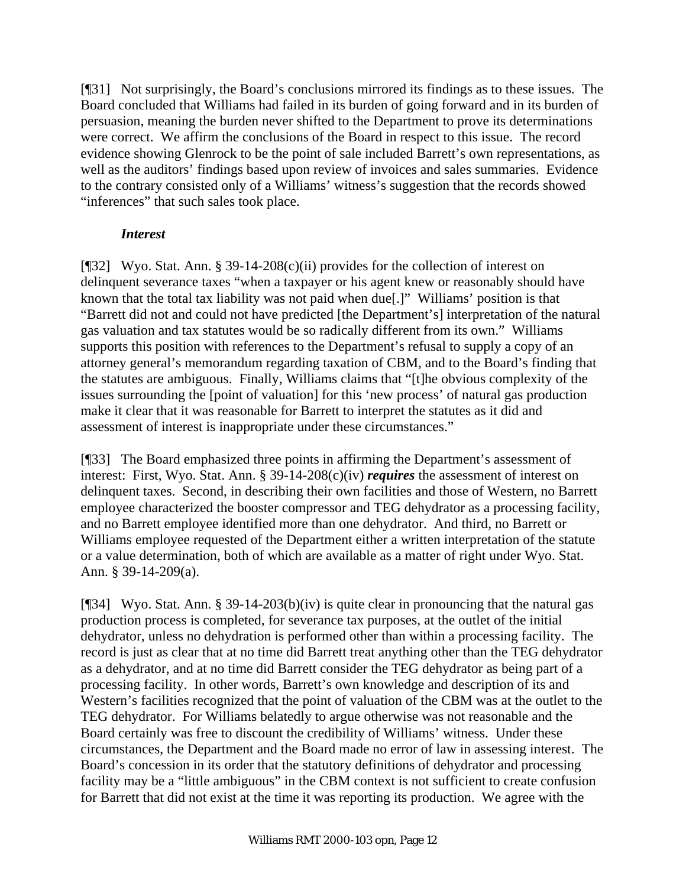[¶31] Not surprisingly, the Board's conclusions mirrored its findings as to these issues. The Board concluded that Williams had failed in its burden of going forward and in its burden of persuasion, meaning the burden never shifted to the Department to prove its determinations were correct. We affirm the conclusions of the Board in respect to this issue. The record evidence showing Glenrock to be the point of sale included Barrett's own representations, as well as the auditors' findings based upon review of invoices and sales summaries. Evidence to the contrary consisted only of a Williams' witness's suggestion that the records showed "inferences" that such sales took place.

### *Interest*

[¶32] Wyo. Stat. Ann. § 39-14-208(c)(ii) provides for the collection of interest on delinquent severance taxes "when a taxpayer or his agent knew or reasonably should have known that the total tax liability was not paid when due[.]" Williams' position is that "Barrett did not and could not have predicted [the Department's] interpretation of the natural gas valuation and tax statutes would be so radically different from its own." Williams supports this position with references to the Department's refusal to supply a copy of an attorney general's memorandum regarding taxation of CBM, and to the Board's finding that the statutes are ambiguous. Finally, Williams claims that "[t]he obvious complexity of the issues surrounding the [point of valuation] for this 'new process' of natural gas production make it clear that it was reasonable for Barrett to interpret the statutes as it did and assessment of interest is inappropriate under these circumstances."

[¶33] The Board emphasized three points in affirming the Department's assessment of interest: First, Wyo. Stat. Ann. § 39-14-208(c)(iv) *requires* the assessment of interest on delinquent taxes. Second, in describing their own facilities and those of Western, no Barrett employee characterized the booster compressor and TEG dehydrator as a processing facility, and no Barrett employee identified more than one dehydrator. And third, no Barrett or Williams employee requested of the Department either a written interpretation of the statute or a value determination, both of which are available as a matter of right under Wyo. Stat. Ann. § 39-14-209(a).

[¶34] Wyo. Stat. Ann. § 39-14-203(b)(iv) is quite clear in pronouncing that the natural gas production process is completed, for severance tax purposes, at the outlet of the initial dehydrator, unless no dehydration is performed other than within a processing facility. The record is just as clear that at no time did Barrett treat anything other than the TEG dehydrator as a dehydrator, and at no time did Barrett consider the TEG dehydrator as being part of a processing facility. In other words, Barrett's own knowledge and description of its and Western's facilities recognized that the point of valuation of the CBM was at the outlet to the TEG dehydrator. For Williams belatedly to argue otherwise was not reasonable and the Board certainly was free to discount the credibility of Williams' witness. Under these circumstances, the Department and the Board made no error of law in assessing interest. The Board's concession in its order that the statutory definitions of dehydrator and processing facility may be a "little ambiguous" in the CBM context is not sufficient to create confusion for Barrett that did not exist at the time it was reporting its production. We agree with the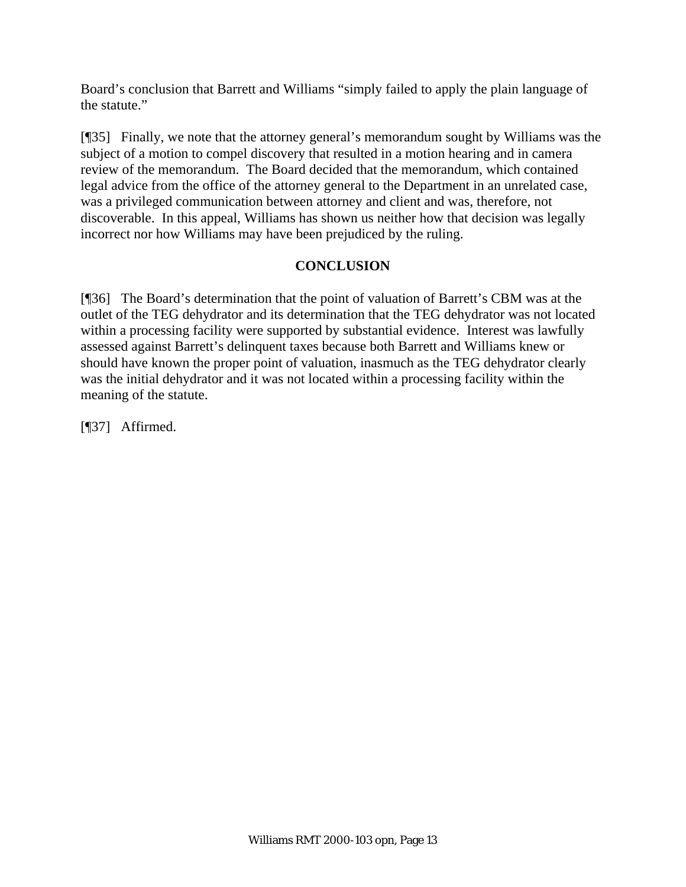Board's conclusion that Barrett and Williams "simply failed to apply the plain language of the statute."

[¶35] Finally, we note that the attorney general's memorandum sought by Williams was the subject of a motion to compel discovery that resulted in a motion hearing and in camera review of the memorandum. The Board decided that the memorandum, which contained legal advice from the office of the attorney general to the Department in an unrelated case, was a privileged communication between attorney and client and was, therefore, not discoverable. In this appeal, Williams has shown us neither how that decision was legally incorrect nor how Williams may have been prejudiced by the ruling.

## **CONCLUSION**

[¶36] The Board's determination that the point of valuation of Barrett's CBM was at the outlet of the TEG dehydrator and its determination that the TEG dehydrator was not located within a processing facility were supported by substantial evidence. Interest was lawfully assessed against Barrett's delinquent taxes because both Barrett and Williams knew or should have known the proper point of valuation, inasmuch as the TEG dehydrator clearly was the initial dehydrator and it was not located within a processing facility within the meaning of the statute.

[¶37] Affirmed.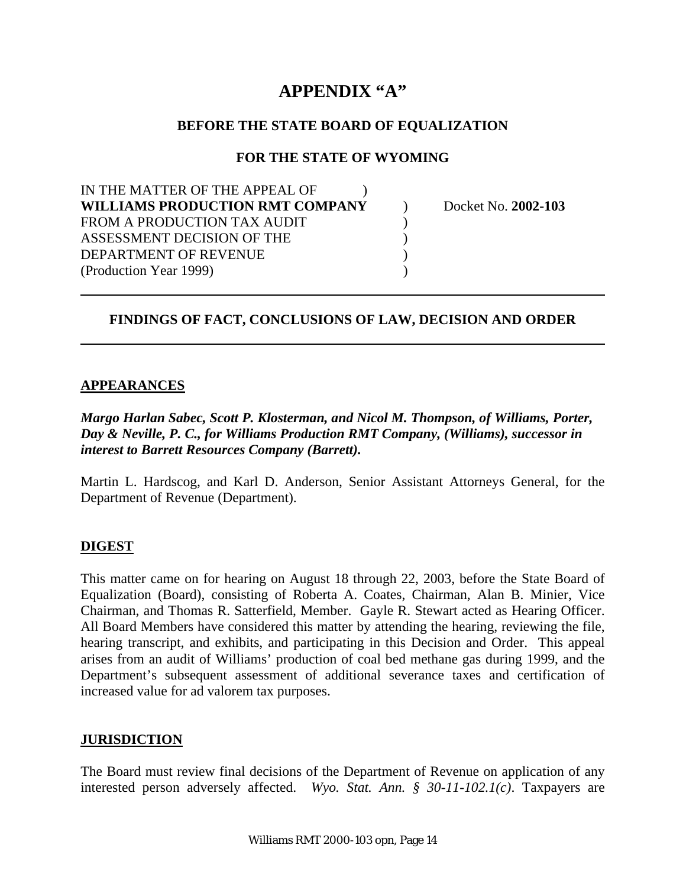# **APPENDIX "A"**

#### **BEFORE THE STATE BOARD OF EQUALIZATION**

#### **FOR THE STATE OF WYOMING**

| Docket No. 2002-103 |
|---------------------|
|                     |
|                     |
|                     |
|                     |
|                     |

### **FINDINGS OF FACT, CONCLUSIONS OF LAW, DECISION AND ORDER**

#### **APPEARANCES**

*Margo Harlan Sabec, Scott P. Klosterman, and Nicol M. Thompson, of Williams, Porter, Day & Neville, P. C., for Williams Production RMT Company, (Williams), successor in interest to Barrett Resources Company (Barrett).* 

Martin L. Hardscog, and Karl D. Anderson, Senior Assistant Attorneys General, for the Department of Revenue (Department).

#### **DIGEST**

This matter came on for hearing on August 18 through 22, 2003, before the State Board of Equalization (Board), consisting of Roberta A. Coates, Chairman, Alan B. Minier, Vice Chairman, and Thomas R. Satterfield, Member. Gayle R. Stewart acted as Hearing Officer. All Board Members have considered this matter by attending the hearing, reviewing the file, hearing transcript, and exhibits, and participating in this Decision and Order. This appeal arises from an audit of Williams' production of coal bed methane gas during 1999, and the Department's subsequent assessment of additional severance taxes and certification of increased value for ad valorem tax purposes.

#### **JURISDICTION**

The Board must review final decisions of the Department of Revenue on application of any interested person adversely affected. *Wyo. Stat. Ann. § 30-11-102.1(c)*. Taxpayers are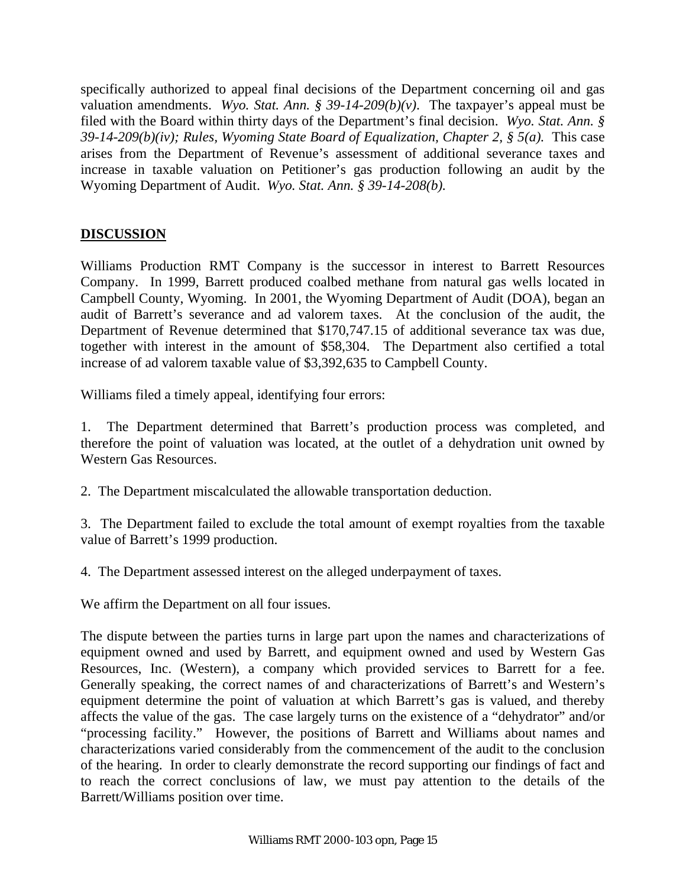specifically authorized to appeal final decisions of the Department concerning oil and gas valuation amendments. *Wyo. Stat. Ann.* § 39-14-209(b)(v). The taxpayer's appeal must be filed with the Board within thirty days of the Department's final decision. *Wyo. Stat. Ann. § 39-14-209(b)(iv); Rules, Wyoming State Board of Equalization, Chapter 2, § 5(a).* This case arises from the Department of Revenue's assessment of additional severance taxes and increase in taxable valuation on Petitioner's gas production following an audit by the Wyoming Department of Audit. *Wyo. Stat. Ann. § 39-14-208(b).*

## **DISCUSSION**

Williams Production RMT Company is the successor in interest to Barrett Resources Company. In 1999, Barrett produced coalbed methane from natural gas wells located in Campbell County, Wyoming. In 2001, the Wyoming Department of Audit (DOA), began an audit of Barrett's severance and ad valorem taxes. At the conclusion of the audit, the Department of Revenue determined that \$170,747.15 of additional severance tax was due, together with interest in the amount of \$58,304. The Department also certified a total increase of ad valorem taxable value of \$3,392,635 to Campbell County.

Williams filed a timely appeal, identifying four errors:

1. The Department determined that Barrett's production process was completed, and therefore the point of valuation was located, at the outlet of a dehydration unit owned by Western Gas Resources.

2. The Department miscalculated the allowable transportation deduction.

3. The Department failed to exclude the total amount of exempt royalties from the taxable value of Barrett's 1999 production.

4. The Department assessed interest on the alleged underpayment of taxes.

We affirm the Department on all four issues.

The dispute between the parties turns in large part upon the names and characterizations of equipment owned and used by Barrett, and equipment owned and used by Western Gas Resources, Inc. (Western), a company which provided services to Barrett for a fee. Generally speaking, the correct names of and characterizations of Barrett's and Western's equipment determine the point of valuation at which Barrett's gas is valued, and thereby affects the value of the gas. The case largely turns on the existence of a "dehydrator" and/or "processing facility." However, the positions of Barrett and Williams about names and characterizations varied considerably from the commencement of the audit to the conclusion of the hearing. In order to clearly demonstrate the record supporting our findings of fact and to reach the correct conclusions of law, we must pay attention to the details of the Barrett/Williams position over time.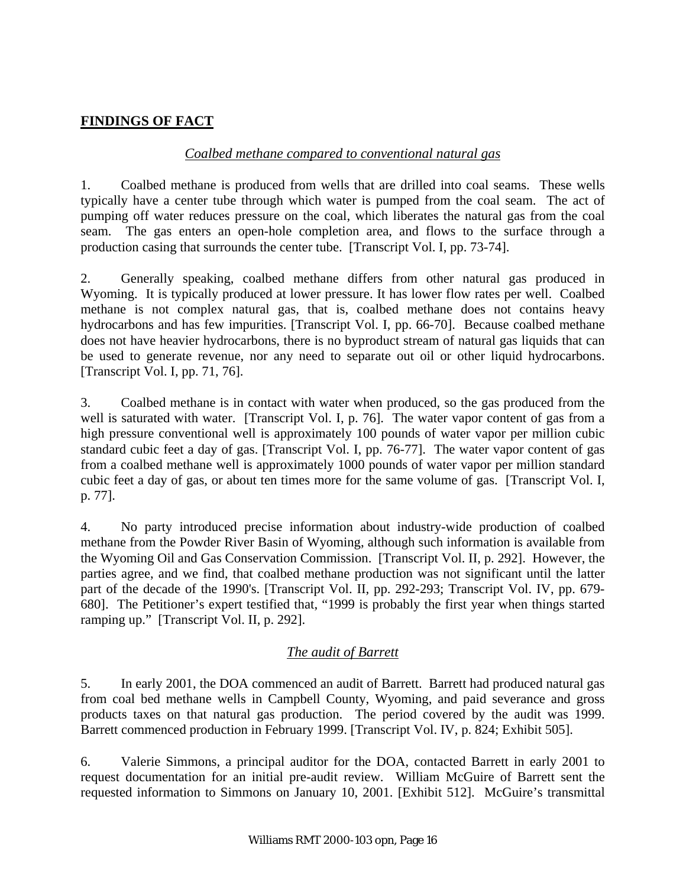### **FINDINGS OF FACT**

### *Coalbed methane compared to conventional natural gas*

1. Coalbed methane is produced from wells that are drilled into coal seams. These wells typically have a center tube through which water is pumped from the coal seam. The act of pumping off water reduces pressure on the coal, which liberates the natural gas from the coal seam. The gas enters an open-hole completion area, and flows to the surface through a production casing that surrounds the center tube. [Transcript Vol. I, pp. 73-74].

2. Generally speaking, coalbed methane differs from other natural gas produced in Wyoming. It is typically produced at lower pressure. It has lower flow rates per well. Coalbed methane is not complex natural gas, that is, coalbed methane does not contains heavy hydrocarbons and has few impurities. [Transcript Vol. I, pp. 66-70]. Because coalbed methane does not have heavier hydrocarbons, there is no byproduct stream of natural gas liquids that can be used to generate revenue, nor any need to separate out oil or other liquid hydrocarbons. [Transcript Vol. I, pp. 71, 76].

3. Coalbed methane is in contact with water when produced, so the gas produced from the well is saturated with water. [Transcript Vol. I, p. 76]. The water vapor content of gas from a high pressure conventional well is approximately 100 pounds of water vapor per million cubic standard cubic feet a day of gas. [Transcript Vol. I, pp. 76-77]. The water vapor content of gas from a coalbed methane well is approximately 1000 pounds of water vapor per million standard cubic feet a day of gas, or about ten times more for the same volume of gas. [Transcript Vol. I, p. 77].

4. No party introduced precise information about industry-wide production of coalbed methane from the Powder River Basin of Wyoming, although such information is available from the Wyoming Oil and Gas Conservation Commission. [Transcript Vol. II, p. 292]. However, the parties agree, and we find, that coalbed methane production was not significant until the latter part of the decade of the 1990's. [Transcript Vol. II, pp. 292-293; Transcript Vol. IV, pp. 679- 680]. The Petitioner's expert testified that, "1999 is probably the first year when things started ramping up." [Transcript Vol. II, p. 292].

### *The audit of Barrett*

5. In early 2001, the DOA commenced an audit of Barrett. Barrett had produced natural gas from coal bed methane wells in Campbell County, Wyoming, and paid severance and gross products taxes on that natural gas production. The period covered by the audit was 1999. Barrett commenced production in February 1999. [Transcript Vol. IV, p. 824; Exhibit 505].

6. Valerie Simmons, a principal auditor for the DOA, contacted Barrett in early 2001 to request documentation for an initial pre-audit review. William McGuire of Barrett sent the requested information to Simmons on January 10, 2001. [Exhibit 512]. McGuire's transmittal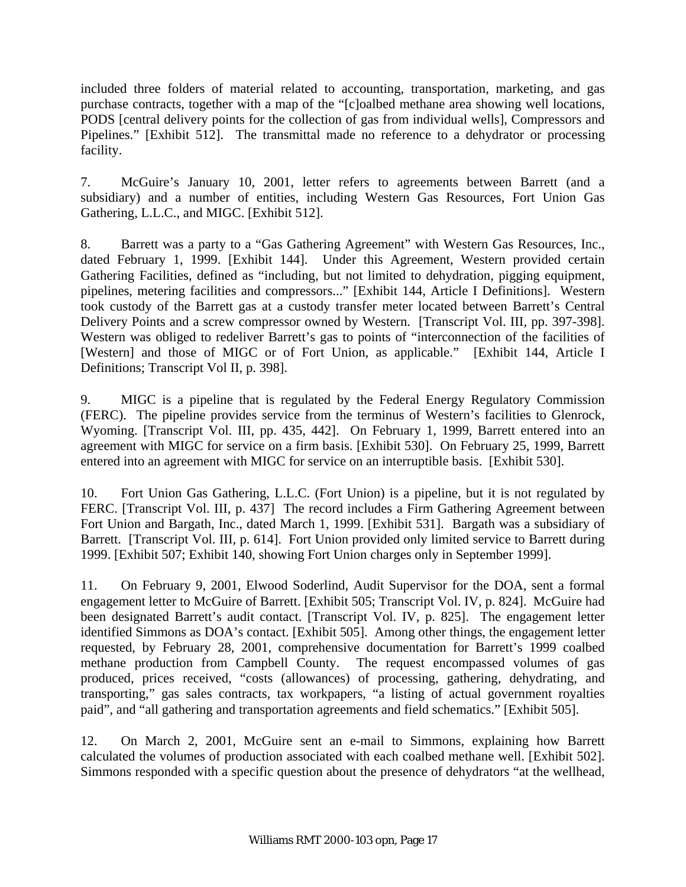included three folders of material related to accounting, transportation, marketing, and gas purchase contracts, together with a map of the "[c]oalbed methane area showing well locations, PODS [central delivery points for the collection of gas from individual wells], Compressors and Pipelines." [Exhibit 512]. The transmittal made no reference to a dehydrator or processing facility.

7. McGuire's January 10, 2001, letter refers to agreements between Barrett (and a subsidiary) and a number of entities, including Western Gas Resources, Fort Union Gas Gathering, L.L.C., and MIGC. [Exhibit 512].

8. Barrett was a party to a "Gas Gathering Agreement" with Western Gas Resources, Inc., dated February 1, 1999. [Exhibit 144]. Under this Agreement, Western provided certain Gathering Facilities, defined as "including, but not limited to dehydration, pigging equipment, pipelines, metering facilities and compressors..." [Exhibit 144, Article I Definitions]. Western took custody of the Barrett gas at a custody transfer meter located between Barrett's Central Delivery Points and a screw compressor owned by Western. [Transcript Vol. III, pp. 397-398]. Western was obliged to redeliver Barrett's gas to points of "interconnection of the facilities of [Western] and those of MIGC or of Fort Union, as applicable." [Exhibit 144, Article I Definitions; Transcript Vol II, p. 398].

9. MIGC is a pipeline that is regulated by the Federal Energy Regulatory Commission (FERC). The pipeline provides service from the terminus of Western's facilities to Glenrock, Wyoming. [Transcript Vol. III, pp. 435, 442]. On February 1, 1999, Barrett entered into an agreement with MIGC for service on a firm basis. [Exhibit 530]. On February 25, 1999, Barrett entered into an agreement with MIGC for service on an interruptible basis. [Exhibit 530].

10. Fort Union Gas Gathering, L.L.C. (Fort Union) is a pipeline, but it is not regulated by FERC. [Transcript Vol. III, p. 437] The record includes a Firm Gathering Agreement between Fort Union and Bargath, Inc., dated March 1, 1999. [Exhibit 531]. Bargath was a subsidiary of Barrett. [Transcript Vol. III, p. 614]. Fort Union provided only limited service to Barrett during 1999. [Exhibit 507; Exhibit 140, showing Fort Union charges only in September 1999].

11. On February 9, 2001, Elwood Soderlind, Audit Supervisor for the DOA, sent a formal engagement letter to McGuire of Barrett. [Exhibit 505; Transcript Vol. IV, p. 824]. McGuire had been designated Barrett's audit contact. [Transcript Vol. IV, p. 825]. The engagement letter identified Simmons as DOA's contact. [Exhibit 505]. Among other things, the engagement letter requested, by February 28, 2001, comprehensive documentation for Barrett's 1999 coalbed methane production from Campbell County. The request encompassed volumes of gas produced, prices received, "costs (allowances) of processing, gathering, dehydrating, and transporting," gas sales contracts, tax workpapers, "a listing of actual government royalties paid", and "all gathering and transportation agreements and field schematics." [Exhibit 505].

12. On March 2, 2001, McGuire sent an e-mail to Simmons, explaining how Barrett calculated the volumes of production associated with each coalbed methane well. [Exhibit 502]. Simmons responded with a specific question about the presence of dehydrators "at the wellhead,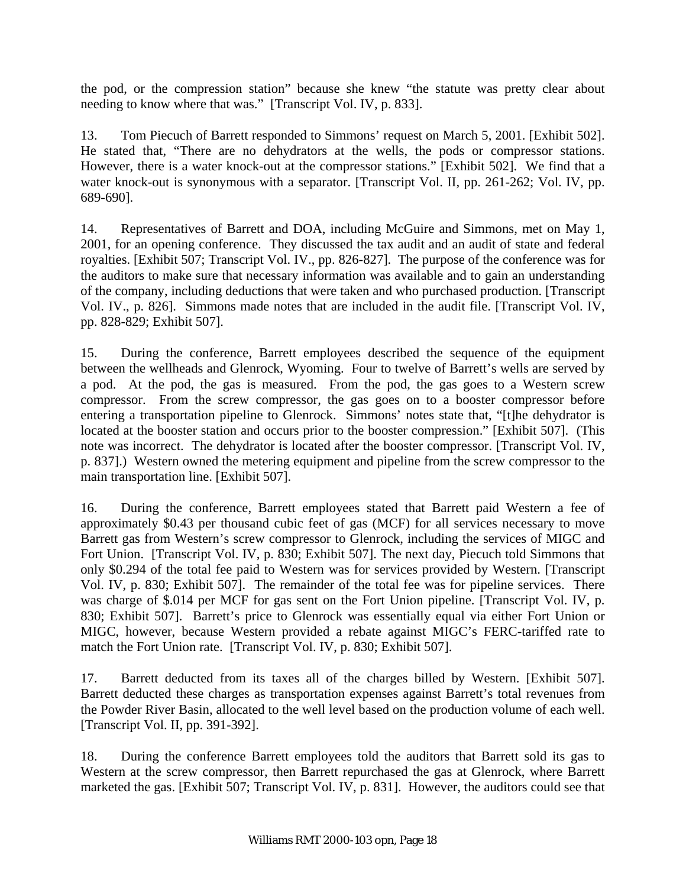the pod, or the compression station" because she knew "the statute was pretty clear about needing to know where that was." [Transcript Vol. IV, p. 833].

13. Tom Piecuch of Barrett responded to Simmons' request on March 5, 2001. [Exhibit 502]. He stated that, "There are no dehydrators at the wells, the pods or compressor stations. However, there is a water knock-out at the compressor stations." [Exhibit 502]. We find that a water knock-out is synonymous with a separator. [Transcript Vol. II, pp. 261-262; Vol. IV, pp. 689-690].

14. Representatives of Barrett and DOA, including McGuire and Simmons, met on May 1, 2001, for an opening conference. They discussed the tax audit and an audit of state and federal royalties. [Exhibit 507; Transcript Vol. IV., pp. 826-827]. The purpose of the conference was for the auditors to make sure that necessary information was available and to gain an understanding of the company, including deductions that were taken and who purchased production. [Transcript Vol. IV., p. 826]. Simmons made notes that are included in the audit file. [Transcript Vol. IV, pp. 828-829; Exhibit 507].

15. During the conference, Barrett employees described the sequence of the equipment between the wellheads and Glenrock, Wyoming. Four to twelve of Barrett's wells are served by a pod. At the pod, the gas is measured. From the pod, the gas goes to a Western screw compressor. From the screw compressor, the gas goes on to a booster compressor before entering a transportation pipeline to Glenrock. Simmons' notes state that, "[t]he dehydrator is located at the booster station and occurs prior to the booster compression." [Exhibit 507]. (This note was incorrect. The dehydrator is located after the booster compressor. [Transcript Vol. IV, p. 837].) Western owned the metering equipment and pipeline from the screw compressor to the main transportation line. [Exhibit 507].

16. During the conference, Barrett employees stated that Barrett paid Western a fee of approximately \$0.43 per thousand cubic feet of gas (MCF) for all services necessary to move Barrett gas from Western's screw compressor to Glenrock, including the services of MIGC and Fort Union. [Transcript Vol. IV, p. 830; Exhibit 507]. The next day, Piecuch told Simmons that only \$0.294 of the total fee paid to Western was for services provided by Western. [Transcript Vol. IV, p. 830; Exhibit 507]. The remainder of the total fee was for pipeline services. There was charge of \$.014 per MCF for gas sent on the Fort Union pipeline. [Transcript Vol. IV, p. 830; Exhibit 507]. Barrett's price to Glenrock was essentially equal via either Fort Union or MIGC, however, because Western provided a rebate against MIGC's FERC-tariffed rate to match the Fort Union rate. [Transcript Vol. IV, p. 830; Exhibit 507].

17. Barrett deducted from its taxes all of the charges billed by Western. [Exhibit 507]. Barrett deducted these charges as transportation expenses against Barrett's total revenues from the Powder River Basin, allocated to the well level based on the production volume of each well. [Transcript Vol. II, pp. 391-392].

18. During the conference Barrett employees told the auditors that Barrett sold its gas to Western at the screw compressor, then Barrett repurchased the gas at Glenrock, where Barrett marketed the gas. [Exhibit 507; Transcript Vol. IV, p. 831]. However, the auditors could see that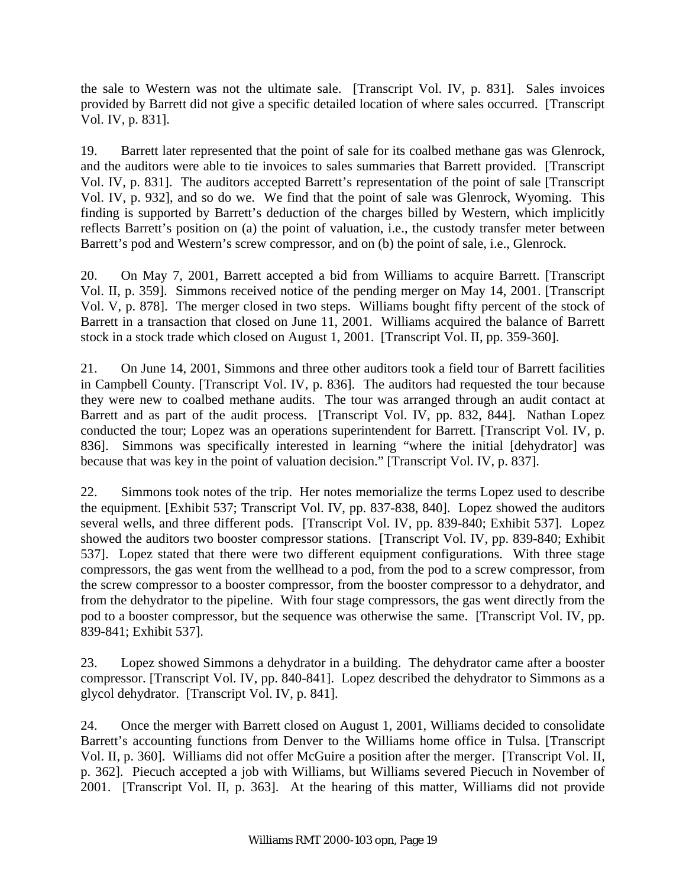the sale to Western was not the ultimate sale. [Transcript Vol. IV, p. 831]. Sales invoices provided by Barrett did not give a specific detailed location of where sales occurred. [Transcript Vol. IV, p. 831].

19. Barrett later represented that the point of sale for its coalbed methane gas was Glenrock, and the auditors were able to tie invoices to sales summaries that Barrett provided. [Transcript Vol. IV, p. 831]. The auditors accepted Barrett's representation of the point of sale [Transcript Vol. IV, p. 932], and so do we. We find that the point of sale was Glenrock, Wyoming. This finding is supported by Barrett's deduction of the charges billed by Western, which implicitly reflects Barrett's position on (a) the point of valuation, i.e., the custody transfer meter between Barrett's pod and Western's screw compressor, and on (b) the point of sale, i.e., Glenrock.

20. On May 7, 2001, Barrett accepted a bid from Williams to acquire Barrett. [Transcript Vol. II, p. 359]. Simmons received notice of the pending merger on May 14, 2001. [Transcript Vol. V, p. 878]. The merger closed in two steps. Williams bought fifty percent of the stock of Barrett in a transaction that closed on June 11, 2001. Williams acquired the balance of Barrett stock in a stock trade which closed on August 1, 2001. [Transcript Vol. II, pp. 359-360].

21. On June 14, 2001, Simmons and three other auditors took a field tour of Barrett facilities in Campbell County. [Transcript Vol. IV, p. 836]. The auditors had requested the tour because they were new to coalbed methane audits. The tour was arranged through an audit contact at Barrett and as part of the audit process. [Transcript Vol. IV, pp. 832, 844]. Nathan Lopez conducted the tour; Lopez was an operations superintendent for Barrett. [Transcript Vol. IV, p. 836]. Simmons was specifically interested in learning "where the initial [dehydrator] was because that was key in the point of valuation decision." [Transcript Vol. IV, p. 837].

22. Simmons took notes of the trip. Her notes memorialize the terms Lopez used to describe the equipment. [Exhibit 537; Transcript Vol. IV, pp. 837-838, 840]. Lopez showed the auditors several wells, and three different pods. [Transcript Vol. IV, pp. 839-840; Exhibit 537]. Lopez showed the auditors two booster compressor stations. [Transcript Vol. IV, pp. 839-840; Exhibit 537]. Lopez stated that there were two different equipment configurations. With three stage compressors, the gas went from the wellhead to a pod, from the pod to a screw compressor, from the screw compressor to a booster compressor, from the booster compressor to a dehydrator, and from the dehydrator to the pipeline. With four stage compressors, the gas went directly from the pod to a booster compressor, but the sequence was otherwise the same. [Transcript Vol. IV, pp. 839-841; Exhibit 537].

23. Lopez showed Simmons a dehydrator in a building. The dehydrator came after a booster compressor. [Transcript Vol. IV, pp. 840-841]. Lopez described the dehydrator to Simmons as a glycol dehydrator. [Transcript Vol. IV, p. 841].

24. Once the merger with Barrett closed on August 1, 2001, Williams decided to consolidate Barrett's accounting functions from Denver to the Williams home office in Tulsa. [Transcript Vol. II, p. 360]. Williams did not offer McGuire a position after the merger. [Transcript Vol. II, p. 362]. Piecuch accepted a job with Williams, but Williams severed Piecuch in November of 2001. [Transcript Vol. II, p. 363]. At the hearing of this matter, Williams did not provide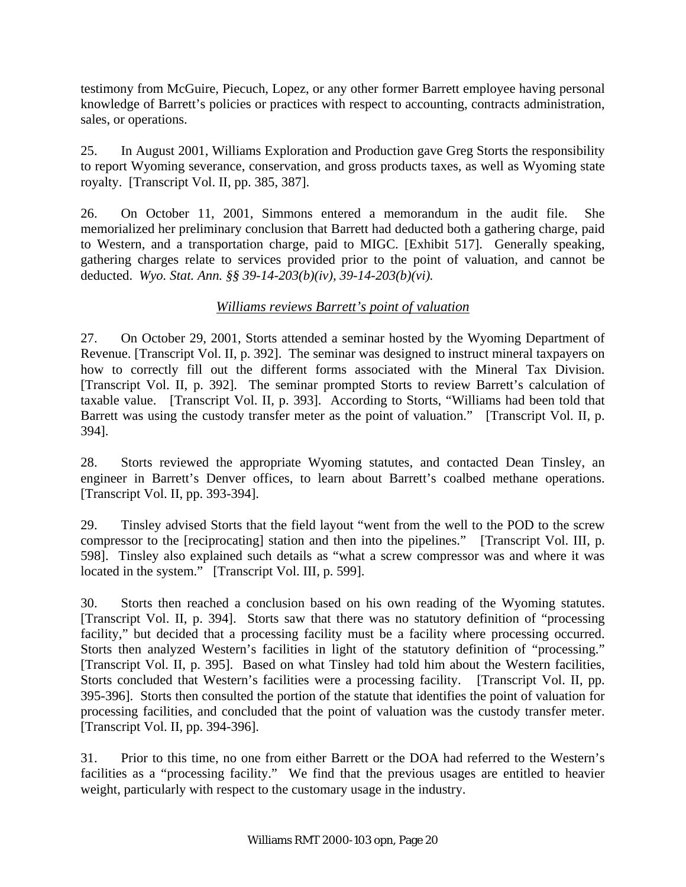testimony from McGuire, Piecuch, Lopez, or any other former Barrett employee having personal knowledge of Barrett's policies or practices with respect to accounting, contracts administration, sales, or operations.

25. In August 2001, Williams Exploration and Production gave Greg Storts the responsibility to report Wyoming severance, conservation, and gross products taxes, as well as Wyoming state royalty. [Transcript Vol. II, pp. 385, 387].

26. On October 11, 2001, Simmons entered a memorandum in the audit file. She memorialized her preliminary conclusion that Barrett had deducted both a gathering charge, paid to Western, and a transportation charge, paid to MIGC. [Exhibit 517]. Generally speaking, gathering charges relate to services provided prior to the point of valuation, and cannot be deducted. *Wyo. Stat. Ann. §§ 39-14-203(b)(iv), 39-14-203(b)(vi).* 

## *Williams reviews Barrett's point of valuation*

27. On October 29, 2001, Storts attended a seminar hosted by the Wyoming Department of Revenue. [Transcript Vol. II, p. 392]. The seminar was designed to instruct mineral taxpayers on how to correctly fill out the different forms associated with the Mineral Tax Division. [Transcript Vol. II, p. 392]. The seminar prompted Storts to review Barrett's calculation of taxable value. [Transcript Vol. II, p. 393]. According to Storts, "Williams had been told that Barrett was using the custody transfer meter as the point of valuation." [Transcript Vol. II, p. 394].

28. Storts reviewed the appropriate Wyoming statutes, and contacted Dean Tinsley, an engineer in Barrett's Denver offices, to learn about Barrett's coalbed methane operations. [Transcript Vol. II, pp. 393-394].

29. Tinsley advised Storts that the field layout "went from the well to the POD to the screw compressor to the [reciprocating] station and then into the pipelines." [Transcript Vol. III, p. 598]. Tinsley also explained such details as "what a screw compressor was and where it was located in the system." [Transcript Vol. III, p. 599].

30. Storts then reached a conclusion based on his own reading of the Wyoming statutes. [Transcript Vol. II, p. 394]. Storts saw that there was no statutory definition of "processing facility," but decided that a processing facility must be a facility where processing occurred. Storts then analyzed Western's facilities in light of the statutory definition of "processing." [Transcript Vol. II, p. 395]. Based on what Tinsley had told him about the Western facilities, Storts concluded that Western's facilities were a processing facility. [Transcript Vol. II, pp. 395-396]. Storts then consulted the portion of the statute that identifies the point of valuation for processing facilities, and concluded that the point of valuation was the custody transfer meter. [Transcript Vol. II, pp. 394-396].

31. Prior to this time, no one from either Barrett or the DOA had referred to the Western's facilities as a "processing facility." We find that the previous usages are entitled to heavier weight, particularly with respect to the customary usage in the industry.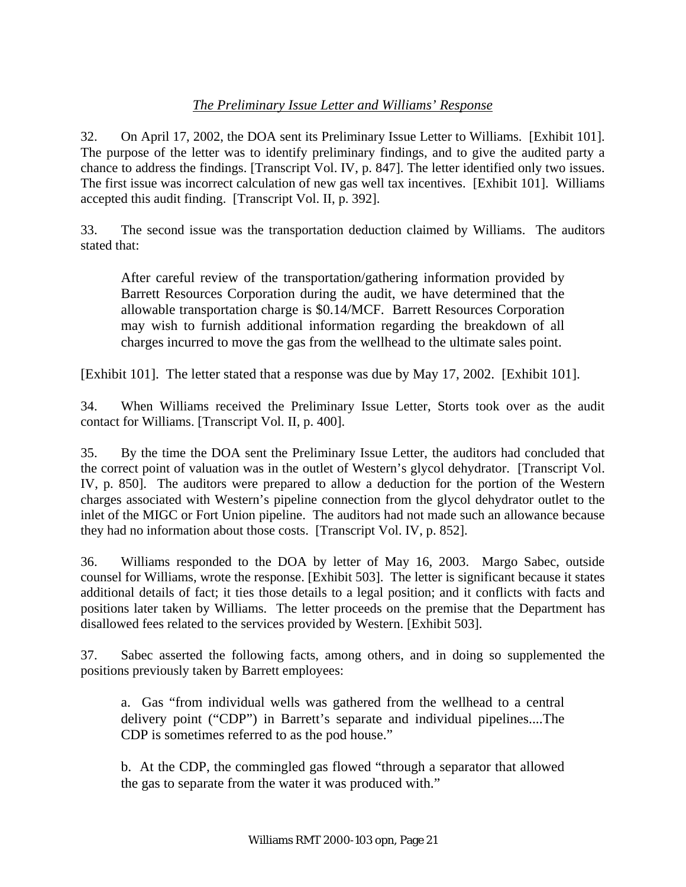## *The Preliminary Issue Letter and Williams' Response*

32. On April 17, 2002, the DOA sent its Preliminary Issue Letter to Williams. [Exhibit 101]. The purpose of the letter was to identify preliminary findings, and to give the audited party a chance to address the findings. [Transcript Vol. IV, p. 847]. The letter identified only two issues. The first issue was incorrect calculation of new gas well tax incentives. [Exhibit 101]. Williams accepted this audit finding. [Transcript Vol. II, p. 392].

33. The second issue was the transportation deduction claimed by Williams. The auditors stated that:

After careful review of the transportation/gathering information provided by Barrett Resources Corporation during the audit, we have determined that the allowable transportation charge is \$0.14/MCF. Barrett Resources Corporation may wish to furnish additional information regarding the breakdown of all charges incurred to move the gas from the wellhead to the ultimate sales point.

[Exhibit 101]. The letter stated that a response was due by May 17, 2002. [Exhibit 101].

34. When Williams received the Preliminary Issue Letter, Storts took over as the audit contact for Williams. [Transcript Vol. II, p. 400].

35. By the time the DOA sent the Preliminary Issue Letter, the auditors had concluded that the correct point of valuation was in the outlet of Western's glycol dehydrator. [Transcript Vol. IV, p. 850]. The auditors were prepared to allow a deduction for the portion of the Western charges associated with Western's pipeline connection from the glycol dehydrator outlet to the inlet of the MIGC or Fort Union pipeline. The auditors had not made such an allowance because they had no information about those costs. [Transcript Vol. IV, p. 852].

36. Williams responded to the DOA by letter of May 16, 2003. Margo Sabec, outside counsel for Williams, wrote the response. [Exhibit 503]. The letter is significant because it states additional details of fact; it ties those details to a legal position; and it conflicts with facts and positions later taken by Williams. The letter proceeds on the premise that the Department has disallowed fees related to the services provided by Western. [Exhibit 503].

37. Sabec asserted the following facts, among others, and in doing so supplemented the positions previously taken by Barrett employees:

a. Gas "from individual wells was gathered from the wellhead to a central delivery point ("CDP") in Barrett's separate and individual pipelines....The CDP is sometimes referred to as the pod house."

b. At the CDP, the commingled gas flowed "through a separator that allowed the gas to separate from the water it was produced with."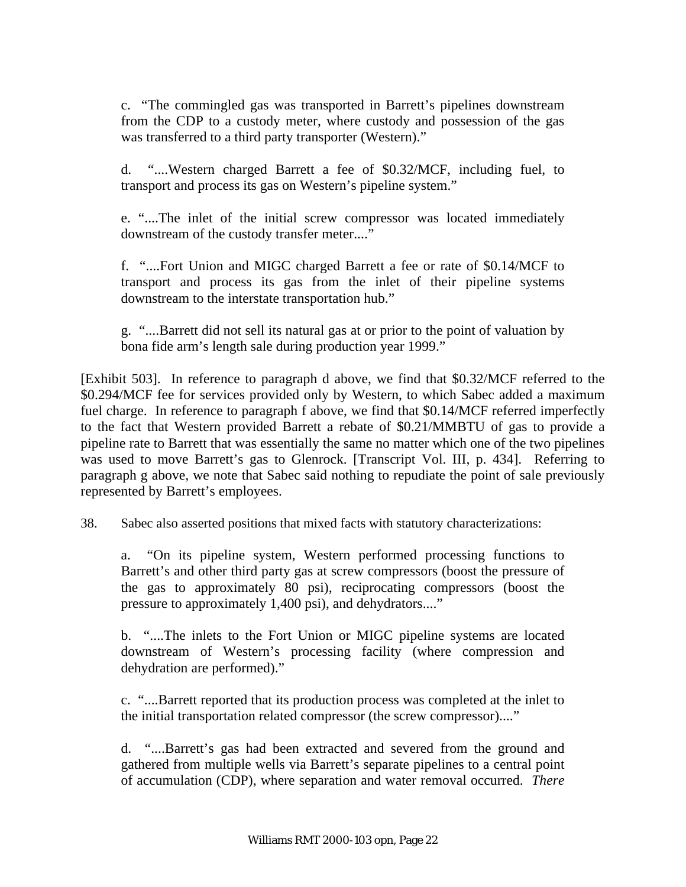c. "The commingled gas was transported in Barrett's pipelines downstream from the CDP to a custody meter, where custody and possession of the gas was transferred to a third party transporter (Western)."

d. "....Western charged Barrett a fee of \$0.32/MCF, including fuel, to transport and process its gas on Western's pipeline system."

e. "....The inlet of the initial screw compressor was located immediately downstream of the custody transfer meter...."

f. "....Fort Union and MIGC charged Barrett a fee or rate of \$0.14/MCF to transport and process its gas from the inlet of their pipeline systems downstream to the interstate transportation hub."

g. "....Barrett did not sell its natural gas at or prior to the point of valuation by bona fide arm's length sale during production year 1999."

[Exhibit 503]. In reference to paragraph d above, we find that \$0.32/MCF referred to the \$0.294/MCF fee for services provided only by Western, to which Sabec added a maximum fuel charge. In reference to paragraph f above, we find that \$0.14/MCF referred imperfectly to the fact that Western provided Barrett a rebate of \$0.21/MMBTU of gas to provide a pipeline rate to Barrett that was essentially the same no matter which one of the two pipelines was used to move Barrett's gas to Glenrock. [Transcript Vol. III, p. 434]. Referring to paragraph g above, we note that Sabec said nothing to repudiate the point of sale previously represented by Barrett's employees.

38. Sabec also asserted positions that mixed facts with statutory characterizations:

a. "On its pipeline system, Western performed processing functions to Barrett's and other third party gas at screw compressors (boost the pressure of the gas to approximately 80 psi), reciprocating compressors (boost the pressure to approximately 1,400 psi), and dehydrators...."

b. "....The inlets to the Fort Union or MIGC pipeline systems are located downstream of Western's processing facility (where compression and dehydration are performed)."

c. "....Barrett reported that its production process was completed at the inlet to the initial transportation related compressor (the screw compressor)...."

d. "....Barrett's gas had been extracted and severed from the ground and gathered from multiple wells via Barrett's separate pipelines to a central point of accumulation (CDP), where separation and water removal occurred. *There*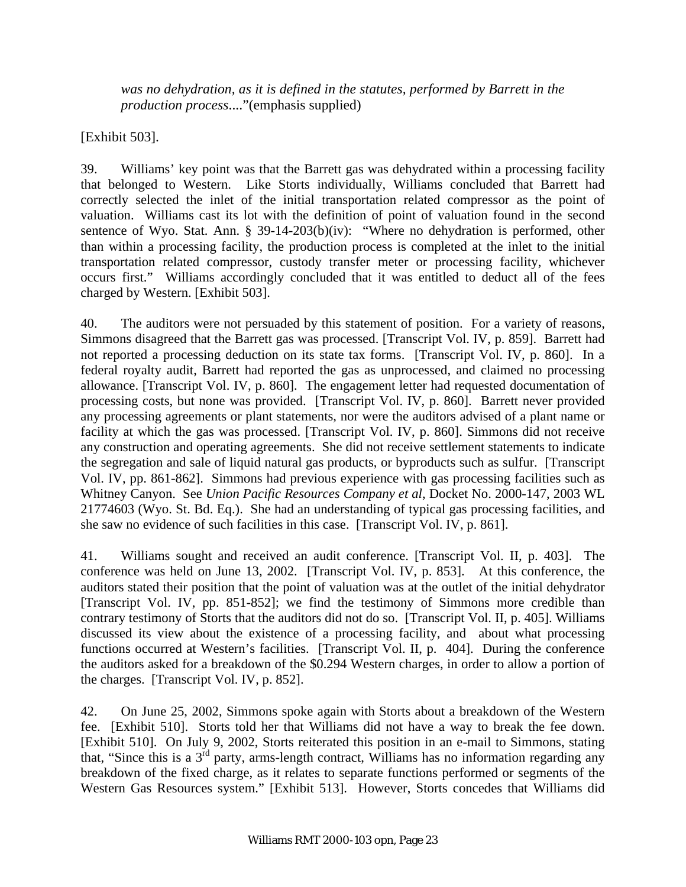*was no dehydration, as it is defined in the statutes, performed by Barrett in the production process*...."(emphasis supplied)

[Exhibit 503].

39. Williams' key point was that the Barrett gas was dehydrated within a processing facility that belonged to Western. Like Storts individually, Williams concluded that Barrett had correctly selected the inlet of the initial transportation related compressor as the point of valuation. Williams cast its lot with the definition of point of valuation found in the second sentence of Wyo. Stat. Ann. § 39-14-203(b)(iv): "Where no dehydration is performed, other than within a processing facility, the production process is completed at the inlet to the initial transportation related compressor, custody transfer meter or processing facility, whichever occurs first." Williams accordingly concluded that it was entitled to deduct all of the fees charged by Western. [Exhibit 503].

40. The auditors were not persuaded by this statement of position. For a variety of reasons, Simmons disagreed that the Barrett gas was processed. [Transcript Vol. IV, p. 859]. Barrett had not reported a processing deduction on its state tax forms. [Transcript Vol. IV, p. 860]. In a federal royalty audit, Barrett had reported the gas as unprocessed, and claimed no processing allowance. [Transcript Vol. IV, p. 860]. The engagement letter had requested documentation of processing costs, but none was provided. [Transcript Vol. IV, p. 860]. Barrett never provided any processing agreements or plant statements, nor were the auditors advised of a plant name or facility at which the gas was processed. [Transcript Vol. IV, p. 860]. Simmons did not receive any construction and operating agreements. She did not receive settlement statements to indicate the segregation and sale of liquid natural gas products, or byproducts such as sulfur. [Transcript Vol. IV, pp. 861-862]. Simmons had previous experience with gas processing facilities such as Whitney Canyon. See *Union Pacific Resources Company et al*, Docket No. 2000-147, 2003 WL 21774603 (Wyo. St. Bd. Eq.). She had an understanding of typical gas processing facilities, and she saw no evidence of such facilities in this case. [Transcript Vol. IV, p. 861].

41. Williams sought and received an audit conference. [Transcript Vol. II, p. 403]. The conference was held on June 13, 2002. [Transcript Vol. IV, p. 853]. At this conference, the auditors stated their position that the point of valuation was at the outlet of the initial dehydrator [Transcript Vol. IV, pp. 851-852]; we find the testimony of Simmons more credible than contrary testimony of Storts that the auditors did not do so. [Transcript Vol. II, p. 405]. Williams discussed its view about the existence of a processing facility, and about what processing functions occurred at Western's facilities. [Transcript Vol. II, p. 404]. During the conference the auditors asked for a breakdown of the \$0.294 Western charges, in order to allow a portion of the charges. [Transcript Vol. IV, p. 852].

42. On June 25, 2002, Simmons spoke again with Storts about a breakdown of the Western fee. [Exhibit 510]. Storts told her that Williams did not have a way to break the fee down. [Exhibit 510]. On July 9, 2002, Storts reiterated this position in an e-mail to Simmons, stating that, "Since this is a  $3<sup>rd</sup>$  party, arms-length contract, Williams has no information regarding any breakdown of the fixed charge, as it relates to separate functions performed or segments of the Western Gas Resources system." [Exhibit 513]. However, Storts concedes that Williams did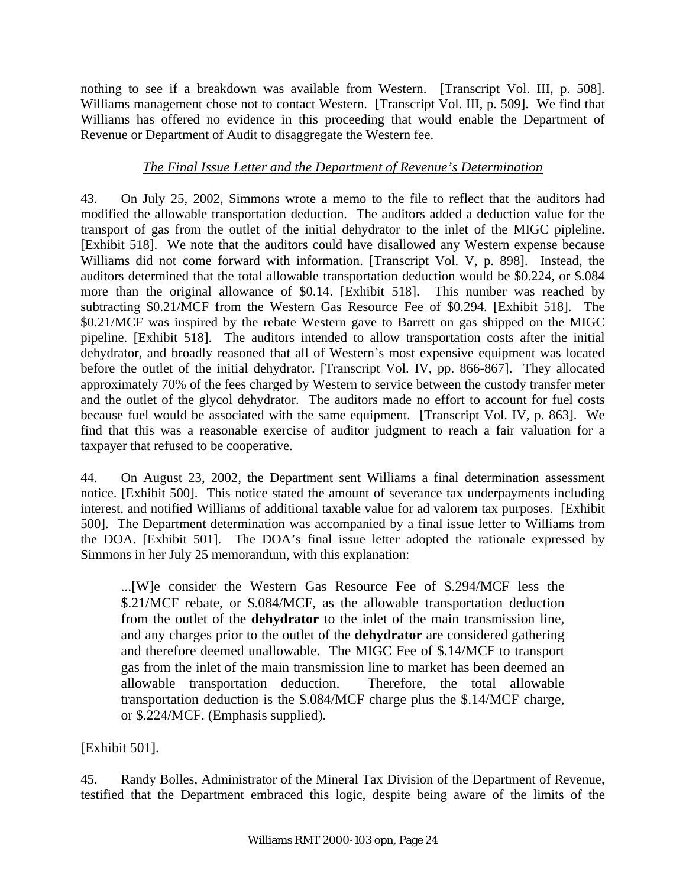nothing to see if a breakdown was available from Western. [Transcript Vol. III, p. 508]. Williams management chose not to contact Western. [Transcript Vol. III, p. 509]. We find that Williams has offered no evidence in this proceeding that would enable the Department of Revenue or Department of Audit to disaggregate the Western fee.

## *The Final Issue Letter and the Department of Revenue's Determination*

43. On July 25, 2002, Simmons wrote a memo to the file to reflect that the auditors had modified the allowable transportation deduction. The auditors added a deduction value for the transport of gas from the outlet of the initial dehydrator to the inlet of the MIGC pipleline. [Exhibit 518]. We note that the auditors could have disallowed any Western expense because Williams did not come forward with information. [Transcript Vol. V, p. 898]. Instead, the auditors determined that the total allowable transportation deduction would be \$0.224, or \$.084 more than the original allowance of \$0.14. [Exhibit 518]. This number was reached by subtracting \$0.21/MCF from the Western Gas Resource Fee of \$0.294. [Exhibit 518]. The \$0.21/MCF was inspired by the rebate Western gave to Barrett on gas shipped on the MIGC pipeline. [Exhibit 518]. The auditors intended to allow transportation costs after the initial dehydrator, and broadly reasoned that all of Western's most expensive equipment was located before the outlet of the initial dehydrator. [Transcript Vol. IV, pp. 866-867]. They allocated approximately 70% of the fees charged by Western to service between the custody transfer meter and the outlet of the glycol dehydrator. The auditors made no effort to account for fuel costs because fuel would be associated with the same equipment. [Transcript Vol. IV, p. 863]. We find that this was a reasonable exercise of auditor judgment to reach a fair valuation for a taxpayer that refused to be cooperative.

44. On August 23, 2002, the Department sent Williams a final determination assessment notice. [Exhibit 500]. This notice stated the amount of severance tax underpayments including interest, and notified Williams of additional taxable value for ad valorem tax purposes. [Exhibit 500]. The Department determination was accompanied by a final issue letter to Williams from the DOA. [Exhibit 501]. The DOA's final issue letter adopted the rationale expressed by Simmons in her July 25 memorandum, with this explanation:

...[W]e consider the Western Gas Resource Fee of \$.294/MCF less the \$.21/MCF rebate, or \$.084/MCF, as the allowable transportation deduction from the outlet of the **dehydrator** to the inlet of the main transmission line, and any charges prior to the outlet of the **dehydrator** are considered gathering and therefore deemed unallowable. The MIGC Fee of \$.14/MCF to transport gas from the inlet of the main transmission line to market has been deemed an allowable transportation deduction. Therefore, the total allowable transportation deduction is the \$.084/MCF charge plus the \$.14/MCF charge, or \$.224/MCF. (Emphasis supplied).

[Exhibit 501].

45. Randy Bolles, Administrator of the Mineral Tax Division of the Department of Revenue, testified that the Department embraced this logic, despite being aware of the limits of the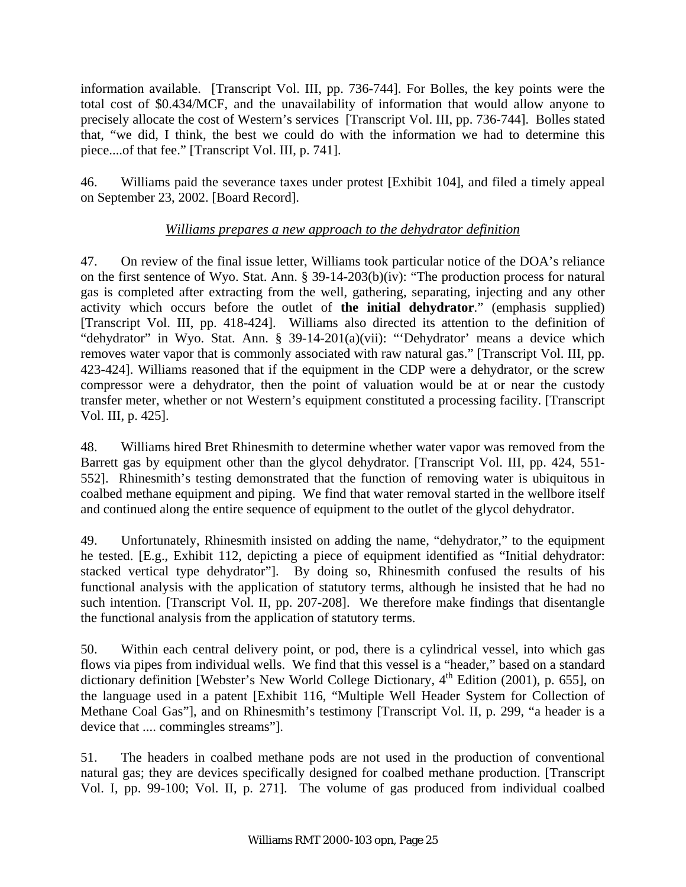information available. [Transcript Vol. III, pp. 736-744]. For Bolles, the key points were the total cost of \$0.434/MCF, and the unavailability of information that would allow anyone to precisely allocate the cost of Western's services [Transcript Vol. III, pp. 736-744]. Bolles stated that, "we did, I think, the best we could do with the information we had to determine this piece....of that fee." [Transcript Vol. III, p. 741].

46. Williams paid the severance taxes under protest [Exhibit 104], and filed a timely appeal on September 23, 2002. [Board Record].

### *Williams prepares a new approach to the dehydrator definition*

47. On review of the final issue letter, Williams took particular notice of the DOA's reliance on the first sentence of Wyo. Stat. Ann. § 39-14-203(b)(iv): "The production process for natural gas is completed after extracting from the well, gathering, separating, injecting and any other activity which occurs before the outlet of **the initial dehydrator**." (emphasis supplied) [Transcript Vol. III, pp. 418-424]. Williams also directed its attention to the definition of "dehydrator" in Wyo. Stat. Ann. § 39-14-201(a)(vii): "'Dehydrator' means a device which removes water vapor that is commonly associated with raw natural gas." [Transcript Vol. III, pp. 423-424]. Williams reasoned that if the equipment in the CDP were a dehydrator, or the screw compressor were a dehydrator, then the point of valuation would be at or near the custody transfer meter, whether or not Western's equipment constituted a processing facility. [Transcript Vol. III, p. 425].

48. Williams hired Bret Rhinesmith to determine whether water vapor was removed from the Barrett gas by equipment other than the glycol dehydrator. [Transcript Vol. III, pp. 424, 551- 552]. Rhinesmith's testing demonstrated that the function of removing water is ubiquitous in coalbed methane equipment and piping. We find that water removal started in the wellbore itself and continued along the entire sequence of equipment to the outlet of the glycol dehydrator.

49. Unfortunately, Rhinesmith insisted on adding the name, "dehydrator," to the equipment he tested. [E.g., Exhibit 112, depicting a piece of equipment identified as "Initial dehydrator: stacked vertical type dehydrator"]. By doing so, Rhinesmith confused the results of his functional analysis with the application of statutory terms, although he insisted that he had no such intention. [Transcript Vol. II, pp. 207-208]. We therefore make findings that disentangle the functional analysis from the application of statutory terms.

50. Within each central delivery point, or pod, there is a cylindrical vessel, into which gas flows via pipes from individual wells. We find that this vessel is a "header," based on a standard dictionary definition [Webster's New World College Dictionary, 4<sup>th</sup> Edition (2001), p. 655], on the language used in a patent [Exhibit 116, "Multiple Well Header System for Collection of Methane Coal Gas"], and on Rhinesmith's testimony [Transcript Vol. II, p. 299, "a header is a device that .... commingles streams"].

51. The headers in coalbed methane pods are not used in the production of conventional natural gas; they are devices specifically designed for coalbed methane production. [Transcript Vol. I, pp. 99-100; Vol. II, p. 271]. The volume of gas produced from individual coalbed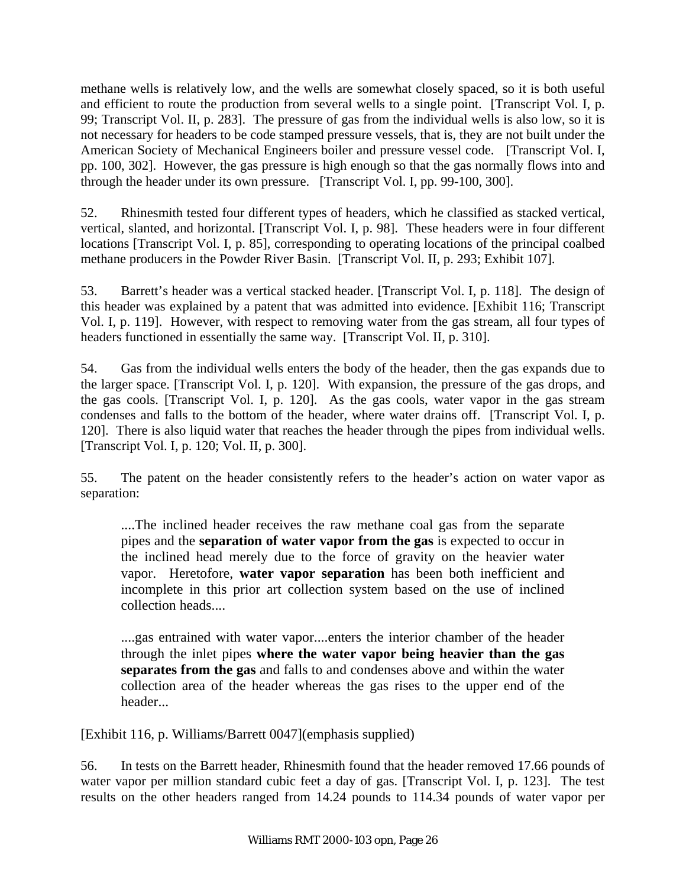methane wells is relatively low, and the wells are somewhat closely spaced, so it is both useful and efficient to route the production from several wells to a single point. [Transcript Vol. I, p. 99; Transcript Vol. II, p. 283]. The pressure of gas from the individual wells is also low, so it is not necessary for headers to be code stamped pressure vessels, that is, they are not built under the American Society of Mechanical Engineers boiler and pressure vessel code. [Transcript Vol. I, pp. 100, 302]. However, the gas pressure is high enough so that the gas normally flows into and through the header under its own pressure. [Transcript Vol. I, pp. 99-100, 300].

52. Rhinesmith tested four different types of headers, which he classified as stacked vertical, vertical, slanted, and horizontal. [Transcript Vol. I, p. 98]. These headers were in four different locations [Transcript Vol. I, p. 85], corresponding to operating locations of the principal coalbed methane producers in the Powder River Basin. [Transcript Vol. II, p. 293; Exhibit 107].

53. Barrett's header was a vertical stacked header. [Transcript Vol. I, p. 118]. The design of this header was explained by a patent that was admitted into evidence. [Exhibit 116; Transcript Vol. I, p. 119]. However, with respect to removing water from the gas stream, all four types of headers functioned in essentially the same way. [Transcript Vol. II, p. 310].

54. Gas from the individual wells enters the body of the header, then the gas expands due to the larger space. [Transcript Vol. I, p. 120]. With expansion, the pressure of the gas drops, and the gas cools. [Transcript Vol. I, p. 120]. As the gas cools, water vapor in the gas stream condenses and falls to the bottom of the header, where water drains off. [Transcript Vol. I, p. 120]. There is also liquid water that reaches the header through the pipes from individual wells. [Transcript Vol. I, p. 120; Vol. II, p. 300].

55. The patent on the header consistently refers to the header's action on water vapor as separation:

....The inclined header receives the raw methane coal gas from the separate pipes and the **separation of water vapor from the gas** is expected to occur in the inclined head merely due to the force of gravity on the heavier water vapor. Heretofore, **water vapor separation** has been both inefficient and incomplete in this prior art collection system based on the use of inclined collection heads....

....gas entrained with water vapor....enters the interior chamber of the header through the inlet pipes **where the water vapor being heavier than the gas separates from the gas** and falls to and condenses above and within the water collection area of the header whereas the gas rises to the upper end of the header...

[Exhibit 116, p. Williams/Barrett 0047](emphasis supplied)

56. In tests on the Barrett header, Rhinesmith found that the header removed 17.66 pounds of water vapor per million standard cubic feet a day of gas. [Transcript Vol. I, p. 123]. The test results on the other headers ranged from 14.24 pounds to 114.34 pounds of water vapor per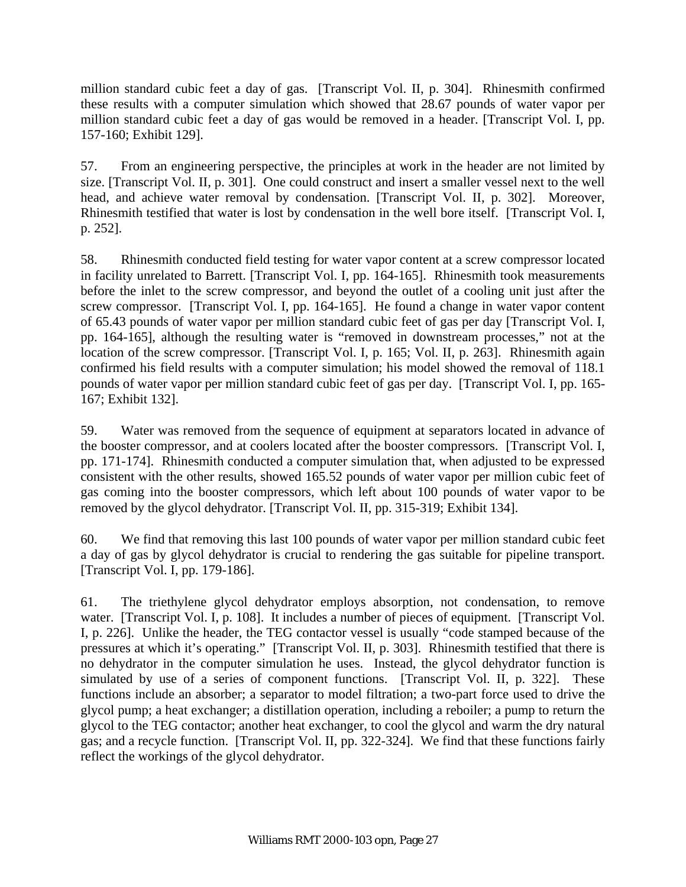million standard cubic feet a day of gas. [Transcript Vol. II, p. 304]. Rhinesmith confirmed these results with a computer simulation which showed that 28.67 pounds of water vapor per million standard cubic feet a day of gas would be removed in a header. [Transcript Vol. I, pp. 157-160; Exhibit 129].

57. From an engineering perspective, the principles at work in the header are not limited by size. [Transcript Vol. II, p. 301]. One could construct and insert a smaller vessel next to the well head, and achieve water removal by condensation. [Transcript Vol. II, p. 302]. Moreover, Rhinesmith testified that water is lost by condensation in the well bore itself. [Transcript Vol. I, p. 252].

58. Rhinesmith conducted field testing for water vapor content at a screw compressor located in facility unrelated to Barrett. [Transcript Vol. I, pp. 164-165]. Rhinesmith took measurements before the inlet to the screw compressor, and beyond the outlet of a cooling unit just after the screw compressor. [Transcript Vol. I, pp. 164-165]. He found a change in water vapor content of 65.43 pounds of water vapor per million standard cubic feet of gas per day [Transcript Vol. I, pp. 164-165], although the resulting water is "removed in downstream processes," not at the location of the screw compressor. [Transcript Vol. I, p. 165; Vol. II, p. 263]. Rhinesmith again confirmed his field results with a computer simulation; his model showed the removal of 118.1 pounds of water vapor per million standard cubic feet of gas per day. [Transcript Vol. I, pp. 165- 167; Exhibit 132].

59. Water was removed from the sequence of equipment at separators located in advance of the booster compressor, and at coolers located after the booster compressors. [Transcript Vol. I, pp. 171-174]. Rhinesmith conducted a computer simulation that, when adjusted to be expressed consistent with the other results, showed 165.52 pounds of water vapor per million cubic feet of gas coming into the booster compressors, which left about 100 pounds of water vapor to be removed by the glycol dehydrator. [Transcript Vol. II, pp. 315-319; Exhibit 134].

60. We find that removing this last 100 pounds of water vapor per million standard cubic feet a day of gas by glycol dehydrator is crucial to rendering the gas suitable for pipeline transport. [Transcript Vol. I, pp. 179-186].

61. The triethylene glycol dehydrator employs absorption, not condensation, to remove water. [Transcript Vol. I, p. 108]. It includes a number of pieces of equipment. [Transcript Vol.] I, p. 226]. Unlike the header, the TEG contactor vessel is usually "code stamped because of the pressures at which it's operating." [Transcript Vol. II, p. 303]. Rhinesmith testified that there is no dehydrator in the computer simulation he uses. Instead, the glycol dehydrator function is simulated by use of a series of component functions. [Transcript Vol. II, p. 322]. These functions include an absorber; a separator to model filtration; a two-part force used to drive the glycol pump; a heat exchanger; a distillation operation, including a reboiler; a pump to return the glycol to the TEG contactor; another heat exchanger, to cool the glycol and warm the dry natural gas; and a recycle function. [Transcript Vol. II, pp. 322-324]. We find that these functions fairly reflect the workings of the glycol dehydrator.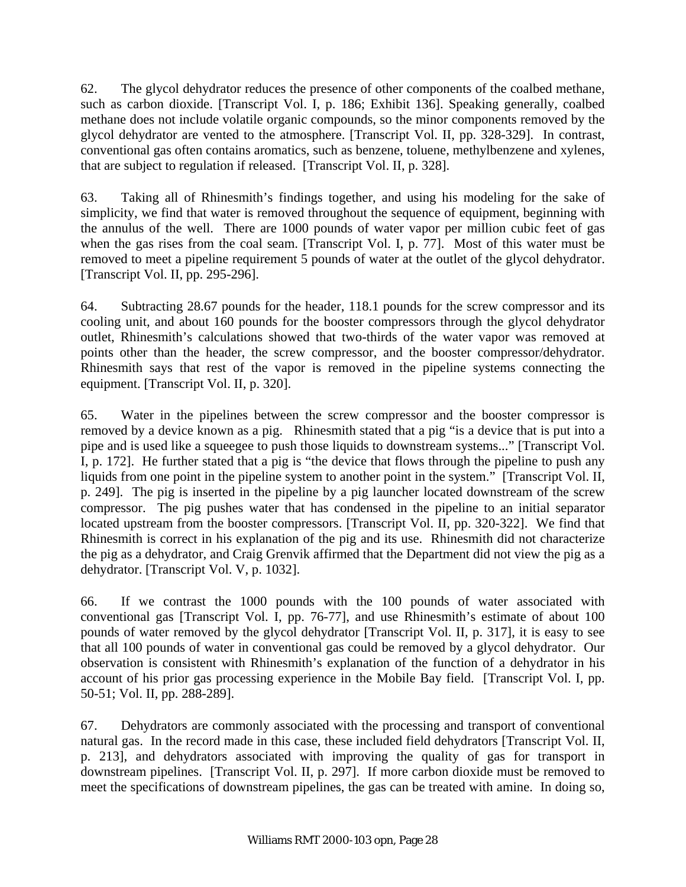62. The glycol dehydrator reduces the presence of other components of the coalbed methane, such as carbon dioxide. [Transcript Vol. I, p. 186; Exhibit 136]. Speaking generally, coalbed methane does not include volatile organic compounds, so the minor components removed by the glycol dehydrator are vented to the atmosphere. [Transcript Vol. II, pp. 328-329]. In contrast, conventional gas often contains aromatics, such as benzene, toluene, methylbenzene and xylenes, that are subject to regulation if released. [Transcript Vol. II, p. 328].

63. Taking all of Rhinesmith's findings together, and using his modeling for the sake of simplicity, we find that water is removed throughout the sequence of equipment, beginning with the annulus of the well. There are 1000 pounds of water vapor per million cubic feet of gas when the gas rises from the coal seam. [Transcript Vol. I, p. 77]. Most of this water must be removed to meet a pipeline requirement 5 pounds of water at the outlet of the glycol dehydrator. [Transcript Vol. II, pp. 295-296].

64. Subtracting 28.67 pounds for the header, 118.1 pounds for the screw compressor and its cooling unit, and about 160 pounds for the booster compressors through the glycol dehydrator outlet, Rhinesmith's calculations showed that two-thirds of the water vapor was removed at points other than the header, the screw compressor, and the booster compressor/dehydrator. Rhinesmith says that rest of the vapor is removed in the pipeline systems connecting the equipment. [Transcript Vol. II, p. 320].

65. Water in the pipelines between the screw compressor and the booster compressor is removed by a device known as a pig. Rhinesmith stated that a pig "is a device that is put into a pipe and is used like a squeegee to push those liquids to downstream systems..." [Transcript Vol. I, p. 172]. He further stated that a pig is "the device that flows through the pipeline to push any liquids from one point in the pipeline system to another point in the system." [Transcript Vol. II, p. 249]. The pig is inserted in the pipeline by a pig launcher located downstream of the screw compressor. The pig pushes water that has condensed in the pipeline to an initial separator located upstream from the booster compressors. [Transcript Vol. II, pp. 320-322]. We find that Rhinesmith is correct in his explanation of the pig and its use. Rhinesmith did not characterize the pig as a dehydrator, and Craig Grenvik affirmed that the Department did not view the pig as a dehydrator. [Transcript Vol. V, p. 1032].

66. If we contrast the 1000 pounds with the 100 pounds of water associated with conventional gas [Transcript Vol. I, pp. 76-77], and use Rhinesmith's estimate of about 100 pounds of water removed by the glycol dehydrator [Transcript Vol. II, p. 317], it is easy to see that all 100 pounds of water in conventional gas could be removed by a glycol dehydrator. Our observation is consistent with Rhinesmith's explanation of the function of a dehydrator in his account of his prior gas processing experience in the Mobile Bay field. [Transcript Vol. I, pp. 50-51; Vol. II, pp. 288-289].

67. Dehydrators are commonly associated with the processing and transport of conventional natural gas. In the record made in this case, these included field dehydrators [Transcript Vol. II, p. 213], and dehydrators associated with improving the quality of gas for transport in downstream pipelines. [Transcript Vol. II, p. 297]. If more carbon dioxide must be removed to meet the specifications of downstream pipelines, the gas can be treated with amine. In doing so,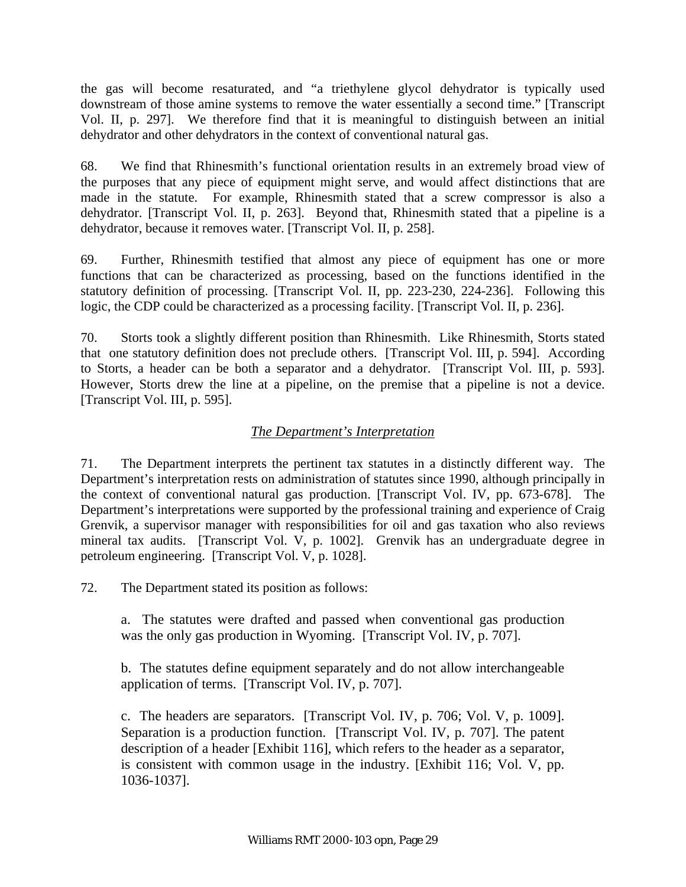the gas will become resaturated, and "a triethylene glycol dehydrator is typically used downstream of those amine systems to remove the water essentially a second time." [Transcript Vol. II, p. 297]. We therefore find that it is meaningful to distinguish between an initial dehydrator and other dehydrators in the context of conventional natural gas.

68. We find that Rhinesmith's functional orientation results in an extremely broad view of the purposes that any piece of equipment might serve, and would affect distinctions that are made in the statute. For example, Rhinesmith stated that a screw compressor is also a dehydrator. [Transcript Vol. II, p. 263]. Beyond that, Rhinesmith stated that a pipeline is a dehydrator, because it removes water. [Transcript Vol. II, p. 258].

69. Further, Rhinesmith testified that almost any piece of equipment has one or more functions that can be characterized as processing, based on the functions identified in the statutory definition of processing. [Transcript Vol. II, pp. 223-230, 224-236]. Following this logic, the CDP could be characterized as a processing facility. [Transcript Vol. II, p. 236].

70. Storts took a slightly different position than Rhinesmith. Like Rhinesmith, Storts stated that one statutory definition does not preclude others. [Transcript Vol. III, p. 594]. According to Storts, a header can be both a separator and a dehydrator. [Transcript Vol. III, p. 593]. However, Storts drew the line at a pipeline, on the premise that a pipeline is not a device. [Transcript Vol. III, p. 595].

## *The Department's Interpretation*

71. The Department interprets the pertinent tax statutes in a distinctly different way. The Department's interpretation rests on administration of statutes since 1990, although principally in the context of conventional natural gas production. [Transcript Vol. IV, pp. 673-678]. The Department's interpretations were supported by the professional training and experience of Craig Grenvik, a supervisor manager with responsibilities for oil and gas taxation who also reviews mineral tax audits. [Transcript Vol. V, p. 1002]. Grenvik has an undergraduate degree in petroleum engineering. [Transcript Vol. V, p. 1028].

72. The Department stated its position as follows:

a. The statutes were drafted and passed when conventional gas production was the only gas production in Wyoming. [Transcript Vol. IV, p. 707].

b. The statutes define equipment separately and do not allow interchangeable application of terms. [Transcript Vol. IV, p. 707].

c. The headers are separators. [Transcript Vol. IV, p. 706; Vol. V, p. 1009]. Separation is a production function. [Transcript Vol. IV, p. 707]. The patent description of a header [Exhibit 116], which refers to the header as a separator, is consistent with common usage in the industry. [Exhibit 116; Vol. V, pp. 1036-1037].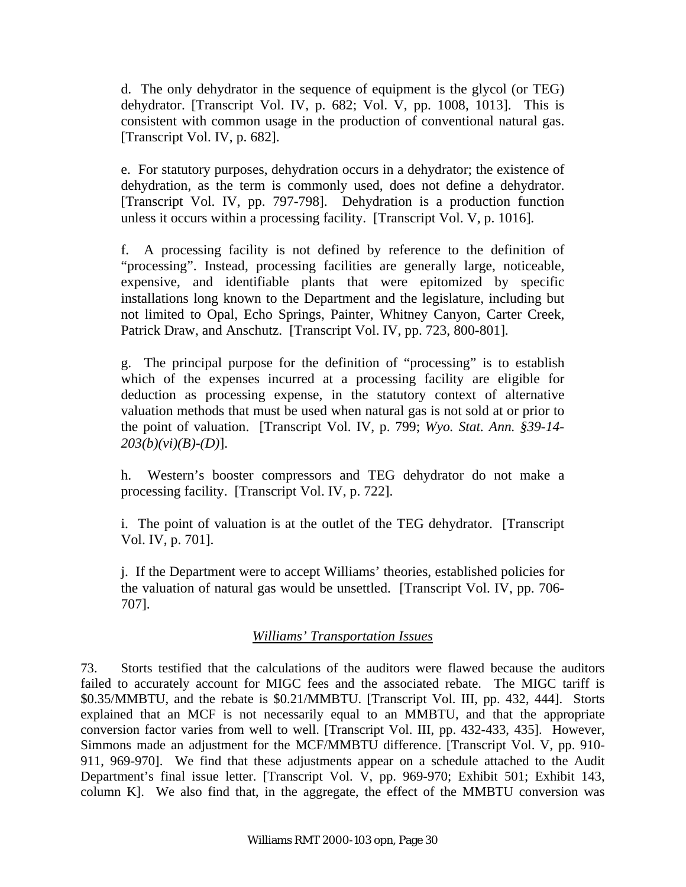d. The only dehydrator in the sequence of equipment is the glycol (or TEG) dehydrator. [Transcript Vol. IV, p. 682; Vol. V, pp. 1008, 1013]. This is consistent with common usage in the production of conventional natural gas. [Transcript Vol. IV, p. 682].

e. For statutory purposes, dehydration occurs in a dehydrator; the existence of dehydration, as the term is commonly used, does not define a dehydrator. [Transcript Vol. IV, pp. 797-798]. Dehydration is a production function unless it occurs within a processing facility. [Transcript Vol. V, p. 1016].

f. A processing facility is not defined by reference to the definition of "processing". Instead, processing facilities are generally large, noticeable, expensive, and identifiable plants that were epitomized by specific installations long known to the Department and the legislature, including but not limited to Opal, Echo Springs, Painter, Whitney Canyon, Carter Creek, Patrick Draw, and Anschutz. [Transcript Vol. IV, pp. 723, 800-801].

g. The principal purpose for the definition of "processing" is to establish which of the expenses incurred at a processing facility are eligible for deduction as processing expense, in the statutory context of alternative valuation methods that must be used when natural gas is not sold at or prior to the point of valuation. [Transcript Vol. IV, p. 799; *Wyo. Stat. Ann. §39-14- 203(b)(vi)(B)-(D)*].

h. Western's booster compressors and TEG dehydrator do not make a processing facility. [Transcript Vol. IV, p. 722].

i. The point of valuation is at the outlet of the TEG dehydrator. [Transcript Vol. IV, p. 701].

j. If the Department were to accept Williams' theories, established policies for the valuation of natural gas would be unsettled. [Transcript Vol. IV, pp. 706- 707].

### *Williams' Transportation Issues*

73. Storts testified that the calculations of the auditors were flawed because the auditors failed to accurately account for MIGC fees and the associated rebate. The MIGC tariff is \$0.35/MMBTU, and the rebate is \$0.21/MMBTU. [Transcript Vol. III, pp. 432, 444]. Storts explained that an MCF is not necessarily equal to an MMBTU, and that the appropriate conversion factor varies from well to well. [Transcript Vol. III, pp. 432-433, 435]. However, Simmons made an adjustment for the MCF/MMBTU difference. [Transcript Vol. V, pp. 910- 911, 969-970]. We find that these adjustments appear on a schedule attached to the Audit Department's final issue letter. [Transcript Vol. V, pp. 969-970; Exhibit 501; Exhibit 143, column K]. We also find that, in the aggregate, the effect of the MMBTU conversion was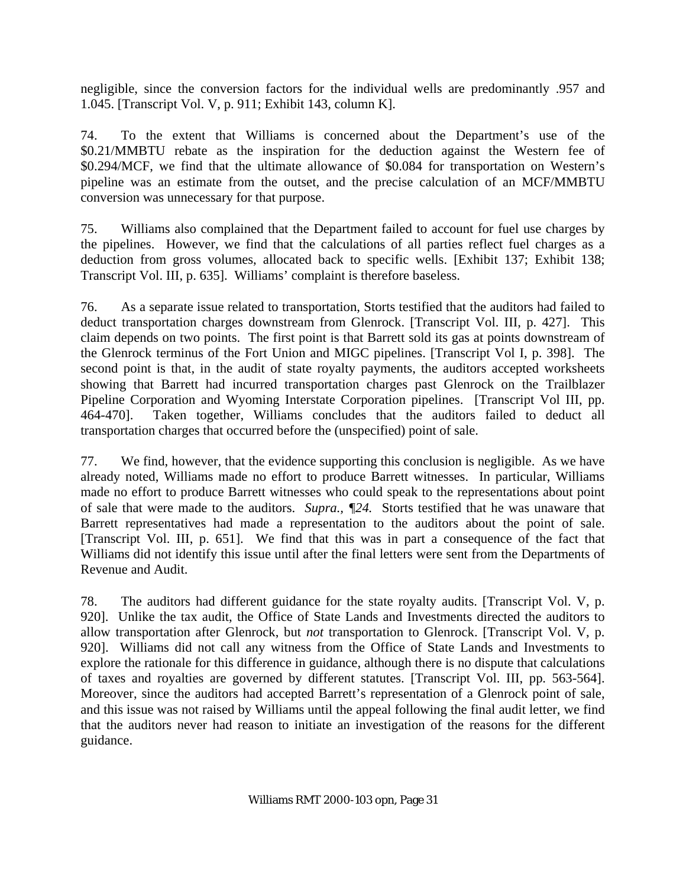negligible, since the conversion factors for the individual wells are predominantly .957 and 1.045. [Transcript Vol. V, p. 911; Exhibit 143, column K].

74. To the extent that Williams is concerned about the Department's use of the \$0.21/MMBTU rebate as the inspiration for the deduction against the Western fee of \$0.294/MCF, we find that the ultimate allowance of \$0.084 for transportation on Western's pipeline was an estimate from the outset, and the precise calculation of an MCF/MMBTU conversion was unnecessary for that purpose.

75. Williams also complained that the Department failed to account for fuel use charges by the pipelines. However, we find that the calculations of all parties reflect fuel charges as a deduction from gross volumes, allocated back to specific wells. [Exhibit 137; Exhibit 138; Transcript Vol. III, p. 635]. Williams' complaint is therefore baseless.

76. As a separate issue related to transportation, Storts testified that the auditors had failed to deduct transportation charges downstream from Glenrock. [Transcript Vol. III, p. 427]. This claim depends on two points. The first point is that Barrett sold its gas at points downstream of the Glenrock terminus of the Fort Union and MIGC pipelines. [Transcript Vol I, p. 398]. The second point is that, in the audit of state royalty payments, the auditors accepted worksheets showing that Barrett had incurred transportation charges past Glenrock on the Trailblazer Pipeline Corporation and Wyoming Interstate Corporation pipelines. [Transcript Vol III, pp. 464-470]. Taken together, Williams concludes that the auditors failed to deduct all transportation charges that occurred before the (unspecified) point of sale.

77. We find, however, that the evidence supporting this conclusion is negligible. As we have already noted, Williams made no effort to produce Barrett witnesses. In particular, Williams made no effort to produce Barrett witnesses who could speak to the representations about point of sale that were made to the auditors. *Supra., ¶24.* Storts testified that he was unaware that Barrett representatives had made a representation to the auditors about the point of sale. [Transcript Vol. III, p. 651]. We find that this was in part a consequence of the fact that Williams did not identify this issue until after the final letters were sent from the Departments of Revenue and Audit.

78. The auditors had different guidance for the state royalty audits. [Transcript Vol. V, p. 920]. Unlike the tax audit, the Office of State Lands and Investments directed the auditors to allow transportation after Glenrock, but *not* transportation to Glenrock. [Transcript Vol. V, p. 920]. Williams did not call any witness from the Office of State Lands and Investments to explore the rationale for this difference in guidance, although there is no dispute that calculations of taxes and royalties are governed by different statutes. [Transcript Vol. III, pp. 563-564]. Moreover, since the auditors had accepted Barrett's representation of a Glenrock point of sale, and this issue was not raised by Williams until the appeal following the final audit letter, we find that the auditors never had reason to initiate an investigation of the reasons for the different guidance.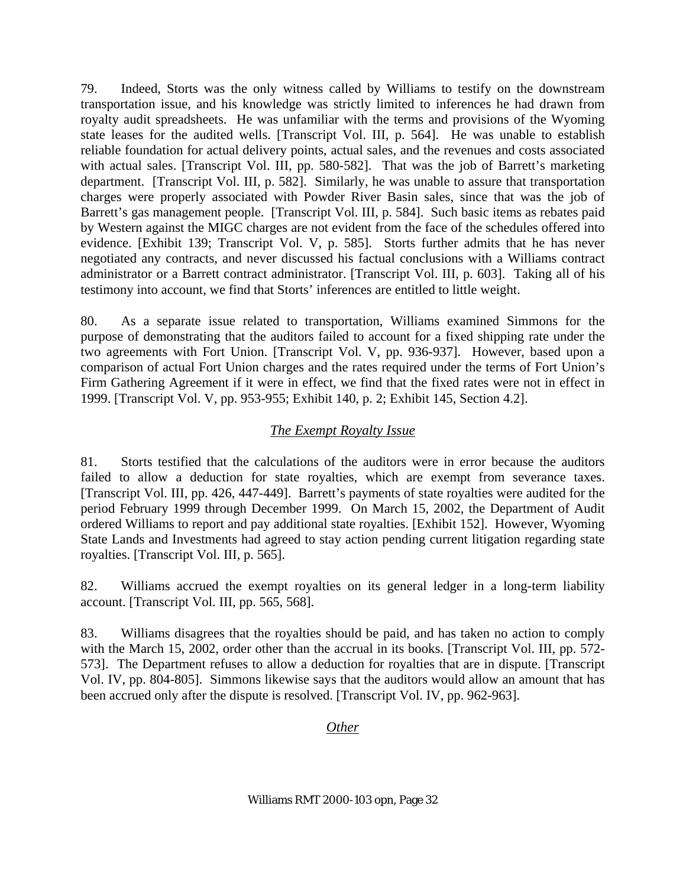79. Indeed, Storts was the only witness called by Williams to testify on the downstream transportation issue, and his knowledge was strictly limited to inferences he had drawn from royalty audit spreadsheets. He was unfamiliar with the terms and provisions of the Wyoming state leases for the audited wells. [Transcript Vol. III, p. 564]. He was unable to establish reliable foundation for actual delivery points, actual sales, and the revenues and costs associated with actual sales. [Transcript Vol. III, pp. 580-582]. That was the job of Barrett's marketing department. [Transcript Vol. III, p. 582]. Similarly, he was unable to assure that transportation charges were properly associated with Powder River Basin sales, since that was the job of Barrett's gas management people. [Transcript Vol. III, p. 584]. Such basic items as rebates paid by Western against the MIGC charges are not evident from the face of the schedules offered into evidence. [Exhibit 139; Transcript Vol. V, p. 585]. Storts further admits that he has never negotiated any contracts, and never discussed his factual conclusions with a Williams contract administrator or a Barrett contract administrator. [Transcript Vol. III, p. 603]. Taking all of his testimony into account, we find that Storts' inferences are entitled to little weight.

80. As a separate issue related to transportation, Williams examined Simmons for the purpose of demonstrating that the auditors failed to account for a fixed shipping rate under the two agreements with Fort Union. [Transcript Vol. V, pp. 936-937]. However, based upon a comparison of actual Fort Union charges and the rates required under the terms of Fort Union's Firm Gathering Agreement if it were in effect, we find that the fixed rates were not in effect in 1999. [Transcript Vol. V, pp. 953-955; Exhibit 140, p. 2; Exhibit 145, Section 4.2].

## *The Exempt Royalty Issue*

81. Storts testified that the calculations of the auditors were in error because the auditors failed to allow a deduction for state royalties, which are exempt from severance taxes. [Transcript Vol. III, pp. 426, 447-449]. Barrett's payments of state royalties were audited for the period February 1999 through December 1999. On March 15, 2002, the Department of Audit ordered Williams to report and pay additional state royalties. [Exhibit 152]. However, Wyoming State Lands and Investments had agreed to stay action pending current litigation regarding state royalties. [Transcript Vol. III, p. 565].

82. Williams accrued the exempt royalties on its general ledger in a long-term liability account. [Transcript Vol. III, pp. 565, 568].

83. Williams disagrees that the royalties should be paid, and has taken no action to comply with the March 15, 2002, order other than the accrual in its books. [Transcript Vol. III, pp. 572-573]. The Department refuses to allow a deduction for royalties that are in dispute. [Transcript Vol. IV, pp. 804-805]. Simmons likewise says that the auditors would allow an amount that has been accrued only after the dispute is resolved. [Transcript Vol. IV, pp. 962-963].

## *Other*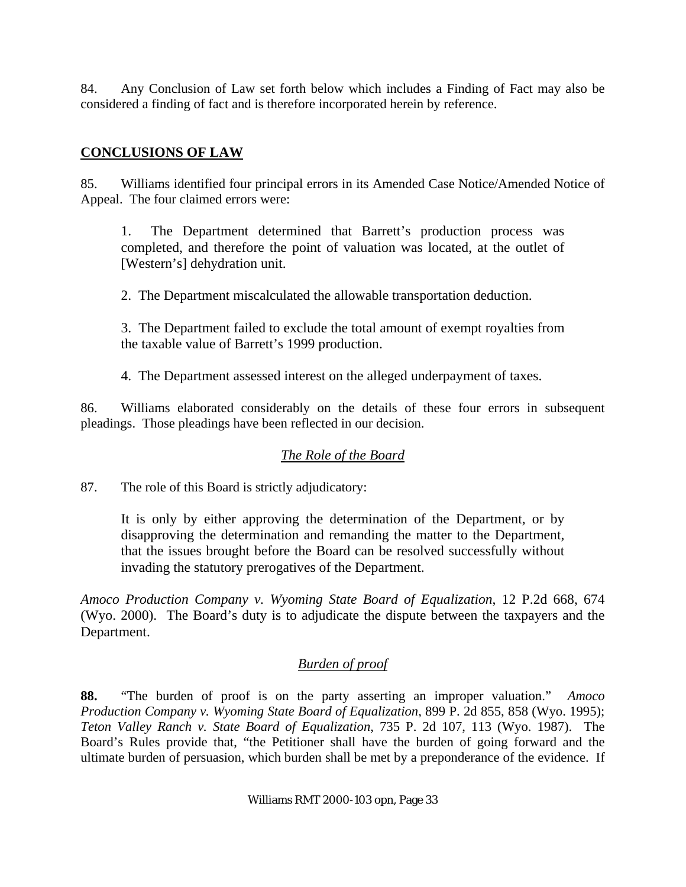84. Any Conclusion of Law set forth below which includes a Finding of Fact may also be considered a finding of fact and is therefore incorporated herein by reference.

### **CONCLUSIONS OF LAW**

85. Williams identified four principal errors in its Amended Case Notice/Amended Notice of Appeal. The four claimed errors were:

1. The Department determined that Barrett's production process was completed, and therefore the point of valuation was located, at the outlet of [Western's] dehydration unit.

2. The Department miscalculated the allowable transportation deduction.

3. The Department failed to exclude the total amount of exempt royalties from the taxable value of Barrett's 1999 production.

4. The Department assessed interest on the alleged underpayment of taxes.

86. Williams elaborated considerably on the details of these four errors in subsequent pleadings. Those pleadings have been reflected in our decision.

## *The Role of the Board*

87. The role of this Board is strictly adjudicatory:

It is only by either approving the determination of the Department, or by disapproving the determination and remanding the matter to the Department, that the issues brought before the Board can be resolved successfully without invading the statutory prerogatives of the Department.

*Amoco Production Company v. Wyoming State Board of Equalization*, 12 P.2d 668, 674 (Wyo. 2000). The Board's duty is to adjudicate the dispute between the taxpayers and the Department.

### *Burden of proof*

**88.** "The burden of proof is on the party asserting an improper valuation." *Amoco Production Company v. Wyoming State Board of Equalization*, 899 P. 2d 855, 858 (Wyo. 1995); *Teton Valley Ranch v. State Board of Equalization*, 735 P. 2d 107, 113 (Wyo. 1987). The Board's Rules provide that, "the Petitioner shall have the burden of going forward and the ultimate burden of persuasion, which burden shall be met by a preponderance of the evidence. If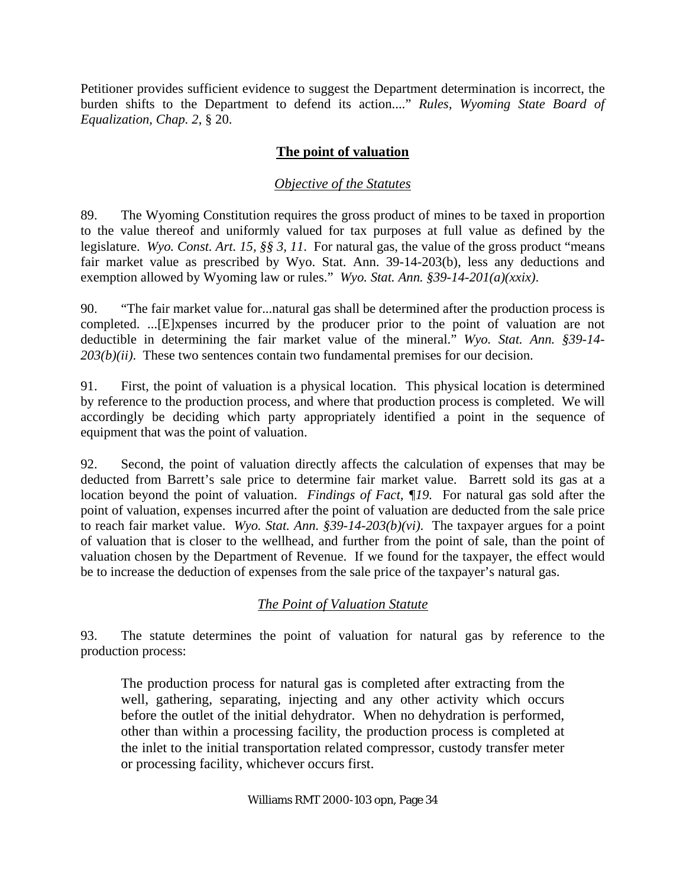Petitioner provides sufficient evidence to suggest the Department determination is incorrect, the burden shifts to the Department to defend its action...." *Rules, Wyoming State Board of Equalization, Chap. 2*, § 20.

### **The point of valuation**

### *Objective of the Statutes*

89. The Wyoming Constitution requires the gross product of mines to be taxed in proportion to the value thereof and uniformly valued for tax purposes at full value as defined by the legislature. *Wyo. Const. Art. 15, §§ 3, 11*. For natural gas, the value of the gross product "means fair market value as prescribed by Wyo. Stat. Ann. 39-14-203(b), less any deductions and exemption allowed by Wyoming law or rules." *Wyo. Stat. Ann. §39-14-201(a)(xxix)*.

90. "The fair market value for...natural gas shall be determined after the production process is completed. ...[E]xpenses incurred by the producer prior to the point of valuation are not deductible in determining the fair market value of the mineral." *Wyo. Stat. Ann. §39-14- 203(b)(ii)*. These two sentences contain two fundamental premises for our decision.

91. First, the point of valuation is a physical location. This physical location is determined by reference to the production process, and where that production process is completed. We will accordingly be deciding which party appropriately identified a point in the sequence of equipment that was the point of valuation.

92. Second, the point of valuation directly affects the calculation of expenses that may be deducted from Barrett's sale price to determine fair market value. Barrett sold its gas at a location beyond the point of valuation. *Findings of Fact, ¶19.* For natural gas sold after the point of valuation, expenses incurred after the point of valuation are deducted from the sale price to reach fair market value. *Wyo. Stat. Ann. §39-14-203(b)(vi)*. The taxpayer argues for a point of valuation that is closer to the wellhead, and further from the point of sale, than the point of valuation chosen by the Department of Revenue. If we found for the taxpayer, the effect would be to increase the deduction of expenses from the sale price of the taxpayer's natural gas.

## *The Point of Valuation Statute*

93. The statute determines the point of valuation for natural gas by reference to the production process:

The production process for natural gas is completed after extracting from the well, gathering, separating, injecting and any other activity which occurs before the outlet of the initial dehydrator. When no dehydration is performed, other than within a processing facility, the production process is completed at the inlet to the initial transportation related compressor, custody transfer meter or processing facility, whichever occurs first.

#### Williams RMT 2000-103 opn, Page 34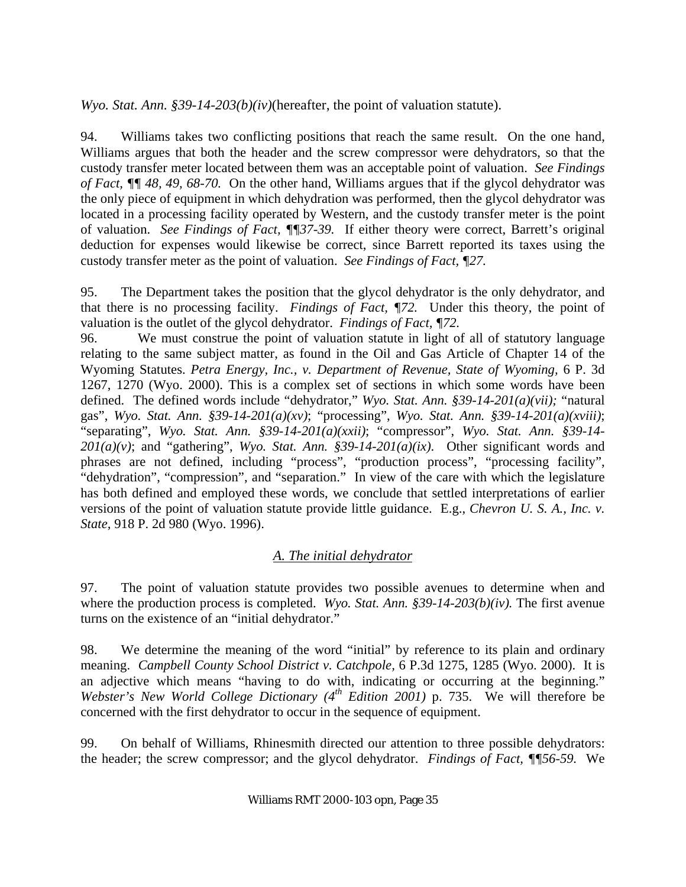*Wyo. Stat. Ann. §39-14-203(b)(iv)*(hereafter, the point of valuation statute).

94. Williams takes two conflicting positions that reach the same result. On the one hand, Williams argues that both the header and the screw compressor were dehydrators, so that the custody transfer meter located between them was an acceptable point of valuation. *See Findings of Fact, ¶¶ 48, 49, 68-70.* On the other hand, Williams argues that if the glycol dehydrator was the only piece of equipment in which dehydration was performed, then the glycol dehydrator was located in a processing facility operated by Western, and the custody transfer meter is the point of valuation. *See Findings of Fact, ¶¶37-39.* If either theory were correct, Barrett's original deduction for expenses would likewise be correct, since Barrett reported its taxes using the custody transfer meter as the point of valuation. *See Findings of Fact, ¶27.*

95. The Department takes the position that the glycol dehydrator is the only dehydrator, and that there is no processing facility. *Findings of Fact, ¶72.* Under this theory, the point of valuation is the outlet of the glycol dehydrator. *Findings of Fact, ¶72.*

96. We must construe the point of valuation statute in light of all of statutory language relating to the same subject matter, as found in the Oil and Gas Article of Chapter 14 of the Wyoming Statutes. *Petra Energy, Inc., v. Department of Revenue, State of Wyoming,* 6 P. 3d 1267, 1270 (Wyo. 2000). This is a complex set of sections in which some words have been defined. The defined words include "dehydrator," *Wyo. Stat. Ann. §39-14-201(a)(vii);* "natural gas", *Wyo. Stat. Ann. §39-14-201(a)(xv)*; "processing", *Wyo. Stat. Ann. §39-14-201(a)(xviii)*; "separating", *Wyo. Stat. Ann. §39-14-201(a)(xxii)*; "compressor", *Wyo. Stat. Ann. §39-14- 201(a)(v)*; and "gathering", *Wyo. Stat. Ann. §39-14-201(a)(ix)*. Other significant words and phrases are not defined, including "process", "production process", "processing facility", "dehydration", "compression", and "separation." In view of the care with which the legislature has both defined and employed these words, we conclude that settled interpretations of earlier versions of the point of valuation statute provide little guidance. E.g., *Chevron U. S. A., Inc. v. State,* 918 P. 2d 980 (Wyo. 1996).

# *A. The initial dehydrator*

97. The point of valuation statute provides two possible avenues to determine when and where the production process is completed. *Wyo. Stat. Ann.* §39-14-203(b)(iv). The first avenue turns on the existence of an "initial dehydrator."

98. We determine the meaning of the word "initial" by reference to its plain and ordinary meaning. *Campbell County School District v. Catchpole,* 6 P.3d 1275, 1285 (Wyo. 2000). It is an adjective which means "having to do with, indicating or occurring at the beginning." *Webster's New World College Dictionary (4th Edition 2001)* p. 735. We will therefore be concerned with the first dehydrator to occur in the sequence of equipment.

99. On behalf of Williams, Rhinesmith directed our attention to three possible dehydrators: the header; the screw compressor; and the glycol dehydrator. *Findings of Fact, ¶¶56-59.* We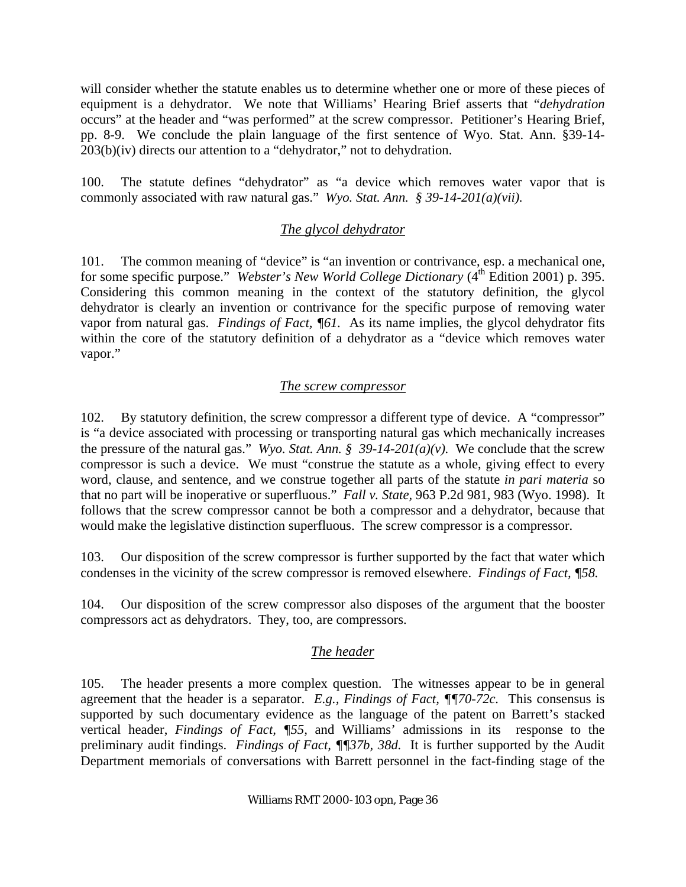will consider whether the statute enables us to determine whether one or more of these pieces of equipment is a dehydrator. We note that Williams' Hearing Brief asserts that "*dehydration* occurs" at the header and "was performed" at the screw compressor. Petitioner's Hearing Brief, pp. 8-9. We conclude the plain language of the first sentence of Wyo. Stat. Ann. §39-14- 203(b)(iv) directs our attention to a "dehydrator," not to dehydration.

100. The statute defines "dehydrator" as "a device which removes water vapor that is commonly associated with raw natural gas." *Wyo. Stat. Ann. § 39-14-201(a)(vii).* 

### *The glycol dehydrator*

101. The common meaning of "device" is "an invention or contrivance, esp. a mechanical one, for some specific purpose." *Webster's New World College Dictionary* (4<sup>th</sup> Edition 2001) p. 395. Considering this common meaning in the context of the statutory definition, the glycol dehydrator is clearly an invention or contrivance for the specific purpose of removing water vapor from natural gas. *Findings of Fact, ¶61.* As its name implies, the glycol dehydrator fits within the core of the statutory definition of a dehydrator as a "device which removes water vapor."

### *The screw compressor*

102. By statutory definition, the screw compressor a different type of device. A "compressor" is "a device associated with processing or transporting natural gas which mechanically increases the pressure of the natural gas." Wyo. Stat. Ann. § 39-14-201(a)(v). We conclude that the screw compressor is such a device. We must "construe the statute as a whole, giving effect to every word, clause, and sentence, and we construe together all parts of the statute *in pari materia* so that no part will be inoperative or superfluous." *Fall v. State,* 963 P.2d 981, 983 (Wyo. 1998). It follows that the screw compressor cannot be both a compressor and a dehydrator, because that would make the legislative distinction superfluous. The screw compressor is a compressor.

103. Our disposition of the screw compressor is further supported by the fact that water which condenses in the vicinity of the screw compressor is removed elsewhere. *Findings of Fact, ¶58.* 

104. Our disposition of the screw compressor also disposes of the argument that the booster compressors act as dehydrators. They, too, are compressors.

## *The header*

105. The header presents a more complex question. The witnesses appear to be in general agreement that the header is a separator. *E.g., Findings of Fact, ¶¶70-72c.* This consensus is supported by such documentary evidence as the language of the patent on Barrett's stacked vertical header, *Findings of Fact, ¶55,* and Williams' admissions in its response to the preliminary audit findings. *Findings of Fact, ¶¶37b, 38d.* It is further supported by the Audit Department memorials of conversations with Barrett personnel in the fact-finding stage of the

#### Williams RMT 2000-103 opn, Page 36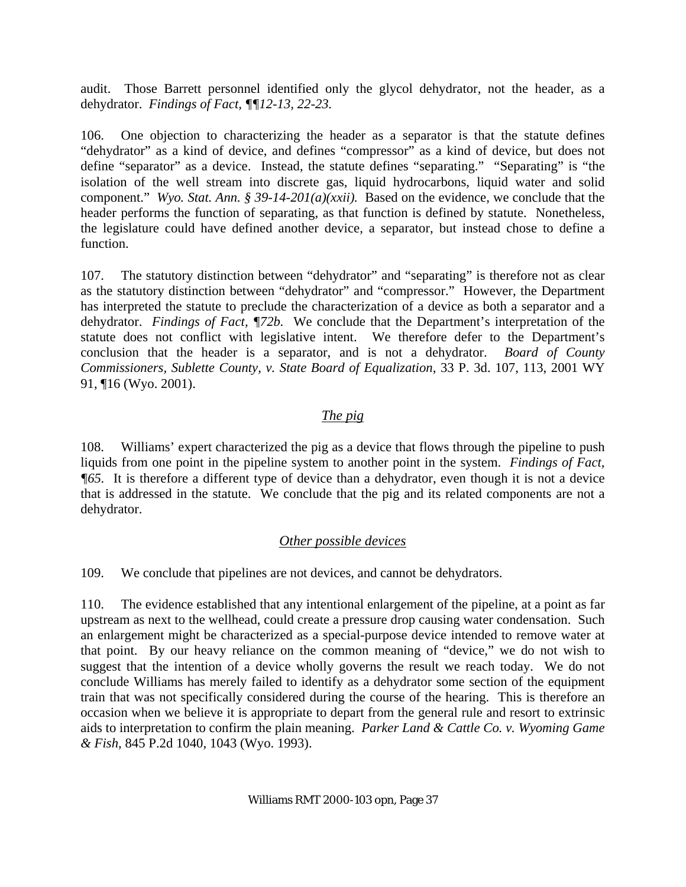audit. Those Barrett personnel identified only the glycol dehydrator, not the header, as a dehydrator. *Findings of Fact, ¶¶12-13, 22-23.*

106. One objection to characterizing the header as a separator is that the statute defines "dehydrator" as a kind of device, and defines "compressor" as a kind of device, but does not define "separator" as a device. Instead, the statute defines "separating." "Separating" is "the isolation of the well stream into discrete gas, liquid hydrocarbons, liquid water and solid component." *Wyo. Stat. Ann. § 39-14-201(a)(xxii).* Based on the evidence, we conclude that the header performs the function of separating, as that function is defined by statute. Nonetheless, the legislature could have defined another device, a separator, but instead chose to define a function.

107. The statutory distinction between "dehydrator" and "separating" is therefore not as clear as the statutory distinction between "dehydrator" and "compressor." However, the Department has interpreted the statute to preclude the characterization of a device as both a separator and a dehydrator. *Findings of Fact, ¶72b.* We conclude that the Department's interpretation of the statute does not conflict with legislative intent. We therefore defer to the Department's conclusion that the header is a separator, and is not a dehydrator. *Board of County Commissioners, Sublette County, v. State Board of Equalization,* 33 P. 3d. 107, 113, 2001 WY 91, ¶16 (Wyo. 2001).

## *The pig*

108. Williams' expert characterized the pig as a device that flows through the pipeline to push liquids from one point in the pipeline system to another point in the system. *Findings of Fact, ¶65.* It is therefore a different type of device than a dehydrator, even though it is not a device that is addressed in the statute. We conclude that the pig and its related components are not a dehydrator.

## *Other possible devices*

109. We conclude that pipelines are not devices, and cannot be dehydrators.

110. The evidence established that any intentional enlargement of the pipeline, at a point as far upstream as next to the wellhead, could create a pressure drop causing water condensation. Such an enlargement might be characterized as a special-purpose device intended to remove water at that point. By our heavy reliance on the common meaning of "device," we do not wish to suggest that the intention of a device wholly governs the result we reach today. We do not conclude Williams has merely failed to identify as a dehydrator some section of the equipment train that was not specifically considered during the course of the hearing. This is therefore an occasion when we believe it is appropriate to depart from the general rule and resort to extrinsic aids to interpretation to confirm the plain meaning. *Parker Land & Cattle Co. v. Wyoming Game & Fish,* 845 P.2d 1040, 1043 (Wyo. 1993).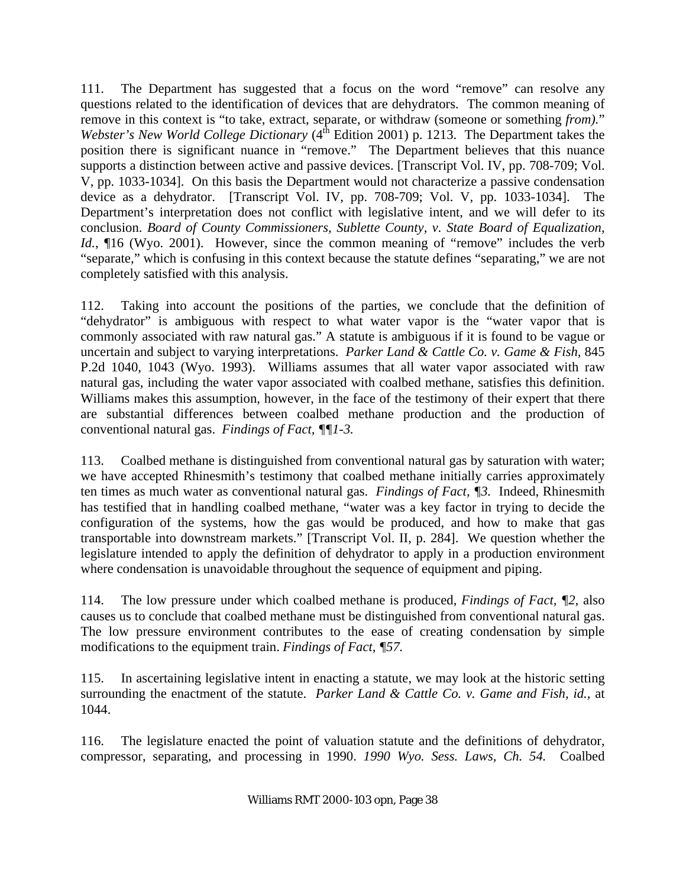111. The Department has suggested that a focus on the word "remove" can resolve any questions related to the identification of devices that are dehydrators. The common meaning of remove in this context is "to take, extract, separate, or withdraw (someone or something *from).*" *Webster's New World College Dictionary* (4<sup>th</sup> Edition 2001) p. 1213. The Department takes the position there is significant nuance in "remove." The Department believes that this nuance supports a distinction between active and passive devices. [Transcript Vol. IV, pp. 708-709; Vol. V, pp. 1033-1034]. On this basis the Department would not characterize a passive condensation device as a dehydrator. [Transcript Vol. IV, pp. 708-709; Vol. V, pp. 1033-1034]. The Department's interpretation does not conflict with legislative intent, and we will defer to its conclusion. *Board of County Commissioners, Sublette County, v. State Board of Equalization, Id.*,  $\P$ 16 (Wyo. 2001). However, since the common meaning of "remove" includes the verb "separate," which is confusing in this context because the statute defines "separating," we are not completely satisfied with this analysis.

112. Taking into account the positions of the parties, we conclude that the definition of "dehydrator" is ambiguous with respect to what water vapor is the "water vapor that is commonly associated with raw natural gas." A statute is ambiguous if it is found to be vague or uncertain and subject to varying interpretations. *Parker Land & Cattle Co. v. Game & Fish,* 845 P.2d 1040, 1043 (Wyo. 1993). Williams assumes that all water vapor associated with raw natural gas, including the water vapor associated with coalbed methane, satisfies this definition. Williams makes this assumption, however, in the face of the testimony of their expert that there are substantial differences between coalbed methane production and the production of conventional natural gas. *Findings of Fact, ¶¶1-3.*

113. Coalbed methane is distinguished from conventional natural gas by saturation with water; we have accepted Rhinesmith's testimony that coalbed methane initially carries approximately ten times as much water as conventional natural gas. *Findings of Fact, ¶3.* Indeed, Rhinesmith has testified that in handling coalbed methane, "water was a key factor in trying to decide the configuration of the systems, how the gas would be produced, and how to make that gas transportable into downstream markets." [Transcript Vol. II, p. 284]. We question whether the legislature intended to apply the definition of dehydrator to apply in a production environment where condensation is unavoidable throughout the sequence of equipment and piping.

114. The low pressure under which coalbed methane is produced, *Findings of Fact, ¶2,* also causes us to conclude that coalbed methane must be distinguished from conventional natural gas. The low pressure environment contributes to the ease of creating condensation by simple modifications to the equipment train. *Findings of Fact, ¶57.*

115. In ascertaining legislative intent in enacting a statute, we may look at the historic setting surrounding the enactment of the statute. *Parker Land & Cattle Co. v. Game and Fish, id.,* at 1044.

116. The legislature enacted the point of valuation statute and the definitions of dehydrator, compressor, separating, and processing in 1990. *1990 Wyo. Sess. Laws, Ch. 54.* Coalbed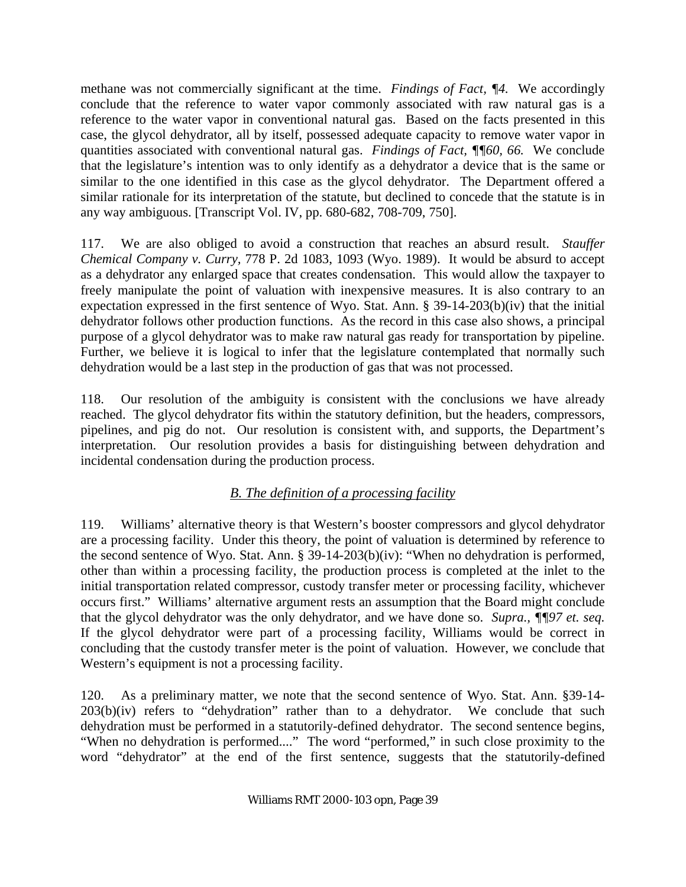methane was not commercially significant at the time. *Findings of Fact, ¶4.* We accordingly conclude that the reference to water vapor commonly associated with raw natural gas is a reference to the water vapor in conventional natural gas. Based on the facts presented in this case, the glycol dehydrator, all by itself, possessed adequate capacity to remove water vapor in quantities associated with conventional natural gas. *Findings of Fact, ¶¶60, 66.* We conclude that the legislature's intention was to only identify as a dehydrator a device that is the same or similar to the one identified in this case as the glycol dehydrator. The Department offered a similar rationale for its interpretation of the statute, but declined to concede that the statute is in any way ambiguous. [Transcript Vol. IV, pp. 680-682, 708-709, 750].

117. We are also obliged to avoid a construction that reaches an absurd result. *Stauffer Chemical Company v. Curry,* 778 P. 2d 1083, 1093 (Wyo. 1989). It would be absurd to accept as a dehydrator any enlarged space that creates condensation. This would allow the taxpayer to freely manipulate the point of valuation with inexpensive measures. It is also contrary to an expectation expressed in the first sentence of Wyo. Stat. Ann. § 39-14-203(b)(iv) that the initial dehydrator follows other production functions. As the record in this case also shows, a principal purpose of a glycol dehydrator was to make raw natural gas ready for transportation by pipeline. Further, we believe it is logical to infer that the legislature contemplated that normally such dehydration would be a last step in the production of gas that was not processed.

118. Our resolution of the ambiguity is consistent with the conclusions we have already reached. The glycol dehydrator fits within the statutory definition, but the headers, compressors, pipelines, and pig do not. Our resolution is consistent with, and supports, the Department's interpretation. Our resolution provides a basis for distinguishing between dehydration and incidental condensation during the production process.

# *B. The definition of a processing facility*

119. Williams' alternative theory is that Western's booster compressors and glycol dehydrator are a processing facility. Under this theory, the point of valuation is determined by reference to the second sentence of Wyo. Stat. Ann. § 39-14-203(b)(iv): "When no dehydration is performed, other than within a processing facility, the production process is completed at the inlet to the initial transportation related compressor, custody transfer meter or processing facility, whichever occurs first." Williams' alternative argument rests an assumption that the Board might conclude that the glycol dehydrator was the only dehydrator, and we have done so. *Supra., ¶¶97 et. seq.*  If the glycol dehydrator were part of a processing facility, Williams would be correct in concluding that the custody transfer meter is the point of valuation. However, we conclude that Western's equipment is not a processing facility.

120. As a preliminary matter, we note that the second sentence of Wyo. Stat. Ann. §39-14-  $203(b)(iv)$  refers to "dehydration" rather than to a dehydrator. We conclude that such dehydration must be performed in a statutorily-defined dehydrator. The second sentence begins, "When no dehydration is performed...." The word "performed," in such close proximity to the word "dehydrator" at the end of the first sentence, suggests that the statutorily-defined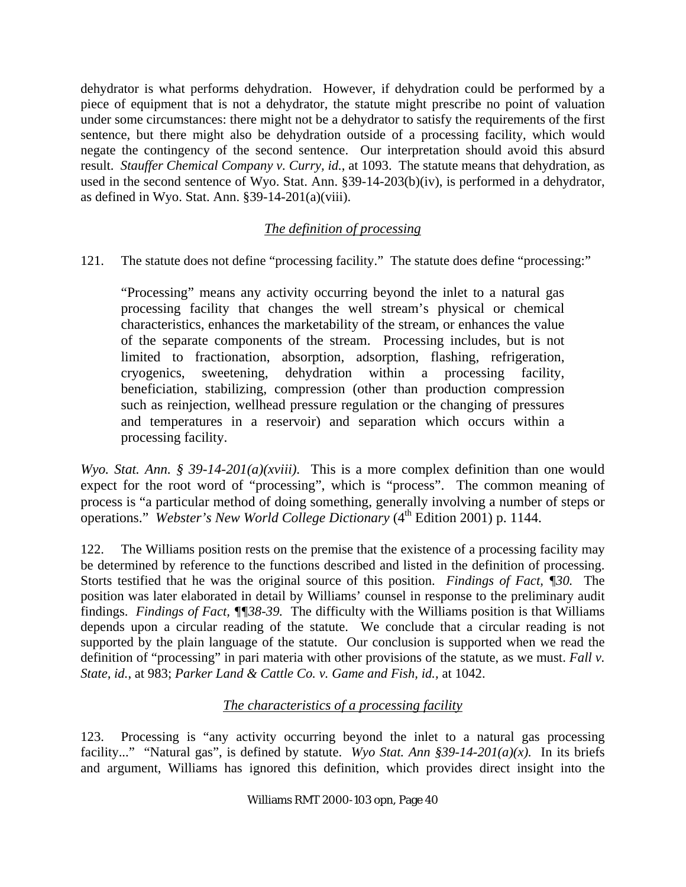dehydrator is what performs dehydration. However, if dehydration could be performed by a piece of equipment that is not a dehydrator, the statute might prescribe no point of valuation under some circumstances: there might not be a dehydrator to satisfy the requirements of the first sentence, but there might also be dehydration outside of a processing facility, which would negate the contingency of the second sentence. Our interpretation should avoid this absurd result. *Stauffer Chemical Company v. Curry, id.*, at 1093. The statute means that dehydration, as used in the second sentence of Wyo. Stat. Ann. §39-14-203(b)(iv), is performed in a dehydrator, as defined in Wyo. Stat. Ann. §39-14-201(a)(viii).

## *The definition of processing*

121. The statute does not define "processing facility." The statute does define "processing:"

"Processing" means any activity occurring beyond the inlet to a natural gas processing facility that changes the well stream's physical or chemical characteristics, enhances the marketability of the stream, or enhances the value of the separate components of the stream. Processing includes, but is not limited to fractionation, absorption, adsorption, flashing, refrigeration, cryogenics, sweetening, dehydration within a processing facility, beneficiation, stabilizing, compression (other than production compression such as reinjection, wellhead pressure regulation or the changing of pressures and temperatures in a reservoir) and separation which occurs within a processing facility.

*Wyo. Stat. Ann. § 39-14-201(a)(xviii).* This is a more complex definition than one would expect for the root word of "processing", which is "process". The common meaning of process is "a particular method of doing something, generally involving a number of steps or operations." *Webster's New World College Dictionary* (4<sup>th</sup> Edition 2001) p. 1144.

122. The Williams position rests on the premise that the existence of a processing facility may be determined by reference to the functions described and listed in the definition of processing. Storts testified that he was the original source of this position. *Findings of Fact, ¶30.* The position was later elaborated in detail by Williams' counsel in response to the preliminary audit findings. *Findings of Fact, ¶¶38-39.* The difficulty with the Williams position is that Williams depends upon a circular reading of the statute. We conclude that a circular reading is not supported by the plain language of the statute. Our conclusion is supported when we read the definition of "processing" in pari materia with other provisions of the statute, as we must. *Fall v. State, id.*, at 983; *Parker Land & Cattle Co. v. Game and Fish, id.,* at 1042.

## *The characteristics of a processing facility*

123. Processing is "any activity occurring beyond the inlet to a natural gas processing facility..." "Natural gas", is defined by statute. *Wyo Stat. Ann §39-14-201(a)(x).* In its briefs and argument, Williams has ignored this definition, which provides direct insight into the

#### Williams RMT 2000-103 opn, Page 40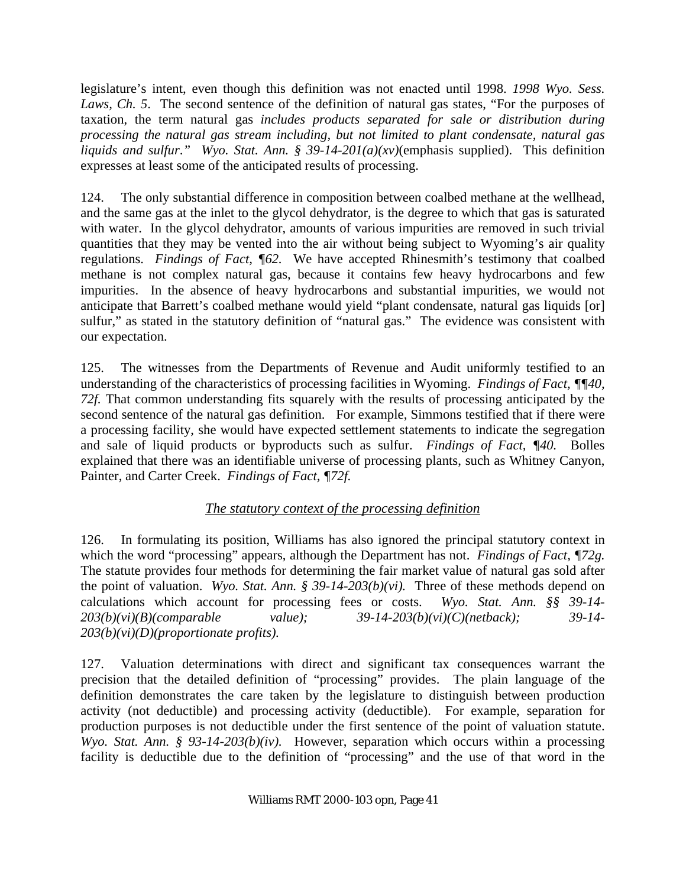legislature's intent, even though this definition was not enacted until 1998. *1998 Wyo. Sess.*  Laws, Ch. 5. The second sentence of the definition of natural gas states, "For the purposes of taxation, the term natural gas *includes products separated for sale or distribution during processing the natural gas stream including, but not limited to plant condensate, natural gas liquids and sulfur*.*" Wyo. Stat. Ann. § 39-14-201(a)(xv)*(emphasis supplied). This definition expresses at least some of the anticipated results of processing.

124. The only substantial difference in composition between coalbed methane at the wellhead, and the same gas at the inlet to the glycol dehydrator, is the degree to which that gas is saturated with water. In the glycol dehydrator, amounts of various impurities are removed in such trivial quantities that they may be vented into the air without being subject to Wyoming's air quality regulations. *Findings of Fact, ¶62.* We have accepted Rhinesmith's testimony that coalbed methane is not complex natural gas, because it contains few heavy hydrocarbons and few impurities. In the absence of heavy hydrocarbons and substantial impurities, we would not anticipate that Barrett's coalbed methane would yield "plant condensate, natural gas liquids [or] sulfur," as stated in the statutory definition of "natural gas." The evidence was consistent with our expectation.

125. The witnesses from the Departments of Revenue and Audit uniformly testified to an understanding of the characteristics of processing facilities in Wyoming. *Findings of Fact, ¶¶40, 72f.* That common understanding fits squarely with the results of processing anticipated by the second sentence of the natural gas definition. For example, Simmons testified that if there were a processing facility, she would have expected settlement statements to indicate the segregation and sale of liquid products or byproducts such as sulfur. *Findings of Fact, ¶40.* Bolles explained that there was an identifiable universe of processing plants, such as Whitney Canyon, Painter, and Carter Creek. *Findings of Fact, ¶72f.*

## *The statutory context of the processing definition*

126. In formulating its position, Williams has also ignored the principal statutory context in which the word "processing" appears, although the Department has not. *Findings of Fact, ¶72g.*  The statute provides four methods for determining the fair market value of natural gas sold after the point of valuation. *Wyo. Stat. Ann. § 39-14-203(b)(vi).* Three of these methods depend on calculations which account for processing fees or costs. *Wyo. Stat. Ann. §§ 39-14- 203(b)(vi)(B)(comparable value); 39-14-203(b)(vi)(C)(netback); 39-14- 203(b)(vi)(D)(proportionate profits).* 

127. Valuation determinations with direct and significant tax consequences warrant the precision that the detailed definition of "processing" provides. The plain language of the definition demonstrates the care taken by the legislature to distinguish between production activity (not deductible) and processing activity (deductible). For example, separation for production purposes is not deductible under the first sentence of the point of valuation statute. *Wyo. Stat. Ann. § 93-14-203(b)(iv).* However, separation which occurs within a processing facility is deductible due to the definition of "processing" and the use of that word in the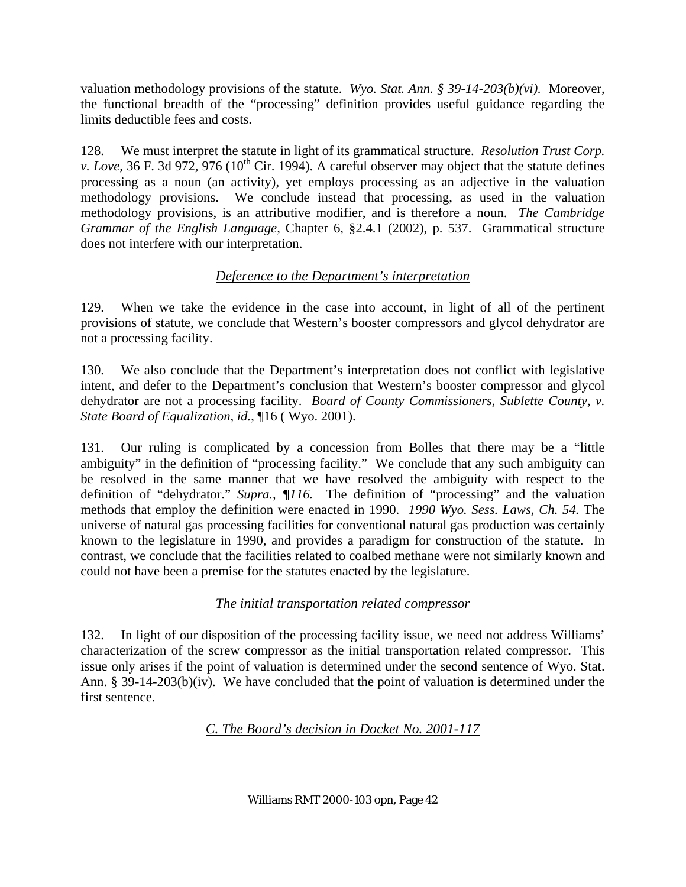valuation methodology provisions of the statute. *Wyo. Stat. Ann. § 39-14-203(b)(vi).* Moreover, the functional breadth of the "processing" definition provides useful guidance regarding the limits deductible fees and costs.

128. We must interpret the statute in light of its grammatical structure. *Resolution Trust Corp. v. Love,* 36 F. 3d 972, 976 (10<sup>th</sup> Cir. 1994). A careful observer may object that the statute defines processing as a noun (an activity), yet employs processing as an adjective in the valuation methodology provisions. We conclude instead that processing, as used in the valuation methodology provisions, is an attributive modifier, and is therefore a noun. *The Cambridge Grammar of the English Language,* Chapter 6, §2.4.1 (2002), p. 537. Grammatical structure does not interfere with our interpretation.

## *Deference to the Department's interpretation*

129. When we take the evidence in the case into account, in light of all of the pertinent provisions of statute, we conclude that Western's booster compressors and glycol dehydrator are not a processing facility.

130. We also conclude that the Department's interpretation does not conflict with legislative intent, and defer to the Department's conclusion that Western's booster compressor and glycol dehydrator are not a processing facility. *Board of County Commissioners, Sublette County, v. State Board of Equalization, id.*, ¶16 ( Wyo. 2001).

131. Our ruling is complicated by a concession from Bolles that there may be a "little ambiguity" in the definition of "processing facility." We conclude that any such ambiguity can be resolved in the same manner that we have resolved the ambiguity with respect to the definition of "dehydrator." *Supra., ¶116.* The definition of "processing" and the valuation methods that employ the definition were enacted in 1990. *1990 Wyo. Sess. Laws, Ch. 54.* The universe of natural gas processing facilities for conventional natural gas production was certainly known to the legislature in 1990, and provides a paradigm for construction of the statute. In contrast, we conclude that the facilities related to coalbed methane were not similarly known and could not have been a premise for the statutes enacted by the legislature.

# *The initial transportation related compressor*

132. In light of our disposition of the processing facility issue, we need not address Williams' characterization of the screw compressor as the initial transportation related compressor. This issue only arises if the point of valuation is determined under the second sentence of Wyo. Stat. Ann. § 39-14-203(b)(iv). We have concluded that the point of valuation is determined under the first sentence.

*C. The Board's decision in Docket No. 2001-117*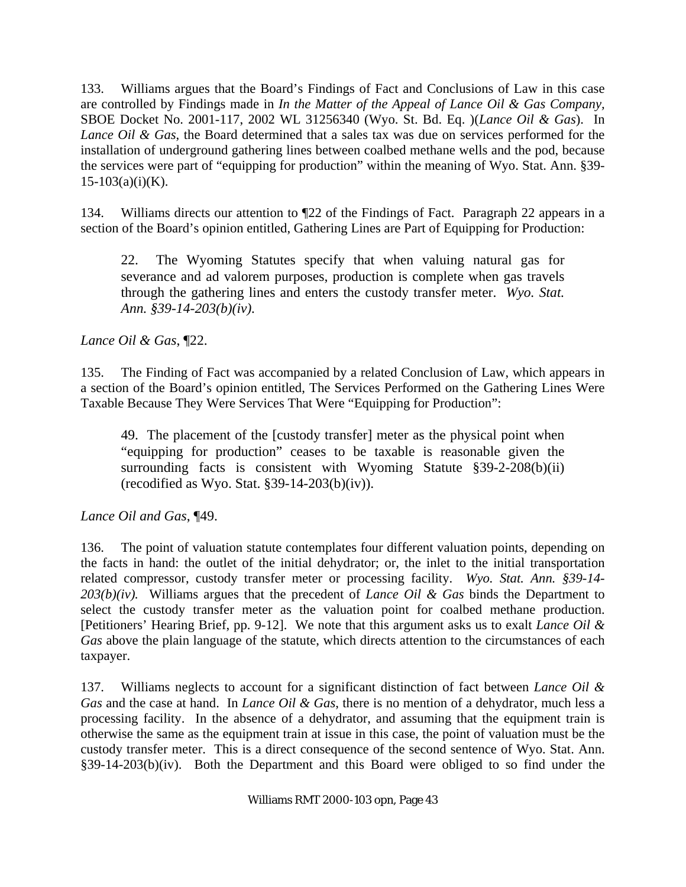133. Williams argues that the Board's Findings of Fact and Conclusions of Law in this case are controlled by Findings made in *In the Matter of the Appeal of Lance Oil & Gas Company,*  SBOE Docket No. 2001-117, 2002 WL 31256340 (Wyo. St. Bd. Eq. )(*Lance Oil & Gas*). In *Lance Oil & Gas*, the Board determined that a sales tax was due on services performed for the installation of underground gathering lines between coalbed methane wells and the pod, because the services were part of "equipping for production" within the meaning of Wyo. Stat. Ann. §39-  $15-103(a)(i)(K)$ .

134. Williams directs our attention to ¶22 of the Findings of Fact. Paragraph 22 appears in a section of the Board's opinion entitled, Gathering Lines are Part of Equipping for Production:

22. The Wyoming Statutes specify that when valuing natural gas for severance and ad valorem purposes, production is complete when gas travels through the gathering lines and enters the custody transfer meter. *Wyo. Stat. Ann. §39-14-203(b)(iv).*

*Lance Oil & Gas*, ¶22.

135. The Finding of Fact was accompanied by a related Conclusion of Law, which appears in a section of the Board's opinion entitled, The Services Performed on the Gathering Lines Were Taxable Because They Were Services That Were "Equipping for Production":

49. The placement of the [custody transfer] meter as the physical point when "equipping for production" ceases to be taxable is reasonable given the surrounding facts is consistent with Wyoming Statute §39-2-208(b)(ii) (recodified as Wyo. Stat.  $§$ 39-14-203(b)(iv)).

*Lance Oil and Gas*, ¶49.

136. The point of valuation statute contemplates four different valuation points, depending on the facts in hand: the outlet of the initial dehydrator; or, the inlet to the initial transportation related compressor, custody transfer meter or processing facility. *Wyo. Stat. Ann. §39-14- 203(b)(iv).* Williams argues that the precedent of *Lance Oil & Gas* binds the Department to select the custody transfer meter as the valuation point for coalbed methane production. [Petitioners' Hearing Brief, pp. 9-12]. We note that this argument asks us to exalt *Lance Oil & Gas* above the plain language of the statute, which directs attention to the circumstances of each taxpayer.

137. Williams neglects to account for a significant distinction of fact between *Lance Oil & Gas* and the case at hand. In *Lance Oil & Gas*, there is no mention of a dehydrator, much less a processing facility. In the absence of a dehydrator, and assuming that the equipment train is otherwise the same as the equipment train at issue in this case, the point of valuation must be the custody transfer meter. This is a direct consequence of the second sentence of Wyo. Stat. Ann. §39-14-203(b)(iv). Both the Department and this Board were obliged to so find under the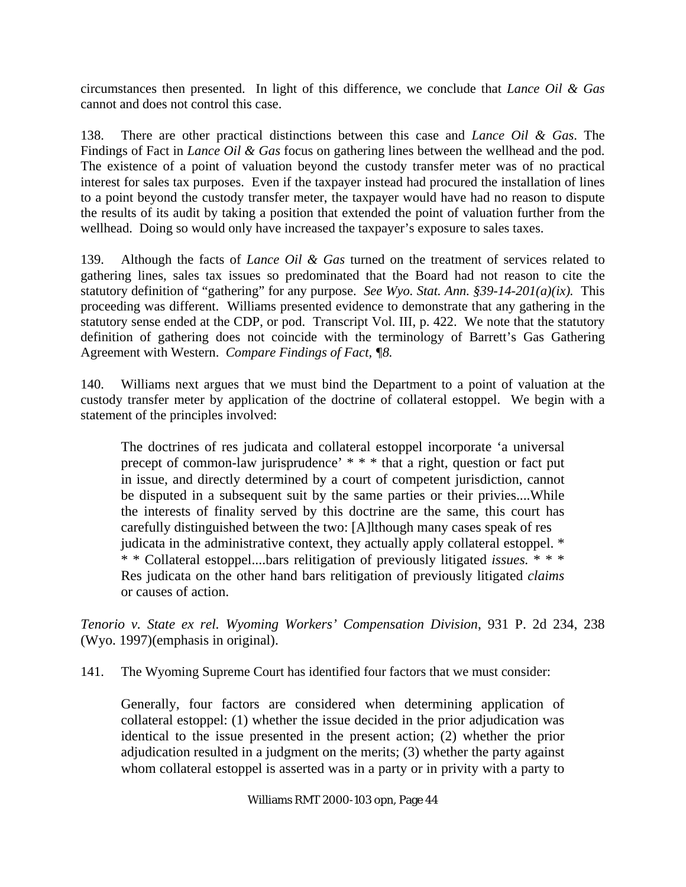circumstances then presented. In light of this difference, we conclude that *Lance Oil & Gas*  cannot and does not control this case.

138. There are other practical distinctions between this case and *Lance Oil & Gas*. The Findings of Fact in *Lance Oil & Gas* focus on gathering lines between the wellhead and the pod. The existence of a point of valuation beyond the custody transfer meter was of no practical interest for sales tax purposes. Even if the taxpayer instead had procured the installation of lines to a point beyond the custody transfer meter, the taxpayer would have had no reason to dispute the results of its audit by taking a position that extended the point of valuation further from the wellhead. Doing so would only have increased the taxpayer's exposure to sales taxes.

139. Although the facts of *Lance Oil & Gas* turned on the treatment of services related to gathering lines, sales tax issues so predominated that the Board had not reason to cite the statutory definition of "gathering" for any purpose. *See Wyo. Stat. Ann. §39-14-201(a)(ix).* This proceeding was different. Williams presented evidence to demonstrate that any gathering in the statutory sense ended at the CDP, or pod. Transcript Vol. III, p. 422. We note that the statutory definition of gathering does not coincide with the terminology of Barrett's Gas Gathering Agreement with Western. *Compare Findings of Fact, ¶8.*

140. Williams next argues that we must bind the Department to a point of valuation at the custody transfer meter by application of the doctrine of collateral estoppel. We begin with a statement of the principles involved:

The doctrines of res judicata and collateral estoppel incorporate 'a universal precept of common-law jurisprudence' \* \* \* that a right, question or fact put in issue, and directly determined by a court of competent jurisdiction, cannot be disputed in a subsequent suit by the same parties or their privies....While the interests of finality served by this doctrine are the same, this court has carefully distinguished between the two: [A]lthough many cases speak of res judicata in the administrative context, they actually apply collateral estoppel. \* \* \* Collateral estoppel....bars relitigation of previously litigated *issues.* \* \* \* Res judicata on the other hand bars relitigation of previously litigated *claims* or causes of action.

*Tenorio v. State ex rel. Wyoming Workers' Compensation Division*, 931 P. 2d 234, 238 (Wyo. 1997)(emphasis in original).

141. The Wyoming Supreme Court has identified four factors that we must consider:

Generally, four factors are considered when determining application of collateral estoppel: (1) whether the issue decided in the prior adjudication was identical to the issue presented in the present action; (2) whether the prior adjudication resulted in a judgment on the merits; (3) whether the party against whom collateral estoppel is asserted was in a party or in privity with a party to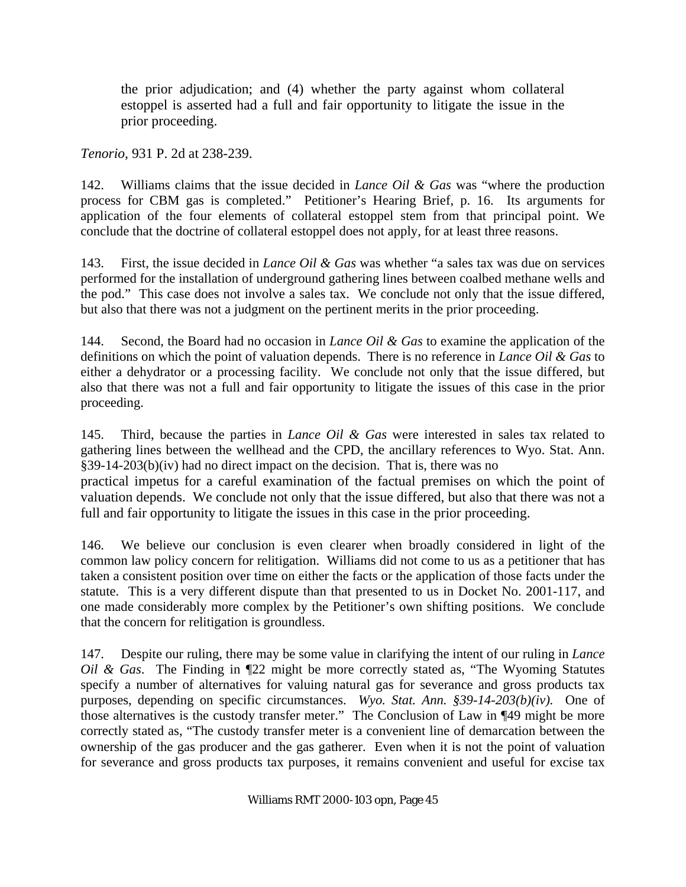the prior adjudication; and (4) whether the party against whom collateral estoppel is asserted had a full and fair opportunity to litigate the issue in the prior proceeding.

*Tenorio,* 931 P. 2d at 238-239.

142. Williams claims that the issue decided in *Lance Oil & Gas* was "where the production process for CBM gas is completed." Petitioner's Hearing Brief, p. 16. Its arguments for application of the four elements of collateral estoppel stem from that principal point. We conclude that the doctrine of collateral estoppel does not apply, for at least three reasons.

143. First, the issue decided in *Lance Oil & Gas* was whether "a sales tax was due on services performed for the installation of underground gathering lines between coalbed methane wells and the pod." This case does not involve a sales tax. We conclude not only that the issue differed, but also that there was not a judgment on the pertinent merits in the prior proceeding.

144. Second, the Board had no occasion in *Lance Oil & Gas* to examine the application of the definitions on which the point of valuation depends. There is no reference in *Lance Oil & Gas* to either a dehydrator or a processing facility. We conclude not only that the issue differed, but also that there was not a full and fair opportunity to litigate the issues of this case in the prior proceeding.

145. Third, because the parties in *Lance Oil & Gas* were interested in sales tax related to gathering lines between the wellhead and the CPD, the ancillary references to Wyo. Stat. Ann. §39-14-203(b)(iv) had no direct impact on the decision. That is, there was no

practical impetus for a careful examination of the factual premises on which the point of valuation depends. We conclude not only that the issue differed, but also that there was not a full and fair opportunity to litigate the issues in this case in the prior proceeding.

146. We believe our conclusion is even clearer when broadly considered in light of the common law policy concern for relitigation. Williams did not come to us as a petitioner that has taken a consistent position over time on either the facts or the application of those facts under the statute. This is a very different dispute than that presented to us in Docket No. 2001-117, and one made considerably more complex by the Petitioner's own shifting positions. We conclude that the concern for relitigation is groundless.

147. Despite our ruling, there may be some value in clarifying the intent of our ruling in *Lance Oil & Gas*. The Finding in ¶22 might be more correctly stated as, "The Wyoming Statutes specify a number of alternatives for valuing natural gas for severance and gross products tax purposes, depending on specific circumstances. *Wyo. Stat. Ann. §39-14-203(b)(iv).* One of those alternatives is the custody transfer meter." The Conclusion of Law in ¶49 might be more correctly stated as, "The custody transfer meter is a convenient line of demarcation between the ownership of the gas producer and the gas gatherer. Even when it is not the point of valuation for severance and gross products tax purposes, it remains convenient and useful for excise tax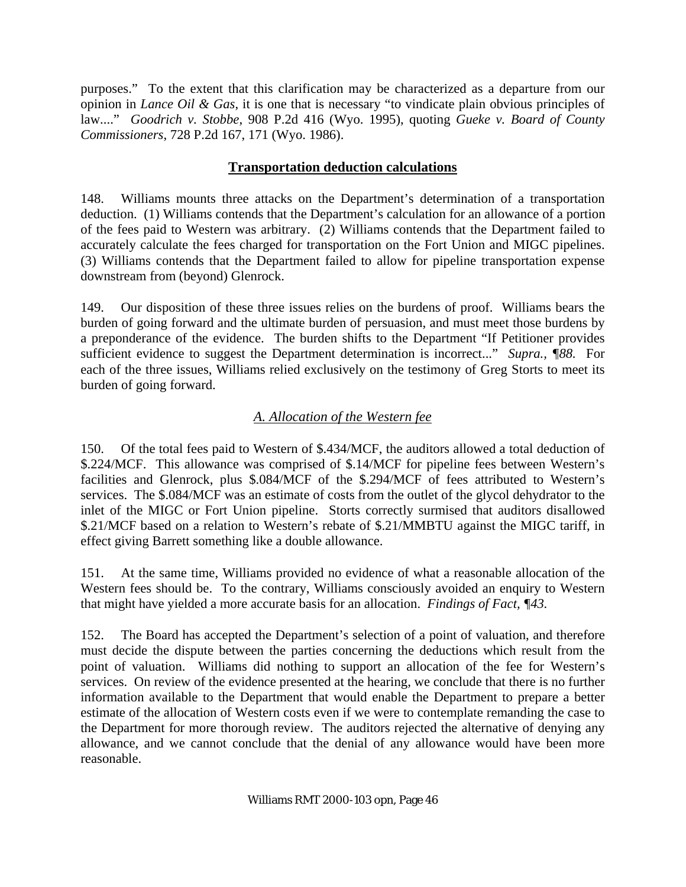purposes." To the extent that this clarification may be characterized as a departure from our opinion in *Lance Oil & Gas*, it is one that is necessary "to vindicate plain obvious principles of law...." *Goodrich v. Stobbe*, 908 P.2d 416 (Wyo. 1995), quoting *Gueke v. Board of County Commissioners*, 728 P.2d 167, 171 (Wyo. 1986).

### **Transportation deduction calculations**

148. Williams mounts three attacks on the Department's determination of a transportation deduction. (1) Williams contends that the Department's calculation for an allowance of a portion of the fees paid to Western was arbitrary. (2) Williams contends that the Department failed to accurately calculate the fees charged for transportation on the Fort Union and MIGC pipelines. (3) Williams contends that the Department failed to allow for pipeline transportation expense downstream from (beyond) Glenrock.

149. Our disposition of these three issues relies on the burdens of proof. Williams bears the burden of going forward and the ultimate burden of persuasion, and must meet those burdens by a preponderance of the evidence. The burden shifts to the Department "If Petitioner provides sufficient evidence to suggest the Department determination is incorrect..." *Supra., ¶88.* For each of the three issues, Williams relied exclusively on the testimony of Greg Storts to meet its burden of going forward.

## *A. Allocation of the Western fee*

150. Of the total fees paid to Western of \$.434/MCF, the auditors allowed a total deduction of \$.224/MCF. This allowance was comprised of \$.14/MCF for pipeline fees between Western's facilities and Glenrock, plus \$.084/MCF of the \$.294/MCF of fees attributed to Western's services. The \$.084/MCF was an estimate of costs from the outlet of the glycol dehydrator to the inlet of the MIGC or Fort Union pipeline. Storts correctly surmised that auditors disallowed \$.21/MCF based on a relation to Western's rebate of \$.21/MMBTU against the MIGC tariff, in effect giving Barrett something like a double allowance.

151. At the same time, Williams provided no evidence of what a reasonable allocation of the Western fees should be. To the contrary, Williams consciously avoided an enquiry to Western that might have yielded a more accurate basis for an allocation. *Findings of Fact, ¶43.*

152. The Board has accepted the Department's selection of a point of valuation, and therefore must decide the dispute between the parties concerning the deductions which result from the point of valuation. Williams did nothing to support an allocation of the fee for Western's services. On review of the evidence presented at the hearing, we conclude that there is no further information available to the Department that would enable the Department to prepare a better estimate of the allocation of Western costs even if we were to contemplate remanding the case to the Department for more thorough review. The auditors rejected the alternative of denying any allowance, and we cannot conclude that the denial of any allowance would have been more reasonable.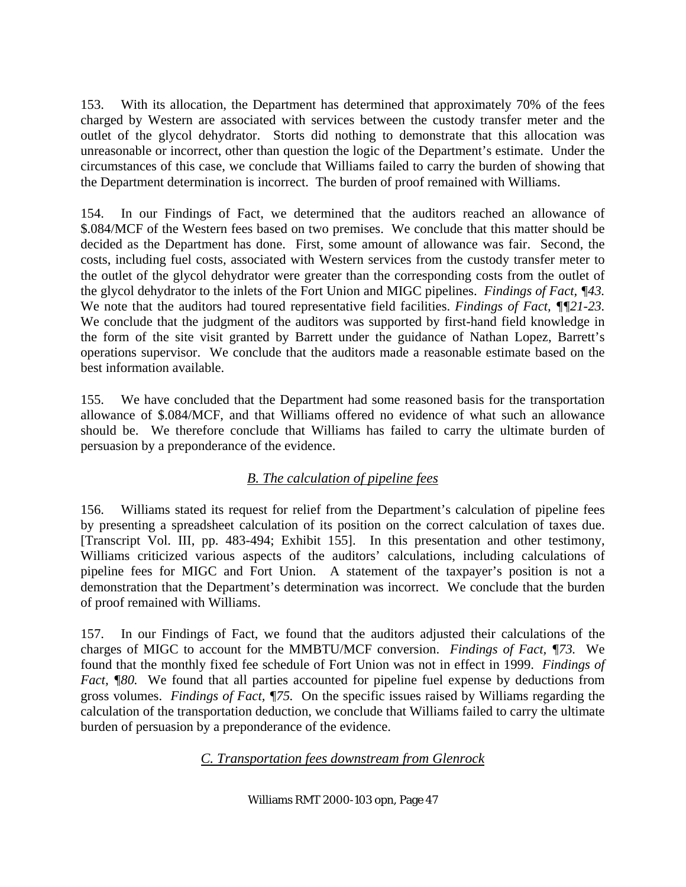153. With its allocation, the Department has determined that approximately 70% of the fees charged by Western are associated with services between the custody transfer meter and the outlet of the glycol dehydrator. Storts did nothing to demonstrate that this allocation was unreasonable or incorrect, other than question the logic of the Department's estimate. Under the circumstances of this case, we conclude that Williams failed to carry the burden of showing that the Department determination is incorrect. The burden of proof remained with Williams.

154. In our Findings of Fact, we determined that the auditors reached an allowance of \$.084/MCF of the Western fees based on two premises. We conclude that this matter should be decided as the Department has done. First, some amount of allowance was fair. Second, the costs, including fuel costs, associated with Western services from the custody transfer meter to the outlet of the glycol dehydrator were greater than the corresponding costs from the outlet of the glycol dehydrator to the inlets of the Fort Union and MIGC pipelines. *Findings of Fact, ¶43.* We note that the auditors had toured representative field facilities. *Findings of Fact, ¶¶21-23.* We conclude that the judgment of the auditors was supported by first-hand field knowledge in the form of the site visit granted by Barrett under the guidance of Nathan Lopez, Barrett's operations supervisor. We conclude that the auditors made a reasonable estimate based on the best information available.

155. We have concluded that the Department had some reasoned basis for the transportation allowance of \$.084/MCF, and that Williams offered no evidence of what such an allowance should be. We therefore conclude that Williams has failed to carry the ultimate burden of persuasion by a preponderance of the evidence.

# *B. The calculation of pipeline fees*

156. Williams stated its request for relief from the Department's calculation of pipeline fees by presenting a spreadsheet calculation of its position on the correct calculation of taxes due. [Transcript Vol. III, pp. 483-494; Exhibit 155]. In this presentation and other testimony, Williams criticized various aspects of the auditors' calculations, including calculations of pipeline fees for MIGC and Fort Union. A statement of the taxpayer's position is not a demonstration that the Department's determination was incorrect. We conclude that the burden of proof remained with Williams.

157. In our Findings of Fact, we found that the auditors adjusted their calculations of the charges of MIGC to account for the MMBTU/MCF conversion. *Findings of Fact, ¶73.* We found that the monthly fixed fee schedule of Fort Union was not in effect in 1999. *Findings of Fact,* ¶80. We found that all parties accounted for pipeline fuel expense by deductions from gross volumes. *Findings of Fact, ¶75.* On the specific issues raised by Williams regarding the calculation of the transportation deduction, we conclude that Williams failed to carry the ultimate burden of persuasion by a preponderance of the evidence.

*C. Transportation fees downstream from Glenrock*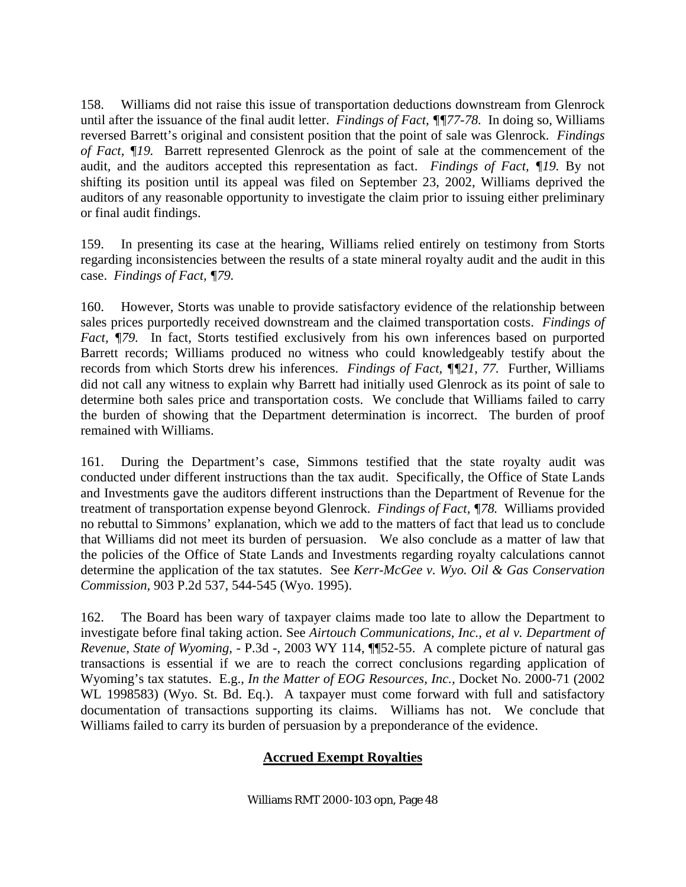158. Williams did not raise this issue of transportation deductions downstream from Glenrock until after the issuance of the final audit letter. *Findings of Fact, ¶¶77-78.* In doing so, Williams reversed Barrett's original and consistent position that the point of sale was Glenrock. *Findings of Fact, ¶19.* Barrett represented Glenrock as the point of sale at the commencement of the audit, and the auditors accepted this representation as fact. *Findings of Fact, ¶19.* By not shifting its position until its appeal was filed on September 23, 2002, Williams deprived the auditors of any reasonable opportunity to investigate the claim prior to issuing either preliminary or final audit findings.

159. In presenting its case at the hearing, Williams relied entirely on testimony from Storts regarding inconsistencies between the results of a state mineral royalty audit and the audit in this case. *Findings of Fact, ¶79.* 

160. However, Storts was unable to provide satisfactory evidence of the relationship between sales prices purportedly received downstream and the claimed transportation costs. *Findings of Fact, ¶79.* In fact, Storts testified exclusively from his own inferences based on purported Barrett records; Williams produced no witness who could knowledgeably testify about the records from which Storts drew his inferences. *Findings of Fact, ¶¶21, 77.* Further, Williams did not call any witness to explain why Barrett had initially used Glenrock as its point of sale to determine both sales price and transportation costs. We conclude that Williams failed to carry the burden of showing that the Department determination is incorrect. The burden of proof remained with Williams.

161. During the Department's case, Simmons testified that the state royalty audit was conducted under different instructions than the tax audit. Specifically, the Office of State Lands and Investments gave the auditors different instructions than the Department of Revenue for the treatment of transportation expense beyond Glenrock. *Findings of Fact, ¶78.* Williams provided no rebuttal to Simmons' explanation, which we add to the matters of fact that lead us to conclude that Williams did not meet its burden of persuasion. We also conclude as a matter of law that the policies of the Office of State Lands and Investments regarding royalty calculations cannot determine the application of the tax statutes. See *Kerr-McGee v. Wyo. Oil & Gas Conservation Commission,* 903 P.2d 537, 544-545 (Wyo. 1995).

162. The Board has been wary of taxpayer claims made too late to allow the Department to investigate before final taking action. See *Airtouch Communications, Inc., et al v. Department of Revenue, State of Wyoming,* - P.3d -, 2003 WY 114, ¶¶52-55. A complete picture of natural gas transactions is essential if we are to reach the correct conclusions regarding application of Wyoming's tax statutes. E.g., *In the Matter of EOG Resources, Inc.,* Docket No. 2000-71 (2002 WL 1998583) (Wyo. St. Bd. Eq.). A taxpayer must come forward with full and satisfactory documentation of transactions supporting its claims. Williams has not. We conclude that Williams failed to carry its burden of persuasion by a preponderance of the evidence.

## **Accrued Exempt Royalties**

Williams RMT 2000-103 opn, Page 48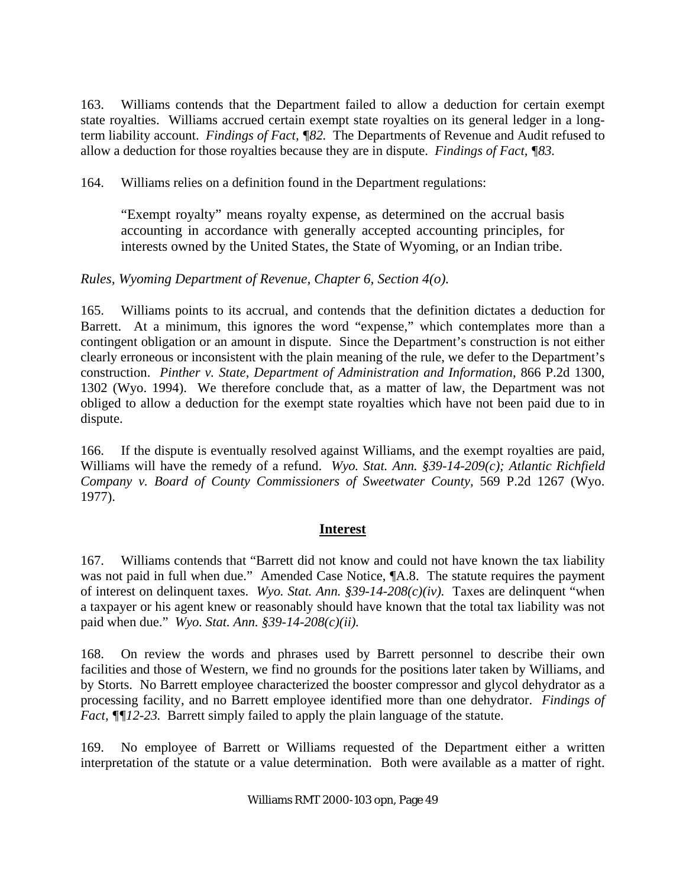163. Williams contends that the Department failed to allow a deduction for certain exempt state royalties. Williams accrued certain exempt state royalties on its general ledger in a longterm liability account. *Findings of Fact, ¶82.* The Departments of Revenue and Audit refused to allow a deduction for those royalties because they are in dispute. *Findings of Fact, ¶83.*

164. Williams relies on a definition found in the Department regulations:

"Exempt royalty" means royalty expense, as determined on the accrual basis accounting in accordance with generally accepted accounting principles, for interests owned by the United States, the State of Wyoming, or an Indian tribe.

## *Rules, Wyoming Department of Revenue, Chapter 6, Section 4(o).*

165. Williams points to its accrual, and contends that the definition dictates a deduction for Barrett. At a minimum, this ignores the word "expense," which contemplates more than a contingent obligation or an amount in dispute. Since the Department's construction is not either clearly erroneous or inconsistent with the plain meaning of the rule, we defer to the Department's construction. *Pinther v. State, Department of Administration and Information,* 866 P.2d 1300, 1302 (Wyo. 1994). We therefore conclude that, as a matter of law, the Department was not obliged to allow a deduction for the exempt state royalties which have not been paid due to in dispute.

166. If the dispute is eventually resolved against Williams, and the exempt royalties are paid, Williams will have the remedy of a refund. *Wyo. Stat. Ann. §39-14-209(c); Atlantic Richfield Company v. Board of County Commissioners of Sweetwater County,* 569 P.2d 1267 (Wyo. 1977).

## **Interest**

167. Williams contends that "Barrett did not know and could not have known the tax liability was not paid in full when due." Amended Case Notice,  $\mathbb{I}$ A.8. The statute requires the payment of interest on delinquent taxes. *Wyo. Stat. Ann. §39-14-208(c)(iv).* Taxes are delinquent "when a taxpayer or his agent knew or reasonably should have known that the total tax liability was not paid when due." *Wyo. Stat. Ann. §39-14-208(c)(ii).*

168. On review the words and phrases used by Barrett personnel to describe their own facilities and those of Western, we find no grounds for the positions later taken by Williams, and by Storts. No Barrett employee characterized the booster compressor and glycol dehydrator as a processing facility, and no Barrett employee identified more than one dehydrator. *Findings of Fact,*  $\sqrt{\frac{g}{2}}$ -23. Barrett simply failed to apply the plain language of the statute.

169. No employee of Barrett or Williams requested of the Department either a written interpretation of the statute or a value determination. Both were available as a matter of right.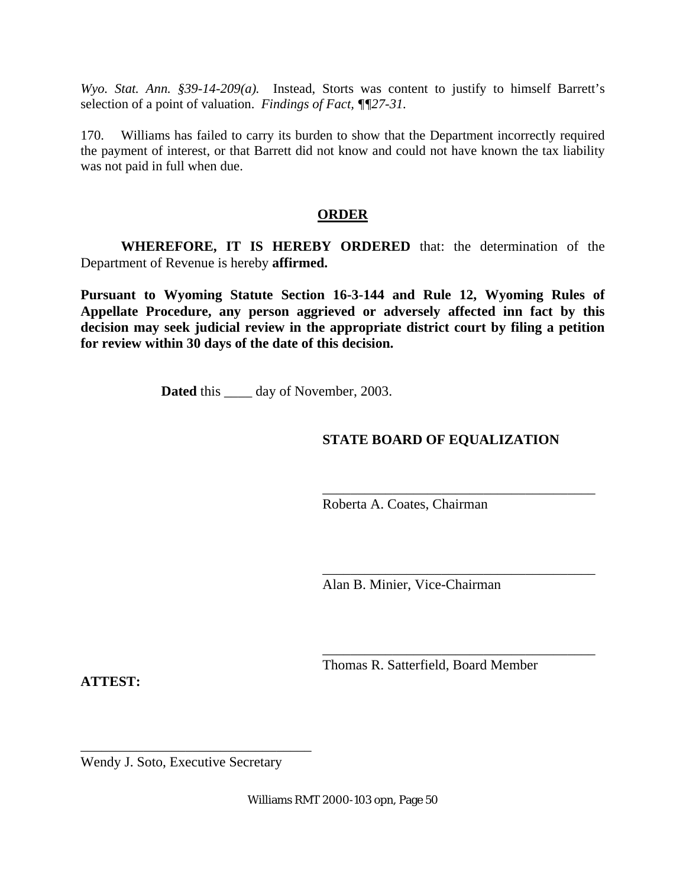*Wyo. Stat. Ann. §39-14-209(a).* Instead, Storts was content to justify to himself Barrett's selection of a point of valuation. *Findings of Fact, ¶¶27-31.*

170. Williams has failed to carry its burden to show that the Department incorrectly required the payment of interest, or that Barrett did not know and could not have known the tax liability was not paid in full when due.

#### **ORDER**

**WHEREFORE, IT IS HEREBY ORDERED** that: the determination of the Department of Revenue is hereby **affirmed.**

**Pursuant to Wyoming Statute Section 16-3-144 and Rule 12, Wyoming Rules of Appellate Procedure, any person aggrieved or adversely affected inn fact by this decision may seek judicial review in the appropriate district court by filing a petition for review within 30 days of the date of this decision.** 

**Dated** this \_\_\_\_\_ day of November, 2003.

## **STATE BOARD OF EQUALIZATION**

\_\_\_\_\_\_\_\_\_\_\_\_\_\_\_\_\_\_\_\_\_\_\_\_\_\_\_\_\_\_\_\_\_\_\_\_\_\_\_

\_\_\_\_\_\_\_\_\_\_\_\_\_\_\_\_\_\_\_\_\_\_\_\_\_\_\_\_\_\_\_\_\_\_\_\_\_\_\_

\_\_\_\_\_\_\_\_\_\_\_\_\_\_\_\_\_\_\_\_\_\_\_\_\_\_\_\_\_\_\_\_\_\_\_\_\_\_\_

Roberta A. Coates, Chairman

Alan B. Minier, Vice-Chairman

Thomas R. Satterfield, Board Member

**ATTEST:**

Wendy J. Soto, Executive Secretary

\_\_\_\_\_\_\_\_\_\_\_\_\_\_\_\_\_\_\_\_\_\_\_\_\_\_\_\_\_\_\_\_\_